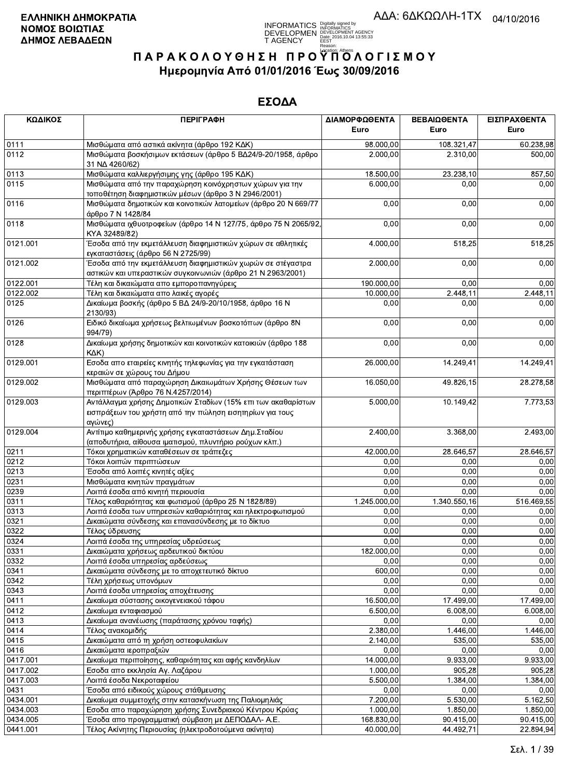**INFORMATICS** Digitally signed by<br>DEVELOPMEN DEVELOPMENT AGENCY<br>T AGENCY ERENT DEVELOPMENT AGENCY<br>T AGENCY ERENT DESTROY

# ΠΑΡΑΚΟΛΟΥΘΗΣΗ ΠΡΟΥΠΌΛΟΓΙΣΜΟΥ Ημερομηνία Από 01/01/2016 Έως 30/09/2016

| ΚΩΔΙΚΟΣ              | <b>ПЕРІГРАФН</b>                                                                                                                        | ΔΙΑΜΟΡΦΩΘΕΝΤΑ          | ΒΕΒΑΙΩΘΕΝΤΑ           | ΕΙΣΠΡΑΧΘΕΝΤΑ          |
|----------------------|-----------------------------------------------------------------------------------------------------------------------------------------|------------------------|-----------------------|-----------------------|
|                      |                                                                                                                                         | Euro                   | Euro                  | Euro                  |
| 0111                 | Μισθώματα από αστικά ακίνητα (άρθρο 192 ΚΔΚ)                                                                                            | 98.000,00              | 108.321,47            | 60.238,98             |
| 0112                 | Μισθώματα βοσκήσιμων εκτάσεων (άρθρο 5 ΒΔ24/9-20/1958, άρθρο<br>31 NA 4260/62)                                                          | 2.000,00               | 2.310,00              | 500,00                |
| 0113                 | Μισθώματα καλλιεργήσιμης γης (άρθρο 195 ΚΔΚ)                                                                                            | 18.500,00              | 23.238,10             | 857,50                |
| 0115                 | Μισθώματα από την παραχώρηση κοινόχρηστων χώρων για την<br>τοποθέτηση διαφημιστικών μέσων (άρθρο 3 Ν 2946/2001)                         | 6.000,00               | 0,00                  | 0,00                  |
| 0116                 | Μισθώματα δημοτικών και κοινοτικών λατομείων (άρθρο 20 Ν 669/77<br>άρθρο 7 Ν 1428/84                                                    | 0,00                   | 0,00                  | 0,00                  |
| 0118                 | Μισθώματα ιχθυοτροφείων (άρθρο 14 Ν 127/75, άρθρο 75 Ν 2065/92,<br>KYA 32489/82)                                                        | 0,00                   | 0,00                  | 0,00                  |
| 0121.001             | Έσοδα από την εκμετάλλευση διαφημιστικών χώρων σε αθλητικές<br>εγκαταστάσεις (άρθρο 56 Ν 2725/99)                                       | 4.000,00               | 518,25                | 518,25                |
| 0121.002             | Έσοδα από την εκμετάλλευση διαφημιστικών χωρών σε στέγαστρα <sup>.</sup><br>αστικών και υπεραστικών συγκοινωνιών (άρθρο 21 Ν 2963/2001) | 2.000,00               | 0,00                  | 0,00                  |
| 0122.001             | Τέλη και δικαιώματα απο εμποροπανηγύρεις                                                                                                | 190.000,00             | 0,00                  | 0,00                  |
| 0122.002             | Τέλη και δικαιώματα απο λαικές αγορές                                                                                                   | 10.000,00              | 2.448,11              | 2.448,11              |
| 0125                 | Δικαίωμα βοσκής (άρθρο 5 ΒΔ 24/9-20/10/1958, άρθρο 16 Ν<br>2130/93)                                                                     | 0,00                   | 0,00                  | 0,00                  |
| 0126                 | Ειδικό δικαίωμα χρήσεως βελτιωμένων βοσκοτόπων (άρθρο 8Ν<br>994/79)                                                                     | 0,00                   | 0,00                  | 0,00                  |
| 0128                 | Δικαίωμα χρήσης δημοτικών και κοινοτικών κατοικιών (άρθρο 188<br>KAK)                                                                   | 0,00                   | 0,00                  | 0,00                  |
| 0129.001             | Εσοδα απο εταιρείες κινητής τηλεφωνίας για την εγκατάσταση<br>κεραιών σε χώρους του Δήμου                                               | 26.000,00              | 14.249,41             | 14.249,41             |
| 0129.002             | Μισθώματα από παραχώρηση Δικαιωμάτων Χρήσης Θέσεων των<br>περιπτέρων (Άρθρο 76 Ν.4257/2014)                                             | 16.050,00              | 49.826,15             | 28.278,58             |
| 0129.003             | Αντάλλαγμα χρήσης Δημοτικών Σταδίων (15% επι των ακαθαρίστων<br>εισπράξεων του χρήστη από την πώληση εισητηρίων για τους<br>αγώνες)     | 5.000,00               | 10.149,42             | 7.773,53              |
| 0129.004             | Αντίτιμο καθημερινής χρήσης εγκαταστάσεων Δημ. Σταδίου<br>(αποδυτήρια, αίθουσα ιματισμού, πλυντήριο ρούχων κλπ.)                        | 2.400,00               | 3.368,00              | 2.493,00              |
| 0211                 | Τόκοι χρηματικών καταθέσεων σε τράπεζες                                                                                                 | 42.000,00              | 28.646,57             | 28.646,57             |
| 0212                 | Τόκοι λοιπών περιπτώσεων                                                                                                                | 0,00                   | 0,00                  | 0,00                  |
| 0213                 | Έσοδα από λοιπές κινητές αξίες                                                                                                          | 0,00                   | 0,00                  | 0,00                  |
| 0231                 | Μισθώματα κινητών πραγμάτων                                                                                                             | 0,00                   | 0,00                  | 0,00                  |
| 0239                 | Λοιπά έσοδα από κινητή περιουσία                                                                                                        | 0,00                   | 0,00                  | 0,00                  |
| 0311                 | Τέλος καθαριότητας και φωτισμού (άρθρο 25 Ν 1828/89)                                                                                    | 1.245.000,00           | 1.340.550,16          | 516.469,55            |
| 0313                 | Λοιπά έσοδα των υπηρεσιών καθαριότητας και ηλεκτροφωτισμού                                                                              | 0,00                   | 0,00                  | 0,00                  |
| 0321                 | Δικαιώματα σύνδεσης και επανασύνδεσης με το δίκτυο                                                                                      | 0,00                   | 0,00                  | 0,00                  |
| 0322                 | Τέλος ύδρευσης                                                                                                                          | 0,00                   | 0,00                  | 0,00                  |
| 0324                 | Λοιπά έσοδα της υπηρεσίας υδρεύσεως                                                                                                     | 0,00                   | 0,00                  | 0,00                  |
| 0331                 | Δικαιώματα χρήσεως αρδευτικού δικτύου                                                                                                   | 182.000,00             | 0,00                  | 0,00                  |
| 0332                 | Λοιπά έσοδα υπηρεσίας αρδεύσεως                                                                                                         | 0,00                   | 0,00                  | 0,00                  |
| 0341                 | Δικαιώματα σύνδεσης με το αποχετευτικό δίκτυο                                                                                           | 600,00                 | 0,00                  | 0,00                  |
| 0342                 | Τέλη χρήσεως υπονόμων                                                                                                                   | 0,00                   | 0,00                  | 0,00                  |
| 0343                 | Λοιπά έσοδα υπηρεσίας αποχέτευσης                                                                                                       | 0,00                   | 0,00                  | 0,00                  |
| 0411<br>0412         | Δικαίωμα σύστασης οικογενειακού τάφου                                                                                                   | 16.500,00<br>6.500,00  | 17.499,00<br>6.008,00 | 17.499,00<br>6.008,00 |
| 0413                 | Δικαίωμα ενταφιασμού                                                                                                                    | 0,00                   | 0,00                  | 0,00                  |
| 0414                 | Δικαίωμα ανανέωσης (παράτασης χρόνου ταφής)<br>Τέλος ανακομιδής                                                                         | 2.380,00               | 1.446,00              | 1.446,00              |
| 0415                 | Δικαιώματα από τη χρήση οστεοφυλακίων                                                                                                   | 2.140,00               | 535,00                | 535,00                |
| 0416                 |                                                                                                                                         | 0,00                   | 0,00                  | 0,00                  |
| 0417.001             | Δικαιώματα ιεροπραξιών<br>Δικαίωμα περιποίησης, καθαριότητας και αφής κανδηλίων                                                         | 14.000,00              | 9.933,00              | 9.933,00              |
| 0417.002             | Εσοδα απο εκκλησία Αγ. Λαζάρου                                                                                                          | 1.000,00               | 905,28                | 905,28                |
| 0417.003             | Λοιπά έσοδα Νεκροταφείου                                                                                                                | 5.500,00               | 1.384,00              | 1.384,00              |
| 0431                 | Έσοδα από ειδικούς χώρους στάθμευσης                                                                                                    | 0,00                   | 0,00                  | 0,00                  |
| 0434.001             | Δικαίωμα συμμετοχής στην κατασκήνωση της Παλιομηλιάς                                                                                    | 7.200,00               | 5.530,00              | 5.162,50              |
|                      |                                                                                                                                         |                        |                       |                       |
| 0434.003<br>0434.005 | Εσοδα απο παραχώρηση χρήσης Συνεδριακού Κέντρου Κρύας                                                                                   | 1.000,00<br>168.830,00 | 1.850,00<br>90.415,00 | 1.850,00<br>90.415,00 |
| 0441.001             | Έσοδα απο προγραμματική σύμβαση με ΔΕΠΟΔΑΛ- Α.Ε.<br>Τέλος Ακίνητης Περιουσίας (ηλεκτροδοτούμενα ακίνητα)                                | 40.000,00              | 44.492,71             | 22.894,94             |
|                      |                                                                                                                                         |                        |                       |                       |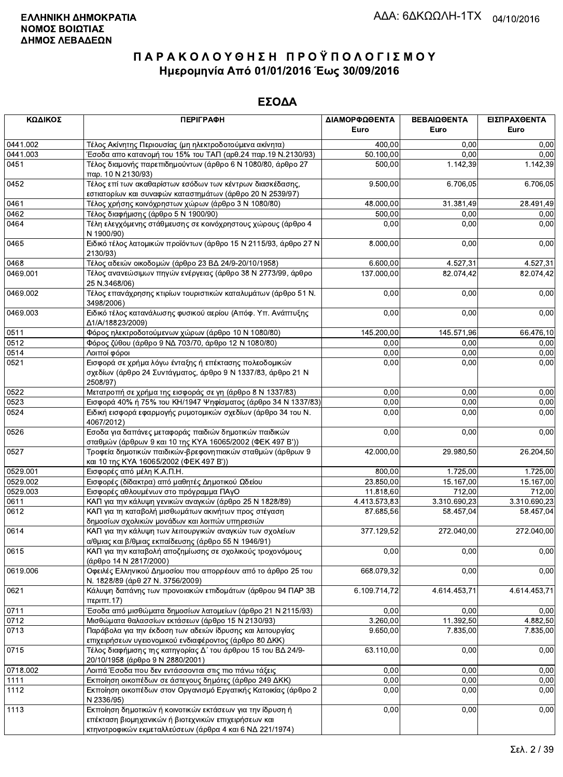| ΚΩΔΙΚΟΣ  | <b>ПЕРІГРАФН</b>                                                                                                                                                              | ΔΙΑΜΟΡΦΩΘΕΝΤΑ<br>Euro | ΒΕΒΑΙΩΘΕΝΤΑ<br>Euro | ΕΙΣΠΡΑΧΘΕΝΤΑ<br>Euro |
|----------|-------------------------------------------------------------------------------------------------------------------------------------------------------------------------------|-----------------------|---------------------|----------------------|
| 0441.002 | Τέλος Ακίνητης Περιουσίας (μη ηλεκτροδοτούμενα ακίνητα)                                                                                                                       | 400,00                | 0,00                | 0,00                 |
| 0441.003 | Έσοδα απο κατανομή του 15% του ΤΑΠ (αρθ.24 παρ.19 Ν.2130/93)                                                                                                                  | 50.100,00             | 0,00                | 0,00                 |
| 0451     | Τέλος διαμονής παρεπιδημούντων (άρθρο 6 Ν 1080/80, άρθρο 27<br>παρ. 10 N 2130/93)                                                                                             | 500,00                | 1.142,39            | 1.142,39             |
| 0452     | Τέλος επί των ακαθαρίστων εσόδων των κέντρων διασκέδασης,<br>εστιατορίων και συναφών καταστημάτων (άρθρο 20 Ν 2539/97)                                                        | 9.500,00              | 6.706,05            | 6.706,05             |
| 0461     | Τέλος χρήσης κοινόχρηστων χώρων (άρθρο 3 Ν 1080/80)                                                                                                                           | 48.000,00             | 31 381,49           | 28.491,49            |
| 0462     | Τέλος διαφήμισης (άρθρο 5 Ν 1900/90)                                                                                                                                          | 500,00                | 0,00                | 0,00                 |
| 0464     | Τέλη ελεγχόμενης στάθμευσης σε κοινόχρηστους χώρους (άρθρο 4<br>N 1900/90)                                                                                                    | 0,00                  | 0,00                | 0,00                 |
| 0465     | Ειδικό τέλος λατομικών προϊόντων (άρθρο 15 Ν 2115/93, άρθρο 27 Ν<br>2130/93)                                                                                                  | 8.000,00              | 0,00                | 0,00                 |
| 0468     | Τέλος αδειών οικοδομών (άρθρο 23 ΒΔ 24/9-20/10/1958)                                                                                                                          | 6.600,00              | 4.527,31            | 4.527,31             |
| 0469.001 | Τέλος ανανεώσιμων πηγών ενέργειας (άρθρο 38 Ν 2773/99, άρθρο<br>25 N.3468/06)                                                                                                 | 137.000,00            | 82.074,42           | 82.074,42            |
| 0469.002 | Τέλος επανάχρησης κτιρίων τουριστικών καταλυμάτων (άρθρο 51 Ν.<br>3498/2006)                                                                                                  | 0,00                  | 0,00                | 0,00                 |
| 0469.003 | Ειδικό τέλος κατανάλωσης φυσικού αερίου (Απόφ. Υπ. Ανάπτυξης<br>Δ1/A/18823/2009)                                                                                              | 0,00                  | 0,00                | 0,00                 |
| 0511     | Φόρος ηλεκτροδοτούμενων χώρων (άρθρο 10 Ν 1080/80)                                                                                                                            | 145.200,00            | 145.571,96          | 66.476,10            |
| 0512     | Φόρος ζύθου (άρθρο 9 ΝΔ 703/70, άρθρο 12 Ν 1080/80)                                                                                                                           | 0,00                  | 0,00                | 0,00                 |
| 0514     | Λοιποί φόροι                                                                                                                                                                  | 0,00                  | 0,00                | 0,00                 |
| 0521     | Εισφορά σε χρήμα λόγω ένταξης ή επέκτασης πολεοδομικών<br>σχεδίων (άρθρο 24 Συντάγματος, άρθρο 9 Ν 1337/83, άρθρο 21 Ν<br>2508/97)                                            | 0,00                  | 0,00                | 0,00                 |
| 0522     | Μετατροπή σε χρήμα της εισφοράς σε γη (άρθρο 8 Ν 1337/83)                                                                                                                     | 0,00                  | 0,00                | 0,00                 |
| 0523     | Εισφορά 40% ή 75% του ΚΗ/1947 Ψηφίσματος (άρθρο 34 Ν 1337/83)                                                                                                                 | 0,00                  | 0,00                | 0,00                 |
| 0524     | Ειδική εισφορά εφαρμογής ρυμοτομικών σχεδίων (άρθρο 34 του Ν.<br>4067/2012)                                                                                                   | 0,00                  | 0,00                | 0,00                 |
| 0526     | Εσοδα για δαπάνες μεταφοράς παιδιών δημοτικών παιδικών<br>σταθμών (άρθρων 9 και 10 της ΚΥΑ 16065/2002 (ΦΕΚ 497 Β'))                                                           | 0,00                  | 0,00                | 0,00                 |
| 0527     | Τροφεία δημοτικών παιδικών-βρεφονηπιακών σταθμών (άρθρων 9<br>και 10 της ΚΥΑ 16065/2002 (ΦΕΚ 497 Β'))                                                                         | 42.000,00             | 29.980,50           | 26.204,50            |
| 0529.001 | Εισφορές από μέλη Κ.Α.Π.Η.                                                                                                                                                    | 800,00                | 1.725,00            | 1.725,00             |
| 0529.002 | Εισφορές (δίδακτρα) από μαθητές Δημοτικού Ωδείου                                                                                                                              | 23.850,00             | 15.167,00           | 15.167,00            |
| 0529.003 | Εισφορές αθλουμένων στο πρόγραμμα ΠΑγΟ                                                                                                                                        | 11.818,60             | 712,00              | 712,00               |
| 0611     | ΚΑΠ για την κάλυψη γενικών αναγκών (άρθρο 25 Ν 1828/89)                                                                                                                       | 4.413.573,83          | 3.310.690,23        | 3.310.690,23         |
| 0612     | ΚΑΠ για τη καταβολή μισθωμάτων ακινήτων προς στέγαση<br>δημοσίων σχολικών μονάδων και λοιπών υπηρεσιών                                                                        | 87.685,56             | 58.457,04           | 58.457,04            |
| 0614     | ΚΑΠ για την κάλυψη των λειτουργικών αναγκών των σχολείων<br>α/θμιας και β/θμιας εκπαίδευσης (άρθρο 55 Ν 1946/91)                                                              | 377.129,52            | 272.040,00          | 272.040,00           |
| 0615     | ΚΑΠ για την καταβολή αποζημίωσης σε σχολικούς τροχονόμους<br>(άρθρο 14 Ν 2817/2000)                                                                                           | 0,00                  | 0,00                | 0,00                 |
| 0619.006 | Οφειλές Ελληνικού Δημοσίου που απορρέουν από το άρθρο 25 του<br>Ν. 1828/89 (άρθ 27 Ν. 3756/2009)                                                                              | 668.079,32            | 0,00                | 0,00                 |
| 0621     | Κάλυψη δαπάνης των προνοιακών επιδομάτων (άρθρου 94 ΠΑΡ 3Β<br>περιπτ.17)                                                                                                      | 6.109.714,72          | 4.614.453,71        | 4.614.453,71         |
| 0711     | Έσοδα από μισθώματα δημοσίων λατομείων (άρθρο 21 Ν 2115/93)                                                                                                                   | 0,00                  | 0,00                | 0,00                 |
| 0712     | Μισθώματα θαλασσίων εκτάσεων (άρθρο 15 Ν 2130/93)                                                                                                                             | 3.260,00              | 11.392,50           | 4.882,50             |
| 0713     | Παράβολα για την έκδοση των αδειών ίδρυσης και λειτουργίας<br>επιχειρήσεων υγειονομικού ενδιαφέροντος (άρθρο 80 ΔΚΚ)                                                          | 9.650,00              | 7.835,00            | 7.835,00             |
| 0715     | Τέλος διαφήμισης της κατηγορίας Δ΄ του άρθρου 15 του ΒΔ 24/9-<br>20/10/1958 (άρθρο 9 Ν 2880/2001)                                                                             | 63.110,00             | 0,00                | 0,00                 |
| 0718.002 | Λοιπά Έσοδα που δεν εντάσσονται στις πιο πάνω τάξεις                                                                                                                          | 0,00                  | 0,00                | 0,00                 |
| 1111     | Εκποίηση οικοπέδων σε άστεγους δημότες (άρθρο 249 ΔΚΚ)                                                                                                                        | 0,00                  | 0,00                | 0,00                 |
| 1112     | Εκποίηση οικοπέδων στον Οργανισμό Εργατικής Κατοικίας (άρθρο 2<br>N 2336/95)                                                                                                  | 0,00                  | 0,00                | 0,00                 |
| 1113     | Εκποίηση δημοτικών ή κοινοτικών εκτάσεων για την ίδρυση ή<br>επέκταση βιομηχανικών ή βιοτεχνικών επιχειρήσεων και<br>κτηνοτροφικών εκμεταλλεύσεων (άρθρα 4 και 6 ΝΔ 221/1974) | 0,00                  | 0,00                | 0,00                 |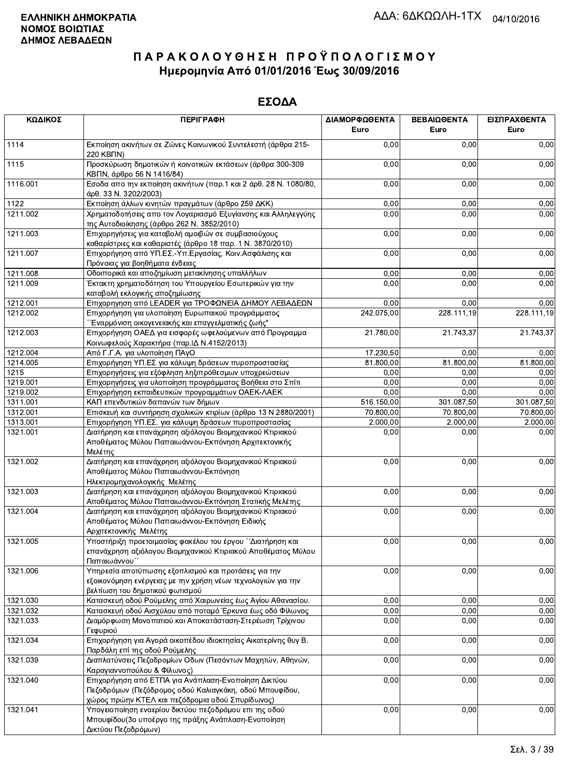| ΚΩΔΙΚΟΣ  | <b>ПЕРІГРАФН</b>                                                                                                                                                                                  | ΔΙΑΜΟΡΦΩΘΕΝΤΑ<br>Euro | ΒΕΒΑΙΩΘΕΝΤΑ<br>Euro | ΕΙΣΠΡΑΧΘΕΝΤΑ<br>Euro |
|----------|---------------------------------------------------------------------------------------------------------------------------------------------------------------------------------------------------|-----------------------|---------------------|----------------------|
| 1114     | Εκποίηση ακινήτων σε Ζώνες Κοινωνικού Συντελεστή (άρθρα 215-<br>220 KBNN)                                                                                                                         | 0,00                  | 0,00                | 0,00                 |
| 1115     | Προσκύρωση δημοτικών ή κοινοτικών εκτάσεων (άρθρα 300-309<br>ΚΒΠΝ, άρθρο 56 Ν 1416/84)                                                                                                            | 0,00                  | 0,00                | 0,00                 |
| 1116.001 | Εσοδα απο την εκποίηση ακινήτων (παρ.1 και 2 άρθ. 28 Ν. 1080/80,<br>άρθ. 33 Ν. 3202/2003)                                                                                                         | 0,00                  | 0,00                | 0,00                 |
| 1122     | Εκποίηση άλλων κινητών πραγμάτων (άρθρο 259 ΔΚΚ)                                                                                                                                                  | 0,00                  | 0,00                | 0,00                 |
| 1211.002 | Χρηματοδοτήσεις απο τον Λογαριασμό Εξυγίανσης και Αλληλεγγύης<br>της Αυτοδιοίκησης (άρθρο 262 Ν. 3852/2010)                                                                                       | 0,00                  | 0,00                | 0,00                 |
| 1211.003 | Επιχορηγήσεις για καταβολή αμοιβών σε συμβασιούχους<br>καθαρίστριες και καθαριστές (άρθρο 18 παρ. 1 Ν. 3870/2010)                                                                                 | 0,00                  | 0,00                | 0,00                 |
| 1211.007 | Επιχορήγηση από ΥΠ.ΕΣ.-Υπ.Εργασίας, Κοιν.Ασφάλισης και<br>Πρόνοιας για βοηθήματα ένδειας                                                                                                          | 0,00                  | 0,00                | 0,00                 |
| 1211.008 | Οδοιπορικά και αποζημίωση μετακίνησης υπαλλήλων                                                                                                                                                   | 0,00                  | 0,00                | 0,00                 |
| 1211.009 | Έκτακτη χρηματοδότηση του Υπουργείου Εσωτερικών για την                                                                                                                                           | 0,00                  | 0,00                | 0,00                 |
|          | καταβολή εκλογικής αποζημίωσης                                                                                                                                                                    |                       |                     |                      |
| 1212.001 | Επιχορηγηση από LEADER για ΤΡΟΦΩΝΕΙΑ ΔΗΜΟΥ ΛΕΒΑΔΕΩΝ                                                                                                                                               | 0,00                  | 0,00                | 0,00                 |
| 1212.002 | Επιχορήγηση για υλοποίηση Ευρωπαικού προγράμματος<br>Έναρμόνιση οικογενειακής και επαγγελματικής ζωής"                                                                                            | 242.075,00            | 228.111,19          | 228.111,19           |
| 1212.003 | Επιχορήγηση ΟΑΕΔ για εισφορές ωφελούμενων από Προγραμμα                                                                                                                                           | 21.780,00             | 21.743,37           | 21.743,37            |
|          | Κοινωφελούς Χαρακτήρα (παρ. ΙΔ Ν.4152/2013)                                                                                                                                                       |                       |                     |                      |
| 1212.004 | Από Γ.Γ.Α. για υλοποίηση ΠΑγΟ                                                                                                                                                                     | 17.230,50             | 0,00                | 0,00                 |
| 1214.005 | Επιχορήγηση ΥΠ.ΕΣ για κάλυψη δράσεων πυροπροστασίας                                                                                                                                               | 81.800,00             | 81.800,00           | 81.800,00            |
| 1215     | Επιχορηγήσεις για εξόφληση ληξιπρόθεσμων υποχρεώσεων                                                                                                                                              | 0,00                  | 0,00                | 0,00                 |
| 1219.001 | Επιχορηγήσεις για υλοποίηση προγράμματος Βοήθεια στο Σπίτι                                                                                                                                        | 0,00                  | 0,00                | 0,00                 |
| 1219.002 | Επιχορήγηση εκπαιδευτικών προγραμμάτων ΟΑΕΚ-ΛΑΕΚ                                                                                                                                                  | 0,00                  | 0,00                | 0,00                 |
| 1311.001 | ΚΑΠ επενδυτικών δαπανών των δήμων                                                                                                                                                                 | 516.150,00            | 301.087,50          | 301.087,50           |
| 1312.001 | Επισκευή και συντήρηση σχολικών κτιρίων (άρθρο 13 Ν 2880/2001)                                                                                                                                    | 70.800,00             | 70.800,00           | 70.800,00            |
| 1313.001 | Επιχορήγηση ΥΠ.ΕΣ. για κάλυψη δράσεων πυροπροστασίας                                                                                                                                              | 2.000,00              | 2.000,00            | 2.000,00             |
| 1321.001 | Διατήρηση και επανάχρηση αξιόλογου Βιομηχανικού Κτιριακού<br>Αποθέματος Μύλου Παπαιωάννου-Εκπόνηση Αρχιτεκτονικής<br>Μελέτης                                                                      | 0,00                  | 0,00                | 0,00                 |
| 1321.002 | Διατήρηση και επανάχρηση αξιόλογου Βιομηχανικού Κτιριακού<br>Αποθέματος Μύλου Παπαιωάννου-Εκπόνηση<br>Ηλεκτρομηχανολογικής Μελέτης                                                                | 0,00                  | 0,00                | 0,00                 |
| 1321.003 | Διατήρηση και επανάχρηση αξιόλογου Βιομηχανικού Κτιριακού<br>Αποθέματος Μύλου Παπαιωάννου-Εκπόνηση Στατικής Μελέτης                                                                               | 0,00                  | 0,00                | 0,00                 |
| 1321.004 | Διατήρηση και επανάχρηση αξιόλογου Βιομηχανικού Κτιριακού<br>Αποθέματος Μύλου Παπαιωάννου-Εκπόνηση Ειδικής<br>Αρχιτεκτονικής Μελέτης                                                              | 0,00                  | 0,00                | 0,00                 |
| 1321.005 | Υποστήριξη προετοιμασίας φακέλου του έργου ΄΄Διατήρηση και<br>επανάχρηση αξιόλογου Βιομηχανικού Κτιριακού Αποθέματος Μύλου<br>Παπαιωάννου΄                                                        | 0,00                  | 0,00                | 0,00                 |
| 1321.006 | Υπηρεσία αποτύπωσης εξοπλισμού και προτάσεις για την<br>εξοικονόμηση ενέργειας με την χρήση νέων τεχνολογιών για την<br>βελτίωση του δημοτικού φωτισμού                                           | 0,00                  | 0,00                | 0,00                 |
| 1321.030 | Κατασκευή οδού Ρούμελης από Χαιρωνείας έως Αγίου Αθανασίου.                                                                                                                                       | 0,00                  | 0,00                | 0,00                 |
| 1321.032 | Κατασκευή οδού Αισχύλου από ποταμό Έρκυνα έως οδό Φίλωνος                                                                                                                                         | 0,00                  | 0,00                | 0,00                 |
| 1321.033 | Διαμόρφωση Μονοπατιού και Αποκατάσταση-Στερέωση Τρίχινου<br>Γεφυριού                                                                                                                              | 0,00                  | 0,00                | 0,00                 |
| 1321.034 | Επιχορήγηση για Αγορά οικοπέδου ιδιοκτησίας Αικατερίνης θυγ Β.<br>Παρδάλη επί της οδού Ρούμελης                                                                                                   | 0,00                  | 0,00                | 0,00                 |
| 1321.039 | Διαπλατύνσεις Πεζοδρομίων Οδων (Πεσόντων Μαχητών, Αθηνών,                                                                                                                                         | 0,00                  | 0,00                | 0,00                 |
| 1321.040 | Καραγιαννοπούλου & Φίλωνος)<br>Επιχορήγηση από ΕΤΠΑ για Ανάπλαση-Ενοποίηση Δικτύου<br>Πεζοδρόμων (Πεζόδρομος οδού Καλιαγκάκη, οδού Μπουφίδου,<br>χώρος πρώην ΚΤΕΛ και πεζόδρομια οδού Σπυρίδωνος) | 0,00                  | 0,00                | 0,00                 |
| 1321.041 | Υπογειοποίηση εναερίου δικτύου πεζοδρόμου επι της οδού<br>Μπουφίδου (3ο υποέργο της πράξης Ανάπλαση-Ενοποίηση<br>Δικτύου Πεζοδρόμων)                                                              | 0,00                  | 0,00                | 0,00                 |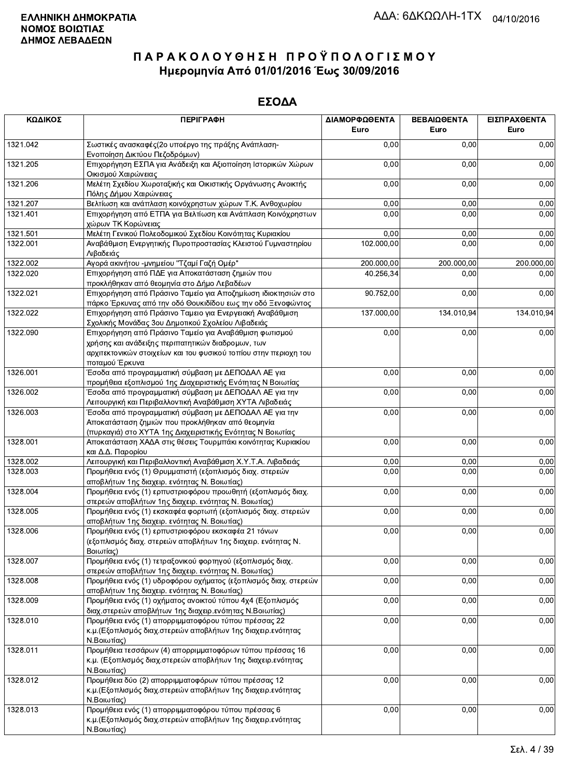| ΚΩΔΙΚΟΣ  | <b>ПЕРІГРАФН</b>                                                                                                                                                                | ΔΙΑΜΟΡΦΩΘΕΝΤΑ<br>Euro | ΒΕΒΑΙΩΘΕΝΤΑ<br>Euro | ΕΙΣΠΡΑΧΘΕΝΤΑ<br>Euro |
|----------|---------------------------------------------------------------------------------------------------------------------------------------------------------------------------------|-----------------------|---------------------|----------------------|
| 1321.042 | Σωστικές ανασκαφές (2ο υποέργο της πράξης Ανάπλαση-<br>Ενοποίηση Δικτύου Πεζοδρόμων)                                                                                            | 0,00                  | 0,00                | 0,00                 |
| 1321.205 | Επιχορήγηση ΕΣΠΑ για Ανάδειξη και Αξιοποίηση Ιστορικών Χώρων<br>Οικισμού Χαιρώνειας                                                                                             | 0,00                  | 0,00                | 0,00                 |
| 1321.206 | Μελέτη Σχεδίου Χωροταξικής και Οικιστικής Οργάνωσης Ανοικτής<br>Πόλης Δήμου Χαιρώνειας                                                                                          | 0,00                  | 0,00                | 0,00                 |
| 1321.207 | Βελτίωση και ανάπλαση κοινόχρηστων χώρων Τ.Κ. Ανθοχωρίου                                                                                                                        | 0,00                  | 0,00                | 0,00                 |
| 1321.401 | Επιχορήγηση από ΕΤΠΑ για Βελτίωση και Ανάπλαση Κοινόχρηστων<br>χώρων ΤΚ Κορώνειας                                                                                               | 0,00                  | 0,00                | 0,00                 |
| 1321.501 | Μελέτη Γενικού Πολεοδομικού Σχεδίου Κοινότητας Κυριακίου                                                                                                                        | 0,00                  | 0,00                | 0,00                 |
| 1322.001 | Αναβάθμιση Ενεργητικής Πυροπροστασίας Κλειστού Γυμναστηρίου<br>Λιβαδειάς                                                                                                        | 102.000,00            | 0,00                | 0,00                 |
| 1322.002 | Αγορά ακινήτου -μνημείου "Τζαμί Γαζή Ομέρ"                                                                                                                                      | 200.000,00            | 200.000,00          | 200.000,00           |
| 1322.020 | Επιχορήγηση από ΠΔΕ για Αποκατάσταση ζημιών που<br>προκλήθηκαν από θεομηνία στο Δήμο Λεβαδέων                                                                                   | 40.256,34             | 0,00                | 0,00                 |
| 1322.021 | Επιχορήγηση από Πράσινο Ταμείο για Αποζημίωση ιδιοκτησιών στο<br>πάρκο Έρκυνας από την οδό Θουκιδίδου εως την οδό Ξενοφώντος                                                    | 90.752,00             | 0,00                | 0,00                 |
| 1322.022 | Επιχορήγηση από Πράσινο Ταμειο για Ενεργειακή Αναβάθμιση<br>Σχολικής Μονάδας 3ου Δημοτικού Σχολείου Λιβαδειάς                                                                   | 137.000,00            | 134.010,94          | 134.010,94           |
| 1322.090 | Επιχορήγηση από Πράσινο Ταμείο για Αναβάθμιση φωτισμού<br>χρήσης και ανάδειξης περιπατητικών διαδρομων, των<br>αρχιτεκτονικών στοιχείων και του φυσικού τοπίου στην περιοχη του | 0,00                  | 0,00                | 0,00                 |
| 1326.001 | ποταμού Έρκυνα<br>Έσοδα από προγραμματική σύμβαση με ΔΕΠΟΔΑΛ ΑΕ για                                                                                                             | 0,00                  | 0,00                | 0,00                 |
| 1326.002 | προμήθεια εξοπλισμού 1ης Διαχειριστικής Ενότητας Ν Βοιωτίας<br>Έσοδα από προγραμματική σύμβαση με ΔΕΠΟΔΑΛ ΑΕ για την                                                            | 0,00                  | 0,00                | 0,00                 |
|          | Λειτουργική και Περιβαλλοντική Αναβάθμιση ΧΥΤΑ Λιβαδειάς                                                                                                                        |                       |                     |                      |
| 1326.003 | Έσοδα από προγραμματική σύμβαση με ΔΕΠΟΔΑΛ ΑΕ για την<br>Αποκατάσταση ζημιών που προκλήθηκαν από θεομηνία                                                                       | 0,00                  | 0,00                | 0,00                 |
| 1328.001 | (πυρκαγιά) στο XYTA 1ης Διαχειριστικής Ενότητας Ν Βοιωτίας<br>Αποκατάσταση ΧΑΔΑ στις θέσεις Τουρμπάκι κοινότητας Κυριακίου                                                      | 0,00                  | 0,00                | 0,00                 |
|          | και Δ.Δ. Παρορίου                                                                                                                                                               |                       |                     |                      |
| 1328.002 | Λειτουργική και Περιβαλλοντική Αναβάθμιση Χ.Υ.Τ.Α. Λιβαδειάς                                                                                                                    | 0,00<br>0,00          | 0,00                | 0,00                 |
| 1328.003 | Προμήθεια ενός (1) Θρυμματιστή (εξοπλισμός διαχ. στερεών<br>αποβλήτων 1ης διαχειρ. ενότητας Ν. Βοιωτίας)                                                                        |                       | 0,00                | 0,00                 |
| 1328.004 | Προμήθεια ενός (1) ερπυστριοφόρου προωθητή (εξοπλισμός διαχ.<br>στερεών αποβλήτων 1ης διαχειρ. ενότητας Ν. Βοιωτίας)                                                            | 0,00                  | 0,00                | 0,00                 |
| 1328.005 | Προμήθεια ενός (1) εκσκαφέα φορτωτή (εξοπλισμός διαχ. στερεών<br>αποβλήτων 1ης διαχειρ. ενότητας Ν. Βοιωτίας)                                                                   | 0,00                  | 0,00                | 0,00                 |
| 1328.006 | Προμήθεια ενός (1) ερπυστριοφόρου εκσκαφέα 21 τόνων<br>(εξοπλισμός διαχ. στερεών αποβλήτων 1ης διαχειρ. ενότητας Ν.<br>Βοιωτίας)                                                | 0,00                  | 0,00                | 0,00                 |
| 1328.007 | Προμήθεια ενός (1) τετραξονικού φορτηγού (εξοπλισμός διαχ.<br>στερεών αποβλήτων 1ης διαχειρ. ενότητας Ν. Βοιωτίας)                                                              | 0,00                  | 0,00                | 0,00                 |
| 1328.008 | Προμήθεια ενός (1) υδροφόρου οχήματος (εξοπλισμός διαχ. στερεών<br>αποβλήτων 1ης διαχειρ. ενότητας Ν. Βοιωτίας)                                                                 | 0,00                  | 0,00                | 0,00                 |
| 1328.009 | Προμήθεια ενός (1) οχήματος ανοικτού τύπου 4χ4 (Εξοπλισμός<br>διαχ.στερεών αποβλήτων 1ης διαχειρ.ενότητας Ν.Βοιωτίας)                                                           | 0,00                  | 0,00                | 0,00                 |
| 1328.010 | Προμήθεια ενός (1) απορριμματοφόρου τύπου πρέσσας 22<br>κ.μ. (Εξοπλισμός διαχ.στερεών αποβλήτων 1ης διαχειρ.ενότητας<br>Ν.Βοιωτίας)                                             | 0,00                  | 0,00                | 0,00                 |
| 1328.011 | Προμήθεια τεσσάρων (4) απορριμματοφόρων τύπου πρέσσας 16<br>κ.μ. (Εξοπλισμός διαχ.στερεών αποβλήτων 1ης διαχειρ.ενότητας<br>Ν.Βοιωτίας)                                         | 0,00                  | 0,00                | 0,00                 |
| 1328.012 | Προμήθεια δύο (2) απορριμματοφόρων τύπου πρέσσας 12<br>κ.μ. (Εξοπλισμός διαχ.στερεών αποβλήτων 1ης διαχειρ.ενότητας<br>Ν.Βοιωτίας)                                              | 0,00                  | 0,00                | 0,00                 |
| 1328.013 | Προμήθεια ενός (1) απορριμματοφόρου τύπου πρέσσας 6<br>κ.μ. (Εξοπλισμός διαχ. στερεών αποβλήτων 1ης διαχειρ. ενότητας<br>Ν.Βοιωτίας)                                            | 0,00                  | 0,00                | 0,00                 |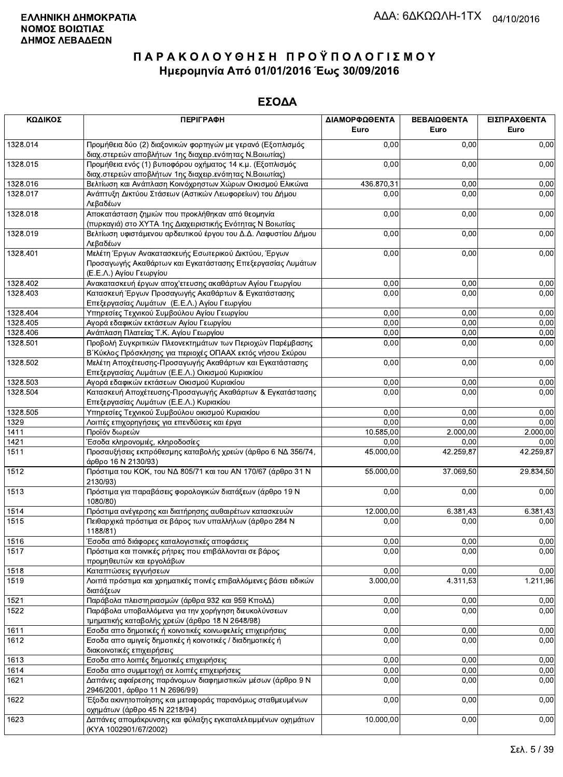| ΚΩΔΙΚΟΣ              | <b>ПЕРІГРАФН</b>                                                                                                                                          | ΔΙΑΜΟΡΦΩΘΕΝΤΑ<br>Euro | ΒΕΒΑΙΩΘΕΝΤΑ<br>Euro | ΕΙΣΠΡΑΧΘΕΝΤΑ<br>Euro |
|----------------------|-----------------------------------------------------------------------------------------------------------------------------------------------------------|-----------------------|---------------------|----------------------|
| 1328.014             | Προμήθεια δύο (2) διαξονικών φορτηγών με γερανό (Εξοπλισμός<br>διαχ.στερεών αποβλήτων 1ης διαχειρ.ενότητας Ν.Βοιωτίας)                                    | 0,00                  | 0,00                | 0,00                 |
| 1328.015             | Προμήθεια ενός (1) βυτιοφόρου οχήματος 14 κ.μ. (Εξοπλισμός<br>διαχ.στερεών αποβλήτων 1ης διαχειρ.ενότητας Ν.Βοιωτίας)                                     | 0,00                  | 0,00                | 0,00                 |
| 1328.016             | Βελτίωση και Ανάπλαση Κοινόχρηστων Χώρων Οικισμού Ελικώνα                                                                                                 | 436.870,31            | 0,00                | 0,00                 |
| 1328.017             | Ανάπτυξη Δικτύου Στάσεων (Αστικών Λεωφορείων) του Δήμου<br>Λεβαδέων                                                                                       | 0,00                  | 0,00                | 0,00                 |
| 1328.018             | Αποκατάσταση ζημιών που προκλήθηκαν από θεομηνία<br>(πυρκαγιά) στο ΧΥΤΑ 1ης Διαχειριστικής Ενότητας Ν Βοιωτίας                                            | 0,00                  | 0,00                | 0,00                 |
| 1328.019             | Βελτίωση υφιστάμενου αρδευτικού έργου του Δ.Δ. Λαφυστίου Δήμου                                                                                            | 0,00                  | 0,00                | 0,00                 |
| 1328.401             | Λεβαδέων<br>Μελέτη Έργων Ανακατασκευής Εσωτερικού Δικτύου, Έργων<br>Προσαγωγής Ακαθάρτων και Εγκατάστασης Επεξεργασίας Λυμάτων<br>(Ε.Ε.Λ.) Αγίου Γεωργίου | 0,00                  | 0,00                | 0,00                 |
| 1328.402             | Ανακατασκευή έργων αποχ'ετευσης ακαθάρτων Αγίου Γεωργίου                                                                                                  | 0,00                  | 0,00                | 0,00                 |
| 1328.403             | Κατασκευή Έργων Προσαγωγής Ακαθάρτων & Εγκατάστασης<br>Επεξεργασίας Λυμάτων (Ε.Ε.Λ.) Αγίου Γεωργίου                                                       | 0,00                  | 0,00                | 0,00                 |
| 1328.404             | Υπηρεσίες Τεχνικού Συμβούλου Αγίου Γεωργίου                                                                                                               | 0,00                  | 0,00                | 0,00                 |
| 1328.405             | Αγορά εδαφικών εκτάσεων Αγίου Γεωργίου                                                                                                                    | 0,00                  | 0,00                | 0,00                 |
| 1328.406             | Ανάπλαση Πλατείας Τ.Κ. Αγίου Γεωργίου                                                                                                                     | 0,00                  | 0,00                | 0,00                 |
| 1328.501             | Προβολή Συγκριτικών Πλεονεκτημάτων των Περιοχών Παρέμβασης<br>Β΄ Κύκλος Πρόσκλησης για περιοχές ΟΠΑΑΧ εκτός νήσου Σκύρου                                  | 0,00                  | 0,00                | 0,00                 |
| 1328.502             | Μελέτη Αποχέτευσης-Προσαγωγής Ακαθάρτων και Εγκατάστασης                                                                                                  | 0,00                  | 0,00                | 0,00                 |
|                      | Επεξεργασίας Λυμάτων (Ε.Ε.Λ.) Οικισμού Κυριακίου                                                                                                          |                       |                     |                      |
| 1328.503<br>1328.504 | Αγορά εδαφικών εκτάσεων Οικισμού Κυριακίου<br>Κατασκευή Αποχέτευσης-Προσαγωγής Ακαθάρτων & Εγκατάστασης                                                   | 0,00<br>0,00          | 0,00<br>0,00        | 0,00<br>0,00         |
|                      | Επεξεργασίας Λυμάτων (Ε.Ε.Λ.) Κυριακίου                                                                                                                   |                       |                     |                      |
| 1328.505<br>1329     | Υπηρεσίες Τεχνικού Συμβούλου οικισμού Κυριακίου                                                                                                           | 0,00<br>0,00          | 0,00<br>0.00        | 0,00<br>0,00         |
| 1411                 | Λοιπές επιχορηγήσεις για επενδύσεις και έργα<br>Προϊόν δωρεών                                                                                             | 10.585,00             | 2.000,00            | 2.000,00             |
| 1421                 | Έσοδα κληρονομιές, κληροδοσίες                                                                                                                            | 0,00                  | 0,00                | 0,00                 |
| 1511                 | Προσαυξήσεις εκπρόθεσμης καταβολής χρεών (άρθρο 6 ΝΔ 356/74,<br>άρθρο 16 Ν 2130/93)                                                                       | 45.000,00             | 42.259,87           | 42.259,87            |
| 1512                 | Πρόστιμα του ΚΟΚ, του ΝΔ 805/71 και του ΑΝ 170/67 (άρθρο 31 Ν<br>2130/93)                                                                                 | 55.000,00             | 37.069,50           | 29.834,50            |
| 1513                 | Πρόστιμα για παραβάσεις φορολογικών διατάξεων (άρθρο 19 Ν<br>1080/80)                                                                                     | 0,00                  | 0,00                | 0,00                 |
|                      |                                                                                                                                                           |                       |                     |                      |
| 1514<br>1515         | Πρόστιμα ανέγερσης και διατήρησης αυθαιρέτων κατασκευών<br>Πειθαρχικά πρόστιμα σε βάρος των υπαλλήλων (άρθρο 284 Ν                                        | 12.000,00<br>0,00     | 6.381,43<br>0,00    | 6.381,43<br>0,00     |
|                      | 1188/81)                                                                                                                                                  |                       |                     |                      |
| 1516<br>1517         | Έσοδα από διάφορες καταλογιστικές αποφάσεις<br>Πρόστιμα και ποινικές ρήτρες που επιβάλλονται σε βάρος                                                     | 0,00<br>0,00          | 0,00<br>0,00        | 0,00<br>0,00         |
|                      | προμηθευτών και εργολάβων                                                                                                                                 |                       |                     |                      |
| 1518                 | Καταπτώσεις εγγυήσεων                                                                                                                                     | 0,00                  | 0,00                | 0,00                 |
| 1519                 | Λοιπά πρόστιμα και χρηματικές ποινές επιβαλλόμενες βάσει ειδικών<br>διατάξεων                                                                             | 3.000,00              | 4.311,53            | 1.211,96             |
| 1521                 | Παράβολα πλειστηριασμών (άρθρα 932 και 959 ΚπολΔ)                                                                                                         | 0,00                  | 0,00                | 0,00                 |
| 1522                 | Παράβολα υποβαλλόμενα για την χορήγηση διευκολύνσεων<br>τμηματικής καταβολής χρεών (άρθρο 18 Ν 2648/98)                                                   | 0,00                  | 0,00                | 0,00                 |
| 1611                 | Εσοδα απο δημοτικές ή κοινοτικές κοινωφελείς επιχειρήσεις                                                                                                 | 0,00                  | 0,00                | 0,00                 |
| 1612                 | Εσοδα απο αμιγείς δημοτικές ή κοινοτικές / διαδημοτικές ή<br>διακοινοτικές επιχειρήσεις                                                                   | 0,00                  | 0,00                | 0,00                 |
| 1613                 | Εσοδα απο λοιπές δημοτικές επιχειρήσεις                                                                                                                   | 0,00                  | 0,00                | 0,00                 |
| 1614                 | Εσοδα απο συμμετοχή σε λοιπές επιχειρήσεις                                                                                                                | 0,00                  | 0,00                | 0,00                 |
| 1621                 | Δαπάνες αφαίρεσης παράνομων διαφημιστικών μέσων (άρθρο 9 Ν<br>2946/2001, άρθρο 11 Ν 2696/99)                                                              | 0,00                  | 0,00                | 0,00                 |
| 1622                 | Έξοδα ακινητοποίησης και μεταφοράς παρανόμως σταθμευμένων<br>οχημάτων (άρθρο 45 Ν 2218/94)                                                                | 0,00                  | 0,00                | 0,00                 |
| 1623                 | Δαπάνες απομάκρυνσης και φύλαξης εγκαταλελειμμένων οχημάτων<br>(KYA 1002901/67/2002)                                                                      | 10.000,00             | 0,00                | 0,00                 |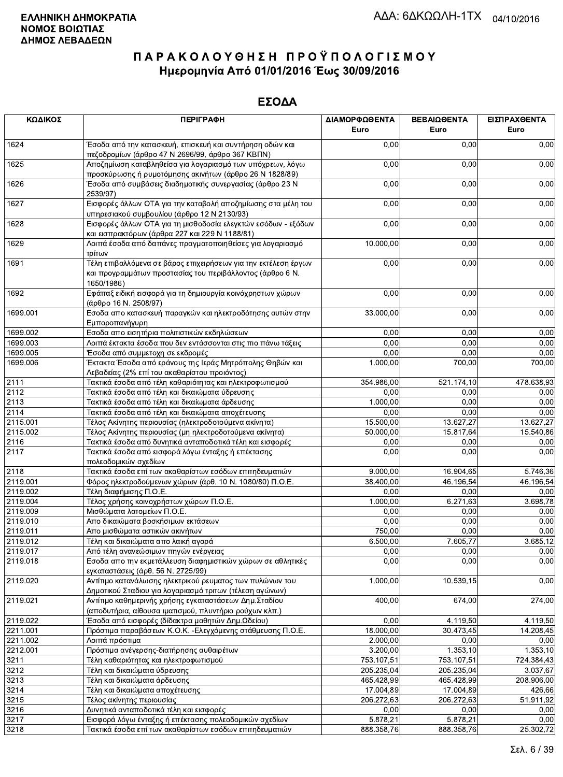| ΚΩΔΙΚΟΣ  | <b>ПЕРІГРАФН</b>                                                                                                                          | ΔΙΑΜΟΡΦΩΘΕΝΤΑ<br>Euro | ΒΕΒΑΙΩΘΕΝΤΑ<br>Euro | ΕΙΣΠΡΑΧΘΕΝΤΑ<br>Euro |
|----------|-------------------------------------------------------------------------------------------------------------------------------------------|-----------------------|---------------------|----------------------|
| 1624     | Έσοδα από την κατασκευή, επισκευή και συντήρηση οδών και<br>πεζοδρομίων (άρθρο 47 Ν 2696/99, άρθρο 367 ΚΒΠΝ)                              | 0,00                  | 0,00                | 0,00                 |
| 1625     | Αποζημίωση καταβληθείσα για λογαριασμό των υπόχρεων, λόγω<br>προσκύρωσης ή ρυμοτόμησης ακινήτων (άρθρο 26 Ν 1828/89)                      | 0,00                  | 0,00                | 0,00                 |
| 1626     | Έσοδα από συμβάσεις διαδημοτικής συνεργασίας (άρθρο 23 Ν<br>2539/97)                                                                      | 0,00                  | 0,00                | 0,00                 |
| 1627     | Εισφορές άλλων ΟΤΑ για την καταβολή αποζημίωσης στα μέλη του<br>υπηρεσιακού συμβουλίου (άρθρο 12 Ν 2130/93)                               | 0,00                  | 0,00                | 0,00                 |
| 1628     | Εισφορές άλλων ΟΤΑ για τη μισθοδοσία ελεγκτών εσόδων - εξόδων<br>και εισπρακτόρων (άρθρα 227 και 229 Ν 1188/81)                           | 0,00                  | 0,00                | 0,00                 |
| 1629     | Λοιπά έσοδα από δαπάνες πραγματοποιηθείσες για λογαριασμό<br>τρίτων                                                                       | 10.000,00             | 0,00                | 0,00                 |
| 1691     | Τέλη επιβαλλόμενα σε βάρος επιχειρήσεων για την εκτέλεση έργων<br>και προγραμμάτων προστασίας του περιβάλλοντος (άρθρο 6 Ν.<br>1650/1986) | 0,00                  | 0,00                | 0,00                 |
| 1692     | Εφάπαξ ειδική εισφορά για τη δημιουργία κοινόχρηστων χώρων<br>(άρθρο 16 Ν. 2508/97)                                                       | 0,00                  | 0,00                | 0,00                 |
| 1699.001 | Εσοδα απο κατασκευή παραγκών και ηλεκτροδότησης αυτών στην<br>Εμποροπανήγυρη                                                              | 33.000,00             | 0,00                | 0,00                 |
| 1699.002 | Εσοδα απο εισητήρια πολιτιστικών εκδηλώσεων                                                                                               | 0,00                  | 0,00                | 0,00                 |
| 1699.003 | Λοιπά έκτακτα έσοδα που δεν εντάσσονται στις πιο πάνω τάξεις                                                                              | 0,00                  | 0,00                | 0,00                 |
| 1699.005 | Έσοδα από συμμετοχη σε εκδρομές                                                                                                           | 0,00                  | 0,00                | 0,00                 |
| 1699.006 | Έκτακτα Έσοδα από εράνους της Ιεράς Μητρόπολης Θηβών και<br>Λεβαδείας (2% επί του ακαθαρίστου προιόντος)                                  | 1.000,00              | 700,00              | 700,00               |
| 2111     | Τακτικά έσοδα από τέλη καθαριότητας και ηλεκτροφωτισμού                                                                                   | 354.986,00            | 521.174,10          | 478.638,93           |
| 2112     | Τακτικά έσοδα από τέλη και δικαιώματα ύδρευσης                                                                                            | 0,00                  | 0,00                | 0,00                 |
| 2113     | Τακτικά έσοδα από τέλη και δικαίωματα άρδευσης                                                                                            | 1.000,00              | 0,00                | 0,00                 |
| 2114     | Τακτικά έσοδα από τέλη και δικαιώματα αποχέτευσης                                                                                         | 0,00                  | 0,00                | 0,00                 |
| 2115.001 | Τέλος Ακίνητης περιουσίας (ηλεκτροδοτούμενα ακίνητα)                                                                                      | 15.500,00             | 13.627,27           | 13.627,27            |
| 2115.002 | Τέλος Ακίνητης περιουσίας (μη ηλεκτροδοτούμενα ακίνητα)                                                                                   | 50.000,00             | 15.817,64           | 15.540,86            |
| 2116     | Τακτικά έσοδα από δυνητικά ανταποδοτικά τέλη και εισφορές                                                                                 | 0,00                  | 0,00                | 0,00                 |
| 2117     | Τακτικά έσοδα από εισφορά λόγω ένταξης ή επέκτασης<br>πολεοδομικών σχεδίων                                                                | 0,00                  | 0,00                | 0,00                 |
| 2118     | Τακτικά έσοδα επί των ακαθαρίστων εσόδων επιτηδευματιών                                                                                   | 9.000,00              | 16.904,65           | 5.746,36             |
| 2119.001 | Φόρος ηλεκτροδούμενων χώρων (άρθ. 10 Ν. 1080/80) Π.Ο.Ε.                                                                                   | 38.400,00             | 46.196,54           | 46.196,54            |
| 2119.002 | Τέλη διαφήμισης Π.Ο.Ε.                                                                                                                    | 0,00                  | 0,00                | 0,00                 |
| 2119.004 | Τέλος χρήσης κοινοχρήστων χώρων Π.Ο.Ε.                                                                                                    | 1.000,00              | 6.271,63            | 3.698,78             |
| 2119.009 | Μισθώματα λατομείων Π.Ο.Ε.                                                                                                                | 0,00                  | 0,00                | 0,00                 |
| 2119.010 | Απο δικαιώματα βοσκήσιμων εκτάσεων                                                                                                        | 0,00                  | 0,00                | 0,00                 |
| 2119.011 | Απο μισθώματα αστικών ακινήτων                                                                                                            | 750,00                | 0,00                | 0,00                 |
| 2119.012 | Τέλη και δικαιώματα απο λαική αγορά                                                                                                       | 6.500,00              | 7.605.77            | 3.685,12             |
| 2119.017 | Από τέλη ανανεώσιμων πηγών ενέργειας                                                                                                      | 0,00                  | 0,00                | 0,00                 |
| 2119.018 | Εσοδα απο την εκμετάλλευση διαφημιστικών χώρων σε αθλητικές<br>εγκαταστάσεις (άρθ. 56 Ν. 2725/99)                                         | 0,00                  | 0,00                | 0,00                 |
| 2119.020 | Αντίτιμο κατανάλωσης ηλεκτρικού ρευματος των πυλώνων του<br>Δημοτικού Σταδιου για λογαριασμό τριτων (τέλεση αγώνων)                       | 1.000,00              | 10.539,15           | 0,00                 |
| 2119.021 | Αντίτιμο καθημερινής χρήσης εγκαταστάσεων Δημ.Σταδίου<br>(αποδυτήρια, αίθουσα ιματισμού, πλυντήριο ρούχων κλπ.)                           | 400,00                | 674,00              | 274,00               |
| 2119.022 | Έσοδα από εισφορές (δίδακτρα μαθητών Δημ.Ωδείου)                                                                                          | 0,00                  | 4.119,50            | 4.119,50             |
| 2211.001 | Πρόστιμα παραβάσεων Κ.Ο.Κ. - Ελεγχόμενης στάθμευσης Π.Ο.Ε.                                                                                | 18.000,00             | 30.473,45           | 14.208,45            |
| 2211.002 | Λοιπά πρόστιμα                                                                                                                            | 2.000,00              | 0,00                | 0,00                 |
| 2212.001 | Πρόστιμα ανέγερσης-διατήρησης αυθαιρέτων                                                                                                  | 3.200,00              | 1.353, 10           | 1.353,10             |
| 3211     | Τέλη καθαριότητας και ηλεκτροφωτισμού                                                                                                     | 753.107,51            | 753.107,51          | 724.384,43           |
| 3212     | Τέλη και δικαιώματα ύδρευσης                                                                                                              | 205.235,04            | 205.235,04          | 3.037,67             |
| 3213     | Τέλη και δικαιώματα άρδευσης                                                                                                              | 465.428,99            | 465.428,99          | 208.906,00           |
| 3214     | Τέλη και δικαιώματα αποχέτευσης                                                                                                           | 17.004,89             | 17.004,89           | 426,66               |
| 3215     | Τέλος ακίνητης περιουσίας                                                                                                                 | 206.272,63            | 206.272,63          | 51.911,92            |
| 3216     | Δυνητικά ανταποδοτικά τέλη και εισφορές                                                                                                   | 0,00                  | 0,00                | 0,00                 |
| 3217     | Εισφορά λόγω ένταξης ή επέκτασης πολεοδομικών σχεδίων                                                                                     | 5.878,21              | 5.878,21            | 0,00                 |
| 3218     | Τακτικά έσοδα επί των ακαθαρίστων εσόδων επιτηδευματιών                                                                                   | 888.358,76            | 888.358,76          | 25.302,72            |
|          |                                                                                                                                           |                       |                     |                      |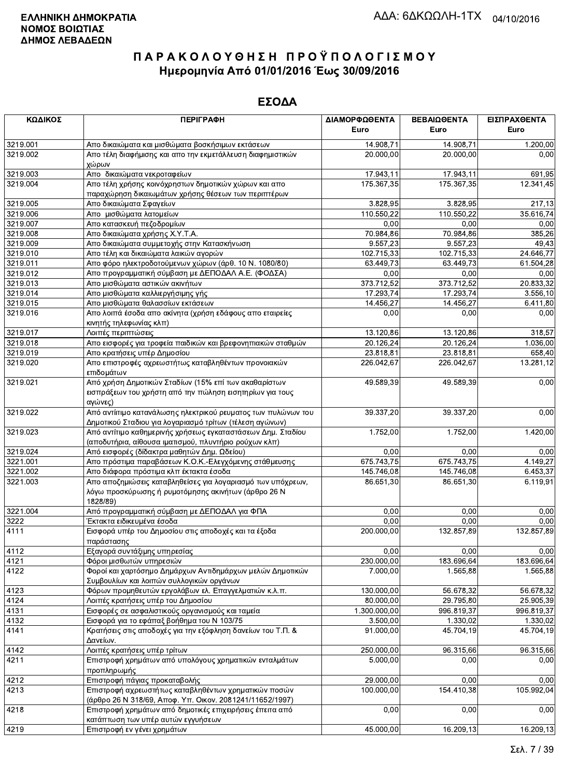| ΚΩΔΙΚΟΣ      | <b>ПЕРІГРАФН</b>                                                                                                               | ΔΙΑΜΟΡΦΩΘΕΝΤΑ<br>Euro | ΒΕΒΑΙΩΘΕΝΤΑ<br>Euro | ΕΙΣΠΡΑΧΘΕΝΤΑ<br>Euro |
|--------------|--------------------------------------------------------------------------------------------------------------------------------|-----------------------|---------------------|----------------------|
| 3219.001     | Απο δικαιώματα και μισθώματα βοσκήσιμων εκτάσεων                                                                               | 14.908,71             | 14.908,71           | 1.200,00             |
| 3219.002     | Απο τέλη διαφήμισης και απο την εκμετάλλευση διαφημιστικών<br>χώρων                                                            | 20.000,00             | 20.000,00           | 0,00                 |
| 3219.003     | Απο δικαιώματα νεκροταφείων                                                                                                    | 17.943,11             | 17.943,11           | 691,95               |
| 3219.004     | Απο τέλη χρήσης κοινόχρηστων δημοτικών χώρων και απο<br>παραχώρηση δικαιωμάτων χρήσης θέσεων των περιπτέρων                    | 175.367,35            | 175.367,35          | 12.341,45            |
| 3219.005     | Απο δικαιώματα Σφαγείων                                                                                                        | 3.828,95              | 3.828,95            | 217,13               |
| 3219.006     | Απο μισθώματα λατομείων                                                                                                        | 110.550,22            | 110.550,22          | 35.616,74            |
| 3219.007     | Απο κατασκευή πεζοδρομίων                                                                                                      | 0,00                  | 0,00                | 0,00                 |
| 3219.008     | Απο δικαιώματα χρήσης Χ.Υ.Τ.Α.                                                                                                 | 70.984,86             | 70.984,86           | 385,26               |
| 3219.009     | Απο δικαιώματα συμμετοχής στην Κατασκήνωση                                                                                     | 9.557,23              | 9.557,23            | 49,43                |
| 3219.010     | Απο τέλη και δικαιώματα λαικών αγορών                                                                                          | 102.715,33            | 102.715,33          | 24.646,77            |
| 3219.011     | Απο φόρο ηλεκτροδοτούμενων χώρων (άρθ. 10 Ν. 1080/80)                                                                          | 63.449,73             | 63.449,73           | 61.504,28            |
| 3219.012     | Απο προγραμματική σύμβαση με ΔΕΠΟΔΑΛ Α.Ε. (ΦΟΔΣΑ)                                                                              | 0,00                  | 0,00                | 0,00                 |
| 3219.013     | Απο μισθώματα αστικών ακινήτων                                                                                                 | 373.712,52            | 373.712,52          | 20.833,32            |
| 3219.014     | Απο μισθώματα καλλιεργήσιμης γής                                                                                               | 17.293,74             | 17.293,74           | 3.556,10             |
| 3219.015     | Απο μισθώματα θαλασσίων εκτάσεων                                                                                               | 14.456,27             | 14.456,27           | 6.411,80             |
| 3219.016     | Απο λοιπά έσοδα απο ακίνητα (χρήση εδάφους απο εταιρείες<br>κινητής τηλεφωνίας κλπ)                                            | 0,00                  | 0,00                | 0,00                 |
| 3219.017     | Λοιπές περιπτώσεις                                                                                                             | 13.120,86             | 13.120,86           | 318,57               |
| 3219.018     | Απο εισφορές για τροφεία παιδικών και βρεφονηπιακών σταθμών                                                                    | 20.126,24             | 20.126,24           | 1.036.00             |
| 3219.019     | Απο κρατήσεις υπέρ Δημοσίου                                                                                                    | 23.818,81             | 23.818,81           | 658,40               |
| 3219.020     | Απο επιστροφές αχρεωστήτως καταβληθέντων προνοιακών<br>επιδομάτων                                                              | 226.042,67            | 226.042,67          | 13.281,12            |
| 3219.021     | Από χρήση Δημοτικών Σταδίων (15% επί των ακαθαρίστων<br>εισπράξεων του χρήστη από την πώληση εισητηρίων για τους<br>αγώνες)    | 49.589,39             | 49.589,39           | 0,00                 |
| 3219.022     | Από αντίιτιμο κατανάλωσης ηλεκτρικού ρευματος των πυλώνων του<br>Δημοτικού Σταδιου για λογαριασμό τρίτων (τέλεση αγώνων)       | 39.337,20             | 39.337,20           | 0,00                 |
| 3219.023     | Από αντίτιμο καθημερινής χρήσεως εγκαταστάσεων Δημ. Σταδίου<br>(αποδυτήρια, αίθουσα ιματισμού, πλυντήριο ρούχων κλπ)           | 1.752,00              | 1.752,00            | 1.420,00             |
| 3219.024     | Από εισφορές (δίδακτρα μαθητών Δημ. Ωδείου)                                                                                    | 0,00                  | 0,00                | 0,00                 |
| 3221.001     | Απο πρόστιμα παραβάσεων Κ.Ο.Κ.-Ελεγχόμενης στάθμευσης                                                                          | 675.743,75            | 675.743,75          | 4.149,27             |
| 3221.002     | Απο διάφορα πρόστιμα κλπ έκτακτα έσοδα                                                                                         | 145.746,08            | 145.746,08          | 6.453,37             |
| 3221.003     | Απο αποζημιώσεις καταβληθείσες για λογαριασμό των υπόχρεων,<br>λόγω προσκύρωσης ή ρυμοτόμησης ακινήτων (άρθρο 26 Ν<br>1828/89) | 86.651,30             | 86.651,30           | 6.119,91             |
| 3221.004     | Από προγραμματική σύμβαση με ΔΕΠΟΔΑΛ για ΦΠΑ                                                                                   | 0,00                  | 0,00                | 0,00                 |
| 3222         | Έκτακτα ειδικευμένα έσοδα                                                                                                      | 0,00                  | 0,00                | 0,00                 |
| 4111         | Εισφορά υπέρ του Δημοσίου στις αποδοχές και τα έξοδα                                                                           | 200.000,00            | 132.857,89          | 132.857,89           |
|              | παράστασης<br>Εξαγορά συντάξιμης υπηρεσίας                                                                                     | 0,00                  | 0,00                | 0,00                 |
| 4112<br>4121 | Φόροι μισθωτών υπηρεσιών                                                                                                       | 230.000.00            | 183.696,64          | 183.696,64           |
| 4122         | Φοροί και χαρτόσημο Δημάρχων Αντιδημάρχων μελών Δημοτικών                                                                      | 7.000,00              | 1.565,88            | 1.565,88             |
|              | Συμβουλίων και λοιπών συλλογικών οργάνων                                                                                       |                       |                     |                      |
| 4123         | Φόρων προμηθευτών εργολάβων ελ. Επαγγελματιών κ.λ.π.                                                                           | 130.000,00            | 56.678,32           | 56.678,32            |
| 4124         | Λοιπές κρατήσεις υπέρ του Δημοσίου                                                                                             | 80.000,00             | 29.795,80           | 25.905,39            |
| 4131         | Εισφορές σε ασφαλιστικούς οργανισμούς και ταμεία                                                                               | 1.300.000,00          | 996.819,37          | 996.819,37           |
| 4132         | Εισφορά για το εφάπαξ βοήθημα του Ν 103/75                                                                                     | 3.500,00              | 1.330,02            | 1.330,02             |
| 4141         | Κρατήσεις στις αποδοχές για την εξόφληση δανείων του Τ.Π. &<br>Δανείων.                                                        | 91.000.00             | 45.704,19           | 45.704,19            |
| 4142         | Λοιπές κρατήσεις υπέρ τρίτων                                                                                                   | 250.000,00            | 96.315,66           | 96.315,66            |
| 4211         | Επιστροφή χρημάτων από υπολόγους χρηματικών ενταλμάτων<br>προπληρωμής                                                          | 5.000,00              | 0,00                | 0,00                 |
| 4212         | Επιστροφή πάγιας προκαταβολής                                                                                                  | 29.000,00             | 0,00                | 0,00                 |
| 4213         | Επιστροφή αχρεωστήτως καταβληθέντων χρηματικών ποσών<br>(άρθρο 26 Ν 318/69, Αποφ. Υπ. Οικον. 2081241/11652/1997)               | 100.000,00            | 154.410,38          | 105.992,04           |
| 4218         | Επιστροφή χρημάτων από δημοτικές επιχειρήσεις έπειτα από<br>κατάπτωση των υπέρ αυτών εγγυήσεων                                 | 0,00                  | 0,00                | 0,00                 |
| 4219         | Επιστροφή εν γένει χρημάτων                                                                                                    | 45.000,00             | 16.209,13           | 16.209,13            |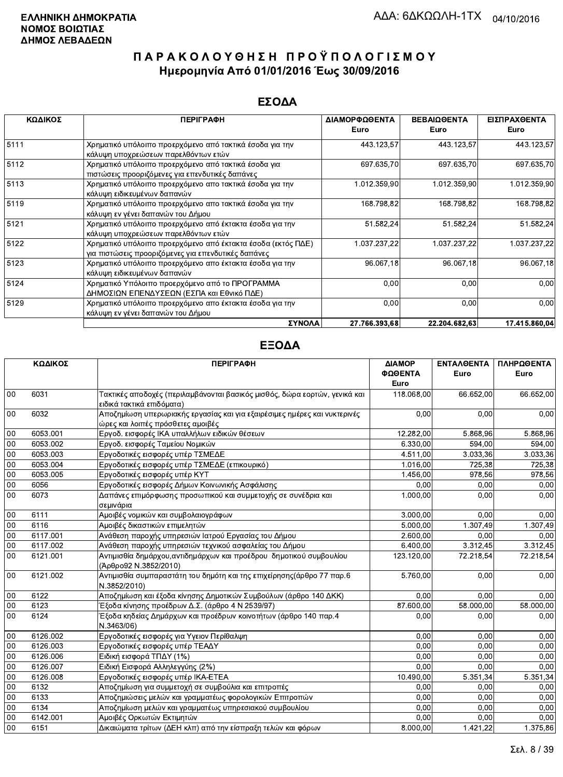### ΕΣΟΔΑ

| ΚΩΔΙΚΟΣ | <b>ПЕРІГРАФН</b>                                                                                                    | ΔΙΑΜΟΡΦΩΘΕΝΤΑ<br>Euro | ΒΕΒΑΙΩΘΕΝΤΑ<br>Euro | ΕΙΣΠΡΑΧΘΕΝΤΑ<br>Euro |
|---------|---------------------------------------------------------------------------------------------------------------------|-----------------------|---------------------|----------------------|
| 5111    | Χρηματικό υπόλοιπο προερχόμενο από τακτικά έσοδα για την<br>κάλυψη υποχρεώσεων παρελθόντων ετών                     | 443.123,57            | 443.123,57          | 443.123,57           |
| 5112    | Χρηματικό υπόλοιπο προερχόμενο από τακτικά έσοδα για<br>πιστώσεις προοριζόμενες για επενδυτικές δαπάνες             | 697.635,70            | 697.635,70          | 697.635,70           |
| 5113    | Χρηματικό υπόλοιπο προερχόμενο απο τακτικά έσοδα για την<br>κάλυψη ειδικευμένων δαπανών                             | 1.012.359,90          | 1.012.359,90        | 1.012.359,90         |
| 5119    | Χρηματικό υπόλοιπο προερχόμενο απο τακτικά έσοδα για την<br>κάλυψη εν γένει δαπανών του Δήμου                       | 168.798,82            | 168.798,82          | 168.798,82           |
| 5121    | Χρηματικό υπόλοιπο προερχόμενο από έκτακτα έσοδα για την<br>κάλυψη υποχρεώσεων παρελθόντων ετών                     | 51.582,24             | 51.582,24           | 51.582,24            |
| 5122    | Χρηματικό υπόλοιπο προερχόμενο από έκτακτα έσοδα (εκτός ΠΔΕ)<br>για πιστώσεις προοριζόμενες για επενδυτικές δαπάνες | 1.037.237,22          | 1.037.237,22        | 1.037.237,22         |
| 5123    | Χρηματικό υπόλοιπο προερχόμενο απο έκτακτα έσοδα για την<br>κάλυψη ειδικευμένων δαπανών                             | 96.067,18             | 96.067,18           | 96.067,18            |
| 5124    | Χρηματικό Υπόλοιπο προερχόμενο από το ΠΡΟΓΡΑΜΜΑ<br>ΔΗΜΟΣΙΩΝ ΕΠΕΝΔΥΣΕΩΝ (ΕΣΠΑ και Εθνικό ΠΔΕ)                        | 0,00                  | 0,00                | 0,00                 |
| 5129    | Χρηματικό υπόλοιπο προερχόμενο απο έκτακτα έσοδα για την<br>κάλυψη εν γένει δαπανών του Δήμου                       | 0,00                  | 0,00                | 0,00                 |
|         | ΣΥΝΟΛΑ                                                                                                              | 27.766.393.68         | 22.204.682.63       | 17.415.860.04        |

|        | ΚΩΔΙΚΟΣ  | <b>ПЕРІГРАФН</b>                                                           | ΔΙΑΜΟΡ     | <b>ENTAA@ENTA</b> | ΠΛΗΡΩΘΕΝΤΑ |
|--------|----------|----------------------------------------------------------------------------|------------|-------------------|------------|
|        |          |                                                                            | ΦΩΘΕΝΤΑ    | Euro              | Euro       |
|        |          |                                                                            | Euro       |                   |            |
| 00     | 6031     | Τακτικές αποδοχές (περιλαμβάνονται βασικός μισθός, δώρα εορτών, γενικά και | 118.068,00 | 66.652,00         | 66.652,00  |
|        |          | ειδικά τακτικά επιδόματα)                                                  |            |                   |            |
| 00     | 6032     | Αποζημίωση υπερωριακής εργασίας και για εξαιρέσιμες ημέρες και νυκτερινές  | 0,00       | 0,00              | 0,00       |
|        |          | ώρες και λοιπές πρόσθετες αμοιβές                                          |            |                   |            |
| 00     | 6053.001 | Εργοδ. εισφορές ΙΚΑ υπαλλήλων ειδικών θέσεων                               | 12.282,00  | 5.868,96          | 5.868,96   |
| 00     | 6053.002 | Εργοδ. εισφορές Ταμείου Νομικών                                            | 6.330.00   | 594,00            | 594.00     |
| $00\,$ | 6053.003 | Εργοδοτικές εισφορές υπέρ ΤΣΜΕΔΕ                                           | 4.511,00   | 3.033,36          | 3.033,36   |
| 00     | 6053.004 | Εργοδοτικές εισφορές υπέρ ΤΣΜΕΔΕ (επικουρικό)                              | 1.016,00   | 725,38            | 725,38     |
| 00     | 6053.005 | Εργοδοτικές εισφορές υπέρ ΚΥΤ                                              | 1.456,00   | 978.56            | 978,56     |
| 00     | 6056     | Εργοδοτικές εισφορές Δήμων Κοινωνικής Ασφάλισης                            | 0,00       | 0,00              | 0,00       |
| 00     | 6073     | Δαπάνες επιμόρφωσης προσωπικού και συμμετοχής σε συνέδρια και              | 1.000,00   | 0,00              | 0,00       |
|        |          | σεμινάρια                                                                  |            |                   |            |
| 00     | 6111     | Αμοιβές νομικών και συμβολαιογράφων                                        | 3.000,00   | 0,00              | 0,00       |
| 00     | 6116     | Αμοιβές δικαστικών επιμελητών                                              | 5.000,00   | 1.307,49          | 1.307,49   |
| 00     | 6117.001 | Ανάθεση παροχής υπηρεσιών Ιατρού Εργασίας του Δήμου                        | 2.600,00   | 0.00              | 0,00       |
| 00     | 6117.002 | Ανάθεση παροχής υπηρεσιών τεχνικού ασφαλείας του Δήμου                     | 6.400,00   | 3.312,45          | 3.312,45   |
| 00     | 6121.001 | Αντιμισθία δημάρχου, αντιδημάρχων και προέδρου δημοτικού συμβουλίου        | 123.120,00 | 72.218.54         | 72.218,54  |
|        |          | (Άρθρο92 Ν.3852/2010)                                                      |            |                   |            |
| 00     | 6121.002 | Αντιμισθία συμπαραστάτη του δημότη και της επιχείρησης (άρθρο 77 παρ.6     | 5.760,00   | 0,00              | 0,00       |
|        |          | N.3852/2010)                                                               |            |                   |            |
| $00\,$ | 6122     | Αποζημίωση και έξοδα κίνησης Δημοτικών Συμβούλων (άρθρο 140 ΔΚΚ)           | 0.00       | 0.00              | 0.00       |
| 00     | 6123     | Έξοδα κίνησης προέδρων Δ.Σ. (άρθρο 4 Ν 2539/97)                            | 87.600,00  | 58.000.00         | 58.000,00  |
| 00     | 6124     | Έξοδα κηδείας Δημάρχων και προέδρων κοινοτήτων (άρθρο 140 παρ.4            | 0.00       | 0,00              | 0,00       |
|        |          | N.3463/06)                                                                 |            |                   |            |
| $00\,$ | 6126.002 | Εργοδοτικές εισφορές για Υγειον Περίθαλψη                                  | 0.00       | 0.00              | 0,00       |
| 00     | 6126.003 | Εργοδοτικές εισφορές υπέρ ΤΕΑΔΥ                                            | 0.00       | 0.00              | 0.00       |
| 00     | 6126.006 | Ειδική εισφορά ΤΠΔΥ (1%)                                                   | 0.00       | 0,00              | 0,00       |
| $00\,$ | 6126.007 | Ειδική Εισφορά Αλληλεγγύης (2%)                                            | 0.00       | 0,00              | 0,00       |
| 00     | 6126.008 | Εργοδοτικές εισφορές υπέρ ΙΚΑ-ΕΤΕΑ                                         | 10.490,00  | 5.351,34          | 5.351,34   |
| 00     | 6132     | Αποζημίωση για συμμετοχή σε συμβούλια και επιτροπές                        | 0.00       | 0.00              | 0.00       |
| 00     | 6133     | Αποζημιώσεις μελών και γραμματέως φορολογικών Επιτροπών                    | 0,00       | 0,00              | 0,00       |
| 00     | 6134     | Αποζημίωση μελών και γραμματέως υπηρεσιακού συμβουλίου                     | 0,00       | 0,00              | 0,00       |
| 00     | 6142.001 | Αμοιβές Ορκωτών Εκτιμητών                                                  | 0,00       | 0,00              | 0,00       |
| 00     | 6151     | Δικαιώματα τρίτων (ΔΕΗ κλπ) από την είσπραξη τελών και φόρων               | 8.000.00   | 1.421,22          | 1.375,86   |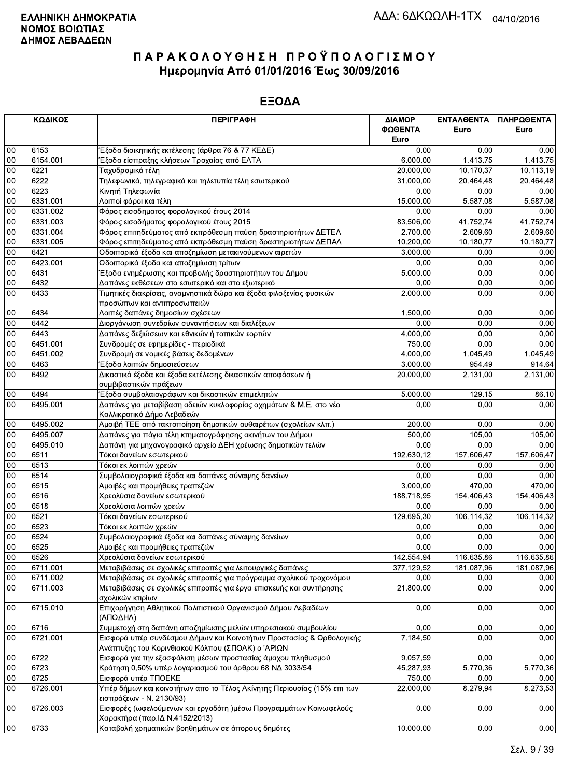|        | ΚΩΔΙΚΟΣ  | <b>ПЕРІГРАФН</b>                                                                                    | ΔΙΑΜΟΡ<br>ΦΩΘΕΝΤΑ<br>Euro | ΕΝΤΑΛΘΕΝΤΑ<br>Euro     | ΠΛΗΡΩΘΕΝΤΑ<br>Euro |
|--------|----------|-----------------------------------------------------------------------------------------------------|---------------------------|------------------------|--------------------|
| 00     | 6153     | Έξοδα διοικητικής εκτέλεσης (άρθρα 76 & 77 ΚΕΔΕ)                                                    | 0,00                      | 0,00                   | 0,00               |
| 00     | 6154.001 | Έξοδα είσπραξης κλήσεων Τροχαίας από ΕΛΤΑ                                                           | 6.000,00                  | 1.413,75               | 1.413,75           |
| 00     | 6221     | Ταχυδρομικά τέλη                                                                                    | 20.000,00                 | 10.170,37              | 10.113,19          |
| 00     | 6222     | Τηλεφωνικά, τηλεγραφικά και τηλετυπία τέλη εσωτερικού                                               | 31.000,00                 | $\overline{20.464,48}$ | 20.464,48          |
| 00     | 6223     | Κινητή Τηλεφωνία                                                                                    | 0.00                      | 0,00                   | 0,00               |
| 00     | 6331.001 | Λοιποί φόροι και τέλη                                                                               | 15.000,00                 | 5.587,08               | 5.587,08           |
| 00     | 6331.002 | Φόρος εισοδηματος φορολογικού έτους 2014                                                            | 0,00                      | 0,00                   | 0,00               |
| 00     | 6331.003 | Φόρος εισοδήματος φορολογικού έτους 2015                                                            | 83.506,00                 | 41.752,74              | 41.752,74          |
| 00     | 6331.004 | Φόρος επιτηδεύματος από εκπρόθεσμη παύση δραστηριοτήτων ΔΕΤΕΛ                                       | 2.700,00                  | 2.609.60               | 2.609,60           |
| 00     | 6331.005 | Φόρος επιτηδεύματος από εκπρόθεσμη παύση δραστηριοτήτων ΔΕΠΑΛ                                       | 10.200,00                 | 10.180,77              | 10.180.77          |
| $00\,$ | 6421     | Οδοιπορικά έξοδα και αποζημίωση μετακινούμενων αιρετών                                              | 3.000,00                  | 0,00                   | 0,00               |
| 00     | 6423.001 | Οδοιπορικά έξοδα και αποζημίωση τρίτων                                                              | 0,00                      | 0,00                   | 0,00               |
| 00     | 6431     | Έξοδα ενημέρωσης και προβολής δραστηριοτήτων του Δήμου                                              | 5.000,00                  | 0,00                   | 0,00               |
| 00     | 6432     | Δαπάνες εκθέσεων στο εσωτερικό και στο εξωτερικό                                                    | 0,00                      | 0,00                   | 0,00               |
| 00     | 6433     | Τιμητικές διακρίσεις, αναμνηστικά δώρα και έξοδα φιλοξενίας φυσικών                                 | 2.000,00                  | 0,00                   | 0,00               |
|        |          | προσώπων και αντιπροσωπειών                                                                         |                           |                        |                    |
| 00     | 6434     | Λοιπές δαπάνες δημοσίων σχέσεων                                                                     | 1.500,00                  | 0,00                   | 0,00               |
| 00     | 6442     | Διοργάνωση συνεδρίων συναντήσεων και διαλέξεων                                                      | 0,00                      | 0,00                   | 0,00               |
| 00     | 6443     | Δαπάνες δεξιώσεων και εθνικών ή τοπικών εορτών                                                      | 4.000,00                  | 0,00                   | 0,00               |
| 00     | 6451.001 | Συνδρομές σε εφημερίδες - περιοδικά                                                                 | 750,00                    | 0,00                   | 0,00               |
| 00     | 6451.002 | Συνδρομή σε νομικές βάσεις δεδομένων                                                                | 4.000,00                  | 1.045,49               | 1.045,49           |
| $00\,$ | 6463     | Έξοδα λοιπών δημοσιεύσεων                                                                           | 3.000,00                  | 954,49                 | 914,64             |
| 00     | 6492     | Δικαστικά έξοδα και έξοδα εκτέλεσης δικαστικών αποφάσεων ή                                          | 20.000,00                 | 2.131,00               | 2.131,00           |
|        |          | συμβιβαστικών πράξεων                                                                               |                           |                        |                    |
| 00     | 6494     | Έξοδα συμβολαιογράφων και δικαστικών επιμελητών                                                     | 5.000,00                  | 129,15                 | 86,10              |
| 00     | 6495.001 | Δαπάνες για μεταβίβαση αδειών κυκλοφορίας οχημάτων & Μ.Ε. στο νέο<br>Καλλικρατικό Δήμο Λεβαδεών     | 0,00                      | 0,00                   | 0,00               |
| 00     | 6495.002 | Αμοιβή ΤΕΕ από τακτοποίηση δημοτικών αυθαιρέτων (σχολείων κλπ.)                                     | 200,00                    | 0.00                   | 0,00               |
| $00\,$ | 6495.007 | Δαπάνες για πάγια τέλη κτηματογράφησης ακινήτων του Δήμου                                           | 500,00                    | 105,00                 | 105,00             |
| 00     | 6495.010 | Δαπάνη για μηχανογραφικό αρχείο ΔΕΗ χρέωσης δημοτικών τελών                                         | 0,00                      | 0,00                   | 0,00               |
| 00     | 6511     | Τόκοι δανείων εσωτερικού                                                                            | 192.630,12                | 157.606,47             | 157.606,47         |
| 00     | 6513     | Τόκοι εκ λοιπών χρεών                                                                               | 0,00                      | 0,00                   | 0,00               |
| 00     | 6514     | Συμβολαιογραφικά έξοδα και δαπάνες σύναψης δανείων                                                  | 0,00                      | 0.00                   | 0,00               |
| 00     | 6515     | Αμοιβές και προμήθειες τραπεζών                                                                     | 3.000,00                  | 470.00                 | 470,00             |
| 00     | 6516     | Χρεολύσια δανείων εσωτερικού                                                                        | 188.718,95                | 154.406,43             | 154.406,43         |
| 00     | 6518     | Χρεολύσια λοιπών χρεών                                                                              | 0,00                      | 0,00                   | 0,00               |
| 00     | 6521     | Τόκοι δανείων εσωτερικού                                                                            | 129.695,30                | 106.114,32             | 106.114,32         |
| 00     | 6523     | Τόκοι εκ λοιπών χρεών                                                                               | 0,00                      | 0,00                   | 0,00               |
| $00\,$ | 6524     | Συμβολαιογραφικά έξοδα και δαπάνες σύναψης δανείων                                                  | 0,00                      | 0.00                   | 0,00               |
| 00     | 6525     | Αμοιβές και προμήθειες τραπεζών                                                                     | 0,00                      | 0,00                   | 0,00               |
| 00     | 6526     | Χρεολύσια δανείων εσωτερικού                                                                        | 142.554,94                | 116.635,86             | 116.635,86         |
| 00     | 6711.001 | Μεταβιβάσεις σε σχολικές επιτροπές για λειτουργικές δαπάνες                                         | 377.129,52                | 181.087,96             | 181.087,96         |
| 00     | 6711.002 | Μεταβιβάσεις σε σχολικές επιτροπές για πρόγραμμα σχολικού τροχονόμου                                | 0,00                      | 0,00                   | 0,00               |
| 00     | 6711.003 | Μεταβιβάσεις σε σχολικές επιτροπές για έργα επισκευής και συντήρησης<br>σχολικών κτιρίων            | 21.800,00                 | 0,00                   | 0,00               |
| $00\,$ | 6715.010 | Επιχορήγηση Αθλητικού Πολιτιστικού Οργανισμού Δήμου Λεβαδέων<br>(ΑΠΟΔΗΛ)                            | 0,00                      | 0,00                   | 0,00               |
| 00     | 6716     | Συμμετοχή στη δαπάνη αποζημίωσης μελών υπηρεσιακού συμβουλίου                                       | 0.00                      | 0,00                   | 0,00               |
| $00\,$ | 6721.001 | Εισφορά υπέρ συνδέσμου Δήμων και Κοινοτήτων Προστασίας & Ορθολογικής                                | 7.184,50                  | 0,00                   | 0,00               |
|        |          | Ανάπτυξης του Κορινθιακού Κόλπου (ΣΠΟΑΚ) ο 'ΑΡΙΩΝ                                                   |                           |                        |                    |
| 00     | 6722     | Εισφορά για την εξασφάλιση μέσων προστασίας άμαχου πληθυσμού                                        | 9.057,59                  | 0,00                   | 0,00               |
| 00     | 6723     | Κράτηση 0,50% υπέρ λογαριασμού του άρθρου 68 ΝΔ 3033/54                                             | 45.287,93                 | 5.770,36               | 5.770,36           |
| 00     | 6725     | Εισφορά υπέρ ΤΠΟΕΚΕ                                                                                 | 750,00                    | 0,00                   | 0,00               |
| 00     | 6726.001 | Υπέρ δήμων και κοινοτήτων απο το Τέλος Ακίνητης Περιουσίας (15% επι των<br>εισπράξεων - Ν. 2130/93) | 22.000,00                 | 8.279,94               | 8.273,53           |
| 00     | 6726.003 | Εισφορές (ωφελούμενων και εργοδότη )μέσω Προγραμμάτων Κοινωφελούς<br>Χαρακτήρα (παρ.ΙΔ Ν.4152/2013) | 0,00                      | 0,00                   | 0,00               |
| $00\,$ | 6733     | Καταβολή χρηματικών βοηθημάτων σε άπορους δημότες                                                   | 10.000,00                 | 0,00                   | 0,00               |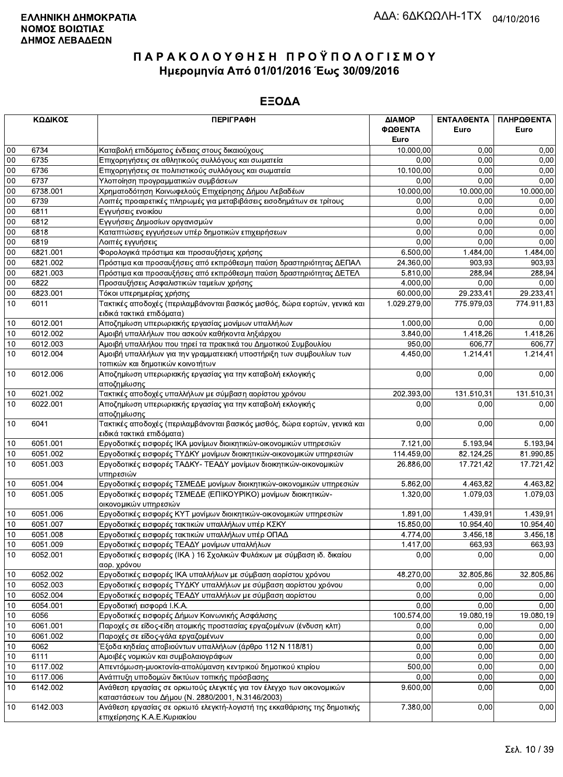|              | ΚΩΔΙΚΟΣ      | <b>ПЕРІГРАФН</b>                                                                                                          | ΔΙΑΜΟΡ<br>ΦΩΘΕΝΤΑ | ΕΝΤΑΛΘΕΝΤΑ<br>Euro | ΠΛΗΡΩΘΕΝΤΑ<br>Euro |
|--------------|--------------|---------------------------------------------------------------------------------------------------------------------------|-------------------|--------------------|--------------------|
|              |              |                                                                                                                           | Euro              |                    |                    |
| $00\,$       | 6734         | Καταβολή επιδόματος ένδειας στους δικαιούχους                                                                             | 10.000,00         | 0,00<br>0.00       | 0,00               |
| 00<br>$00\,$ | 6735<br>6736 | Επιχορηγήσεις σε αθλητικούς συλλόγους και σωματεία<br>Επιχορηγήσεις σε πολιτιστικούς συλλόγους και σωματεία               | 0,00<br>10.100,00 | 0,00               | 0,00<br>0,00       |
| 00           | 6737         | Υλοποίηση προγραμματικών συμβάσεων                                                                                        | 0,00              | 0,00               | 0,00               |
| 00           | 6738.001     | Χρηματοδότηση Κοινωφελούς Επιχείρησης Δήμου Λεβαδέων                                                                      | 10.000,00         | 10.000,00          | 10.000,00          |
| 00           | 6739         | Λοιπές προαιρετικές πληρωμές για μεταβιβάσεις εισοδημάτων σε τρίτους                                                      | 0,00              | 0,00               | 0,00               |
| 00           | 6811         | Εγγυήσεις ενοικίου                                                                                                        | 0.00              | 0,00               | 0,00               |
| 00           | 6812         | Εγγυήσεις Δημοσίων οργανισμών                                                                                             | 0,00              | 0,00               | 0,00               |
| $00\,$       | 6818         | Καταπτώσεις εγγυήσεων υπέρ δημοτικών επιχειρήσεων                                                                         | 0,00              | 0,00               | 0,00               |
| 00           | 6819         | Λοιπές εγγυήσεις                                                                                                          | 0,00              | 0,00               | 0,00               |
| 00           | 6821.001     | Φορολογικά πρόστιμα και προσαυξήσεις χρήσης                                                                               | 6.500,00          | 1.484,00           | 1.484.00           |
| 00           | 6821.002     | Πρόστιμα και προσαυξήσεις από εκπρόθεσμη παύση δραστηριότητας ΔΕΠΑΛ                                                       | 24.360,00         | 903,93             | 903,93             |
| $00\,$       | 6821.003     | Πρόστιμα και προσαυξήσεις από εκπρόθεσμη παύση δραστηριότητας ΔΕΤΕΛ                                                       | 5.810,00          | 288,94             | 288,94             |
| $00\,$       | 6822         | Προσαυξήσεις Ασφαλιστικών ταμείων χρήσης                                                                                  | 4.000,00          | 0,00               | 0,00               |
| $00\,$       | 6823.001     | Τόκοι υπερημερίας χρήσης                                                                                                  | 60.000,00         | 29.233,41          | 29.233,41          |
| 10           | 6011         | Τακτικές αποδοχές (περιλαμβάνονται βασικός μισθός, δώρα εορτών, γενικά και                                                | 1.029.279,00      | 775.979,03         | 774.911,83         |
|              |              | ειδικά τακτικά επιδόματα)                                                                                                 |                   |                    |                    |
| 10           | 6012.001     | Αποζημίωση υπερωριακής εργασίας μονίμων υπαλλήλων                                                                         | 1.000,00          | 0.00               | 0,00               |
| 10           | 6012.002     | Αμοιβή υπαλλήλων που ασκούν καθήκοντα ληξιάρχου                                                                           | 3.840,00          | 1.418,26           | 1.418,26           |
| 10           | 6012.003     | Αμοιβή υπαλλήλου που τηρεί τα πρακτικά του Δημοτικού Συμβουλίου                                                           | 950,00            | 606,77             | 606,77             |
| 10           | 6012.004     | Αμοιβή υπαλλήλων για την γραμματειακή υποστήριξη των συμβουλίων των<br>τοπικών και δημοτικών κοινοτήτων                   | 4.450,00          | 1.214,41           | 1.214,41           |
| 10           | 6012.006     | Αποζημίωση υπερωριακής εργασίας για την καταβολή εκλογικής<br>αποζημίωσης                                                 | 0,00              | 0,00               | 0,00               |
| 10           | 6021.002     | Τακτικές αποδοχές υπαλλήλων με σύμβαση αορίστου χρόνου                                                                    | 202.393,00        | 131.510,31         | 131.510,31         |
| 10           | 6022.001     | Αποζημίωση υπερωριακής εργασίας για την καταβολή εκλογικής<br>αποζημίωσης                                                 | 0,00              | 0,00               | 0,00               |
| 10           | 6041         | Τακτικές αποδοχές (περιλαμβάνονται βασικός μισθός, δώρα εορτών, γενικά και<br>ειδικά τακτικά επιδόματα)                   | 0,00              | 0,00               | 0,00               |
| 10           | 6051.001     | Εργοδοτικές εισφορές ΙΚΑ μονίμων διοικητικών-οικονομικών υπηρεσιών                                                        | 7.121,00          | 5.193,94           | 5.193,94           |
| 10           | 6051.002     | Εργοδοτικές εισφορές ΤΥΔΚΥ μονίμων διοικητικών-οικονομικών υπηρεσιών                                                      | 114.459,00        | 82.124,25          | 81.990,85          |
| 10           | 6051.003     | Εργοδοτικές εισφορές ΤΑΔΚΥ- ΤΕΑΔΥ μονίμων διοικητικών-οικονομικών<br>υπηρεσιών                                            | 26.886,00         | 17.721,42          | 17.721,42          |
| 10           | 6051.004     | Εργοδοτικές εισφορές ΤΣΜΕΔΕ μονίμων διοικητικών-οικονομικών υπηρεσιών                                                     | 5.862.00          | 4.463,82           | 4.463,82           |
| 10           | 6051.005     | Εργοδοτικές εισφορές ΤΣΜΕΔΕ (ΕΠΙΚΟΥΡΙΚΟ) μονίμων διοικητικών-<br>οικονομικών υπηρεσιών                                    | 1.320,00          | 1.079,03           | 1.079,03           |
| 10           | 6051.006     | Εργοδοτικές εισφορές ΚΥΤ μονίμων διοικητικών-οικονομικών υπηρεσιών                                                        | 1.891,00          | 1.439.91           | 1.439,91           |
| $10$         | 6051.007     | Εργοδοτικές εισφορές τακτικών υπαλλήλων υπέρ ΚΣΚΥ                                                                         | 15.850,00         | 10.954,40          | 10.954,40          |
| 10           | 6051.008     | Εργοδοτικές εισφορές τακτικών υπαλλήλων υπέρ ΟΠΑΔ                                                                         | 4.774,00          | 3.456,18           | 3.456,18           |
| $10$         | 6051.009     | Εργοδοτικές εισφορές ΤΕΑΔΥ μονίμων υπαλλήλων                                                                              | 1.417,00          | 663,93             | 663,93             |
| 10           | 6052.001     | Εργοδοτικές εισφορές (ΙΚΑ) 16 Σχολικών Φυλάκων με σύμβαση ιδ. δικαίου<br>αορ. χρόνου                                      | 0.00              | 0,00               | 0,00               |
| 10           | 6052.002     | Εργοδοτικές εισφορές ΙΚΑ υπαλλήλων με σύμβαση αορίστου χρόνου                                                             | 48.270,00         | 32.805,86          | 32.805,86          |
| 10           | 6052.003     | Εργοδοτικές εισφορές ΤΥΔΚΥ υπαλλήλων με σύμβαση αορίστου χρόνου                                                           | 0,00              | 0,00               | 0,00               |
| 10           | 6052.004     | Εργοδοτικές εισφορές ΤΕΑΔΥ υπαλλήλων με σύμβαση αορίστου                                                                  | 0,00              | 0,00               | 0,00               |
| 10           | 6054.001     | Εργοδοτική εισφορά Ι.Κ.Α.                                                                                                 | 0,00              | 0,00               | 0,00               |
| 10           | 6056         | Εργοδοτικές εισφορές Δήμων Κοινωνικής Ασφάλισης                                                                           | 100.574,00        | 19.080,19          | 19.080,19          |
| 10           | 6061.001     | Παροχές σε είδος-είδη ατομικής προστασίας εργαζομένων (ένδυση κλπ)                                                        | 0,00              | 0,00               | 0,00               |
| 10           | 6061.002     | Παροχές σε είδος-γάλα εργαζομένων                                                                                         | 0,00              | 0,00               | 0,00               |
| 10           | 6062         | Έξοδα κηδείας αποβιούντων υπαλλήλων (άρθρο 112 Ν 118/81)                                                                  | 0,00              | 0,00               | 0,00               |
| 10           | 6111         | Αμοιβές νομικών και συμβολαιογράφων                                                                                       | 0,00              | 0,00               | 0,00               |
| 10           | 6117.002     | Απεντόμωση-μυοκτονία-απολύμανση κεντρικού δημοτικού κτιρίου                                                               | 500,00            | 0,00               | 0,00               |
| 10           | 6117.006     | Ανάπτυξη υποδομών δικτύων τοπικής πρόσβασης                                                                               | 0,00              | 0,00               | 0,00               |
| 10           | 6142.002     | Ανάθεση εργασίας σε ορκωτούς ελεγκτές για τον έλεγχο των οικονομικών<br>καταστάσεων του Δήμου (Ν. 2880/2001, Ν.3146/2003) | 9.600,00          | 0,00               | 0,00               |
| 10           | 6142.003     | Ανάθεση εργασίας σε ορκωτό ελεγκτή-λογιστή της εκκαθάρισης της δημοτικής<br>επιχείρησης Κ.Α.Ε.Κυριακίου                   | 7.380,00          | 0,00               | 0,00               |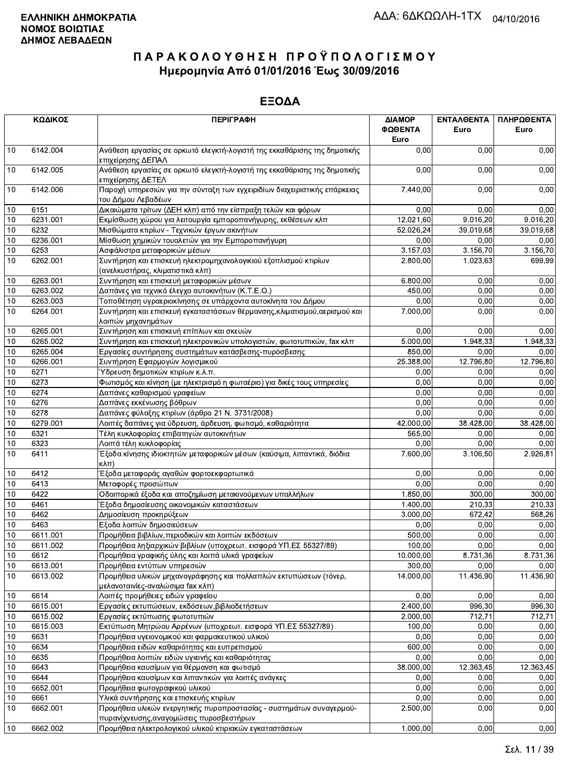|      | ΚΩΔΙΚΟΣ  | <b>ПЕРІГРАФН</b>                                                                                     | ΔΙΑΜΟΡ<br>ΦΩΘΕΝΤΑ<br>Euro | ΕΝΤΑΛΘΕΝΤΑ<br>Euro | ΠΛΗΡΩΘΕΝΤΑ<br>Euro |
|------|----------|------------------------------------------------------------------------------------------------------|---------------------------|--------------------|--------------------|
| 10   | 6142.004 | Ανάθεση εργασίας σε ορκωτό ελεγκτή-λογιστή της εκκαθάρισης της δημοτικής<br>επιχείρησης ΔΕΠΑΛ        | 0.00                      | 0,00               | 0,00               |
| 10   | 6142.005 | Ανάθεση εργασίας σε ορκωτό ελεγκτή-λογιστή της εκκαθάρισης της δημοτικής<br>επιχείρησης ΔΕΤΕΛ        | 0,00                      | 0,00               | 0,00               |
| 10   | 6142.006 | Παροχή υπηρεσιών για την σύνταξη των εγχειριδίων διαχειριστικής επάρκειας<br>του Δήμου Λεβαδέων      | 7.440,00                  | 0,00               | 0,00               |
| 10   | 6151     | Δικαιώματα τρίτων (ΔΕΗ κλπ) από την είσπραξη τελών και φόρων                                         | 0,00                      | 0,00               | 0,00               |
| 10   | 6231.001 | Εκμίσθωση χώρου για λειτουργία εμποροπανήγυρης, εκθέσεων κλπ                                         | 12.021,60                 | 9.016,20           | 9.016,20           |
| 10   | 6232     | Μισθώματα κτιρίων - Τεχνικών έργων ακινήτων                                                          | 52.026,24                 | 39.019,68          | 39.019,68          |
| 10   | 6236.001 | Μίσθωση χημικών τουαλετών για την Εμποροπανήγυρη                                                     | 0,00                      | 0,00               | 0,00               |
| $10$ | 6253     | Ασφάλιστρα μεταφορικών μέσων                                                                         | 3.157,03                  | 3.156,70           | 3.156,70           |
| 10   | 6262.001 | Συντήρηση και επισκευή ηλεκτρομηχανολογικιού εξοπλισμού κτιρίων<br>(ανελκυστήρας, κλιματιστικά κλπ)  | 2.800,00                  | 1.023,63           | 699,99             |
| 10   | 6263.001 | Συντήρηση και επισκευή μεταφορικών μέσων                                                             | 6.800,00                  | 0,00               | 0,00               |
| 10   | 6263.002 | Δαπάνες για τεχνικό έλεγχο αυτοκινήτων (Κ.Τ.Ε.Ο.)                                                    | 450,00                    | 0,00               | 0,00               |
| 10   | 6263.003 | Τοποθέτηση υγραεριοκίνησης σε υπάρχοντα αυτοκίνητα του Δήμου                                         | 0,00                      | 0,00               | 0,00               |
| 10   | 6264.001 | Συντήρηση και επισκευή εγκαταστάσεων θέρμανσης, κλιματισμού, αερισμού και<br>λοιπών μηχανημάτων      | 7.000,00                  | 0,00               | 0,00               |
| 10   | 6265.001 | Συντήρηση και επισκευή επίπλων και σκευών                                                            | 0,00                      | 0.00               | 0,00               |
| 10   | 6265.002 | Συντήρηση και επισκευή ηλεκτρονικών υπολογιστών, φωτοτυπικών, fax κλπ                                | 5.000,00                  | 1.948,33           | 1.948,33           |
| 10   | 6265.004 | Εργασίες συντήρησης συστημάτων κατάσβεσης-πυρόσβεσης                                                 | 850,00                    | 0,00               | 0,00               |
| 10   | 6266.001 | Συντήρηση Εφαρμογών λογισμικού                                                                       | 25.388,00                 | 12.796,80          | 12.796,80          |
| 10   | 6271     | Ύδρευση δημοτικών κτιρίων κ.λ.π.                                                                     | 0,00                      | 0,00               | 0,00               |
| 10   | 6273     | Φωτισμός και κίνηση (με ηλεκτρισμό η φωταέριο) για δικές τους υπηρεσίες                              | 0,00                      | 0.00               | 0,00               |
| 10   | 6274     | Δαπάνες καθαρισμού γραφείων                                                                          | 0,00                      | 0,00               | 0,00               |
| 10   | 6276     | Δαπάνες εκκένωσης βόθρων                                                                             | 0,00                      | 0,00               | 0,00               |
| 10   | 6278     | Δαπάνες φύλαξης κτιρίων (άρθρο 21 Ν. 3731/2008)                                                      | 0,00                      | 0,00               | 0,00               |
| 10   | 6279.001 | Λοιπές δαπάνες για ύδρευση, άρδευση, φωτισμό, καθαριότητα                                            | 42.000,00                 | 38.428,00          | 38.428,00          |
| 10   | 6321     | Τέλη κυκλοφορίας επιβατηγών αυτοκινήτων                                                              | 565,00                    | 0,00               | 0,00               |
| 10   | 6323     | Λοιπά τέλη κυκλοφορίας                                                                               | 0,00                      | 0,00               | 0,00               |
| 10   | 6411     | Έξοδα κίνησης ιδιοκτητών μεταφορικών μέσων (καύσιμα, λιπαντικά, διόδια<br> κλπ)                      | 7.600,00                  | 3.106,50           | 2.926,81           |
| 10   | 6412     | Έξοδα μεταφοράς αγαθών φορτοεκφορτωτικά                                                              | 0,00                      | 0,00               | 0,00               |
| 10   | 6413     | Μεταφορές προσώπων                                                                                   | 0,00                      | 0.00               | 0,00               |
| 10   | 6422     | Οδοιπορικά έξοδα και αποζημίωση μετακινούμενων υπαλλήλων                                             | 1.850,00                  | 300.00             | 300,00             |
| 10   | 6461     | Έξοδα δημοσίευσης οικονομικών καταστάσεων                                                            | 1.400,00                  | 210,33             | 210,33             |
| 10   | 6462     | Δημοσίευση προκηρύξεων                                                                               | 3.000,00                  | 672,42             | 568,26             |
| 10   | 6463     | Εξοδα λοιπών δημοσιεύσεων                                                                            | 0,00                      | 0,00               | 0,00               |
| $10$ | 6611.001 | Προμήθεια βιβλίων, περιοδικών και λοιπών εκδόσεων                                                    | 500,00                    | 0.00               | 0,00               |
| 10   | 6611.002 | Προμήθεια ληξιαρχικών βιβλίων (υποχρεωτ. εισφορά ΥΠ.ΕΣ 55327/89)                                     | 100,00                    | 0,00               | 0,00               |
| 10   | 6612     | Προμήθεια γραφικής ύλης και λοιπά υλικά γραφείων                                                     | 10.000,00                 | 8.731,36           | 8.731,36           |
| 10   | 6613.001 | Προμήθεια εντύπων υπηρεσιών                                                                          | 300,00                    | 0,00               | 0,00               |
| 10   | 6613.002 | Προμήθεια υλικών μηχανογράφησης και πολλαπλών εκτυπώσεων (τόνερ,<br>μελανοταινίες-αναλώσιμα fax κλπ) | 14.000,00                 | 11.436,90          | 11.436,90          |
| 10   | 6614     | Λοιπές προμήθειες ειδών γραφείου                                                                     | 0,00                      | 0,00               | 0,00               |
| 10   | 6615.001 | Εργασίες εκτυπώσεων, εκδόσεων, βιβλιοδετήσεων                                                        | 2.400,00                  | 996,30             | 996,30             |
| 10   | 6615.002 | Εργασίες εκτύπωσης φωτοτυπιών                                                                        | 2.000,00                  | 712,71             | 712,71             |
| 10   | 6615.003 | Εκτύπωση Μητρώου Αρρένων (υποχρεωτ. εισφορά ΥΠ.ΕΣ 55327/89)                                          | 100,00                    | 0,00               | 0,00               |
| 10   | 6631     | Προμήθεια υγειονομικού και φαρμακευτικού υλικού                                                      | 0,00                      | 0,00               | 0,00               |
| 10   | 6634     | Προμήθεια ειδών καθαριότητας και ευπρεπισμού                                                         | 600,00                    | 0,00               | 0,00               |
| 10   | 6635     | Προμήθεια λοιπών ειδών υγιεινής και καθαριότητας                                                     | 0,00                      | 0,00               | 0,00               |
| 10   | 6643     | Προμήθεια καυσίμων για θέρμανση και φωτισμό                                                          | 38.000,00                 | 12.363,45          | 12.363,45          |
| 10   | 6644     | Προμήθεια καυσίμων και λιπαντικών για λοιπές ανάγκες                                                 | 0,00                      | 0,00               | 0,00               |
| 10   | 6652.001 | Προμήθεια φωτογραφικού υλικού                                                                        | 0,00                      | 0,00               | 0,00               |
| 10   | 6661     | Υλικά συντήρησης και επισκευής κτιρίων                                                               | 0,00                      | 0,00               | 0,00               |
| 10   | 6662.001 | Προμήθεια υλικών ενεργητικής πυροπροστασίας - συστημάτων συναγερμού-                                 | 2.500,00                  | 0,00               | 0,00               |
|      |          | πυρανίχνευσης, αναγομώσεις πυροσβεστήρων                                                             |                           |                    |                    |
| 10   | 6662.002 | Προμήθεια ηλεκτρολογικού υλικού κτιριακών εγκαταστάσεων                                              | 1.000,00                  | 0.00               | 0,00               |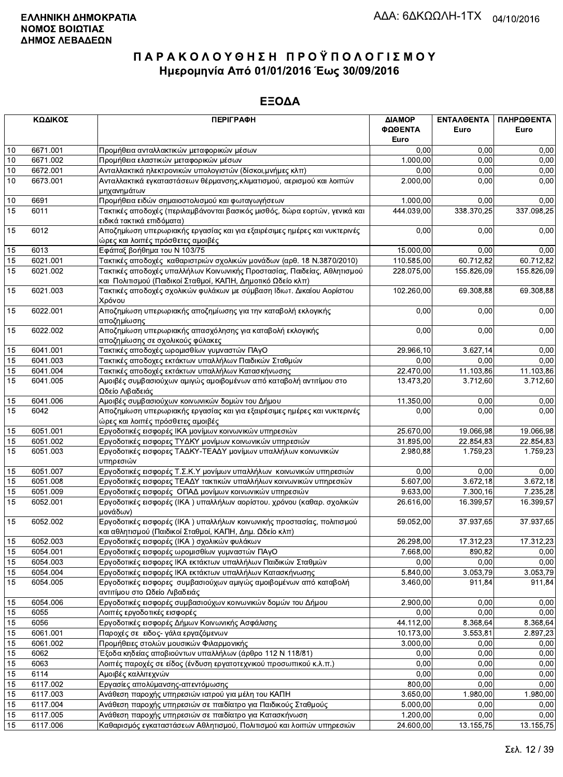|                 | ΚΩΔΙΚΟΣ          | <b>ПЕРІГРАФН</b>                                                                                                                  | ΔΙΑΜΟΡ           | ΕΝΤΑΛΘΕΝΤΑ   | ΠΛΗΡΩΘΕΝΤΑ   |
|-----------------|------------------|-----------------------------------------------------------------------------------------------------------------------------------|------------------|--------------|--------------|
|                 |                  |                                                                                                                                   | ΦΩΘΕΝΤΑ          | Euro         | Euro         |
|                 |                  |                                                                                                                                   | Euro             |              |              |
| $10$            | 6671.001         | Προμήθεια ανταλλακτικών μεταφορικών μέσων                                                                                         | 0.00             | 0,00         | 0,00         |
| 10              | 6671.002         | Προμήθεια ελαστικών μεταφορικών μέσων                                                                                             | 1.000,00         | 0.00         | 0,00         |
| 10              | 6672.001         | Ανταλλακτικά ηλεκτρονικών υπολογιστών (δίσκοι, μνήμες κλπ)                                                                        | 0,00             | 0,00         | 0,00         |
| 10              | 6673.001         | Ανταλλακτικά εγκαταστάσεων θέρμανσης, κλιματισμού, αερισμού και λοιπών<br>μηχανημάτων                                             | 2.000,00         | 0,00         | 0,00         |
| 10              | 6691             | Προμήθεια ειδών σημαιοστολισμού και φωταγωγήσεων                                                                                  | 1.000,00         | 0,00         | 0,00         |
| 15              | 6011             | Τακτικές αποδοχές (περιλαμβάνονται βασικός μισθός, δώρα εορτών, γενικά και<br>ειδικά τακτικά επιδόματα)                           | 444.039,00       | 338.370,25   | 337.098,25   |
| 15              | 6012             | Αποζημίωση υπερωριακής εργασίας και για εξαιρέσιμες ημέρες και νυκτερινές<br>ώρες και λοιπές πρόσθετες αμοιβές                    | 0,00             | 0,00         | 0,00         |
| 15              | 6013             | Εφάπαξ βοήθημα του Ν 103/75                                                                                                       | 15.000,00        | 0,00         | 0,00         |
| 15              | 6021.001         | Τακτικές αποδοχές καθαριστριών σχολικών μονάδων (αρθ. 18 Ν.3870/2010)                                                             | 110.585,00       | 60.712,82    | 60.712,82    |
| 15              | 6021.002         | Τακτικές αποδοχές υπαλλήλων Κοινωνικής Προστασίας, Παιδείας, Αθλητισμού                                                           | 228.075,00       | 155.826,09   | 155.826,09   |
|                 |                  | και Πολιτισμού (Παιδικοί Σταθμοί, ΚΑΠΗ, Δημοτικό Ωδείο κλπ)                                                                       |                  |              |              |
| 15              | 6021.003         | Τακτικές αποδοχές σχολικών φυλάκων με σύμβαση Ιδιωτ. Δικαίου Αορίστου<br>Χρόνου                                                   | 102.260,00       | 69.308,88    | 69.308,88    |
| 15              | 6022.001         | Αποζημίωση υπερωριακής αποζημίωσης για την καταβολή εκλογικής<br>αποζημίωσης                                                      | 0,00             | 0,00         | 0,00         |
| 15              | 6022.002         | Αποζημίωση υπερωριακής απασχόλησης για καταβολή εκλογικής                                                                         | 0,00             | 0,00         | 0,00         |
|                 |                  | αποζημίωσης σε σχολικούς φύλακες                                                                                                  |                  |              |              |
| 15              | 6041.001         | Τακτικές αποδοχές ωρομισθίων γυμναστών ΠΑγΟ                                                                                       | 29.966,10        | 3.627,14     | 0,00         |
| 15              | 6041.003         | Τακτικές αποδοχες εκτάκτων υπαλλήλων Παιδικών Σταθμών                                                                             | 0,00             | 0.00         | 0,00         |
| 15              | 6041.004         | Τακτικές αποδοχές εκτάκτων υπαλλήλων Κατασκήνωσης                                                                                 | 22.470,00        | 11.103,86    | 11.103,86    |
| 15              | 6041.005         | Αμοιβές συμβασιούχων αμιγώς αμοιβομένων από καταβολή αντιτίμου στο<br>Ωδείο Λιβαδειάς                                             | 13.473,20        | 3.712,60     | 3.712,60     |
| 15              | 6041.006         | Αμοιβές συμβασιούχων κοινωνικών δομών του Δήμου                                                                                   | 11.350,00        | 0,00         | 0,00         |
| $\overline{15}$ | 6042             | Αποζημίωση υπερωριακής εργασίας και για εξαιρέσιμες ημέρες και νυκτερινές<br>ώρες και λοιπές πρόσθετες αμοιβές                    | 0,00             | 0,00         | 0,00         |
| 15              | 6051.001         | Εργοδοτικές εισφορές ΙΚΑ μονίμων κοινωνικών υπηρεσιών                                                                             | 25.670,00        | 19.066,98    | 19.066,98    |
| 15              | 6051.002         | Εργοδοτικές εισφορες ΤΥΔΚΥ μονίμων κοινωνικών υπηρεσιών                                                                           | 31.895,00        | 22.854,83    | 22.854,83    |
| 15              | 6051.003         | Εργοδοτικές εισφορες ΤΑΔΚΥ-ΤΕΑΔΥ μονίμων υπαλλήλων κοινωνικών<br>υπηρεσιών                                                        | 2.980,88         | 1.759,23     | 1.759,23     |
| 15              | 6051.007         | Εργοδοτικές εισφορές Τ.Σ.Κ.Υ μονίμων υπαλλήλων κοινωνικών υπηρεσιών                                                               | 0,00             | 0,00         | 0,00         |
| 15              | 6051.008         | Εργοδοτικές εισφορες ΤΕΑΔΥ τακτικών υπαλλήλων κοινωνικών υπηρεσιών                                                                | 5.607,00         | 3.672,18     | 3.672,18     |
| 15              | 6051.009         | Εργοδοτικές εισφορές ΟΠΑΔ μονίμων κοινωνικών υπηρεσιών                                                                            | 9.633,00         | 7.300,16     | 7.235,28     |
| 15              | 6052.001         | Εργοδοτικές εισφορές (ΙΚΑ) υπαλλήλων αορίστου. χρόνου (καθαρ. σχολικών                                                            | 26.616,00        | 16.399,57    | 16.399,57    |
|                 |                  | μονάδων)                                                                                                                          |                  |              |              |
| 15              | 6052.002         | Εργοδοτικές εισφορές (ΙΚΑ) υπαλλήλων κοινωνικής προστασίας, πολιτισμού<br>και αθλητισμού (Παιδικοί Σταθμοί, ΚΑΠΗ, Δημ. Ωδείο κλπ) | 59.052,00        | 37.937,65    | 37.937,65    |
| 15              | 6052.003         | Εργοδοτικές εισφορές (ΙΚΑ) σχολικών φυλάκων                                                                                       | 26.298,00        | 17.312,23    | 17.312,23    |
| 15              | 6054.001         | Εργοδοτικές εισφορές ωρομισθίων γυμναστών ΠΑγΟ                                                                                    | 7.668,00         | 890,82       | 0,00         |
| 15              | 6054.003         | Εργοδοτικές εισφορες ΙΚΑ εκτάκτων υπαλλήλων Παιδικών Σταθμών                                                                      | 0,00             | 0,00         | 0,00         |
| 15              | 6054.004         | Εργοδοτικές εισφορές ΙΚΑ εκτάκτων υπαλλήλων Κατασκήνωσης                                                                          | 5.840,00         | 3.053,79     | 3.053,79     |
| 15              | 6054.005         | Εργοδοτικές εισφορες συμβασιούχων αμιγώς αμοιβομένων από καταβολή                                                                 | 3.460,00         | 911,84       | 911,84       |
|                 | 6054.006         | αντιτίμου στο Ωδείο Λιβαδειάς<br>Εργοδοτικές εισφορές συμβασιούχων κοινωνικών δομών του Δήμου                                     |                  |              |              |
| 15              | 6055             | Λοιπές εργοδοτικές εισφορές                                                                                                       | 2.900,00<br>0,00 | 0,00<br>0,00 | 0,00         |
| 15              | 6056             |                                                                                                                                   | 44.112,00        | 8.368,64     | 0,00         |
| 15              |                  | Εργοδοτικές εισφορές Δήμων Κοινωνικής Ασφάλισης<br>Παροχές σε ειδος- γάλα εργαζόμενων                                             |                  | 3.553,81     | 8.368,64     |
| 15              | 6061.001         |                                                                                                                                   | 10.173,00        |              | 2.897,23     |
| 15<br>15        | 6061.002<br>6062 | Προμήθειες στολών μουσικών Φιλαρμονικής<br>Έξοδα κηδείας αποβιούντων υπαλλήλων (άρθρο 112 Ν 118/81)                               | 3.000,00<br>0,00 | 0,00<br>0,00 | 0,00<br>0,00 |
| 15              | 6063             | Λοιπές παροχές σε είδος (ένδυση εργατοτεχνικού προσωπικού κ.λ.π.)                                                                 | 0,00             | 0,00         | 0,00         |
| 15              | 6114             | Αμοιβές καλλιτεχνών                                                                                                               | 0,00             | 0,00         | 0,00         |
| 15              | 6117.002         | Εργασίες απολύμανσης-απεντόμωσης                                                                                                  | 800,00           | 0,00         | 0,00         |
| 15              | 6117.003         | Ανάθεση παροχής υπηρεσιών ιατρού για μέλη του ΚΑΠΗ                                                                                | 3.650,00         | 1.980,00     | 1.980,00     |
| 15              | 6117.004         | Ανάθεση παροχής υπηρεσιών σε παιδίατρο για Παιδικούς Σταθμούς                                                                     | 5.000,00         | 0,00         | 0,00         |
| 15              | 6117.005         | Ανάθεση παροχής υπηρεσιών σε παιδίατρο για Κατασκήνωση                                                                            | 1.200,00         | 0,00         | 0,00         |
| 15              | 6117.006         | Καθαρισμός εγκαταστάσεων Αθλητισμού, Πολιτισμού και λοιπών υπηρεσιών                                                              | 24.600,00        | 13.155,75    | 13.155,75    |
|                 |                  |                                                                                                                                   |                  |              |              |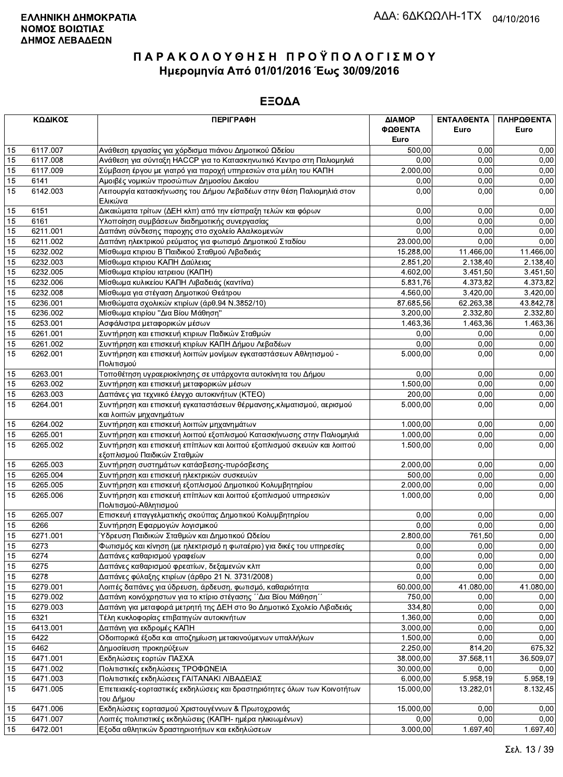|    | ΚΩΔΙΚΟΣ  | <b>ПЕРІГРАФН</b>                                                                                      | ΔΙΑΜΟΡ    | ΕΝΤΑΛΘΕΝΤΑ | ΠΛΗΡΩΘΕΝΤΑ |
|----|----------|-------------------------------------------------------------------------------------------------------|-----------|------------|------------|
|    |          |                                                                                                       | ΦΩΘΕΝΤΑ   | Euro       | Euro       |
|    |          |                                                                                                       | Euro      |            |            |
| 15 | 6117.007 | Ανάθεση εργασίας για χόρδισμα πιάνου Δημοτικού Ωδείου                                                 | 500,00    | 0,00       | 0,00       |
| 15 | 6117.008 | Ανάθεση για σύνταξη ΗΑCCP για το Κατασκηνωτικό Κεντρο στη Παλιομηλιά                                  | 0.00      | 0.00       | 0,00       |
| 15 | 6117.009 | Σύμβαση έργου με γιατρό για παροχή υπηρεσιών στα μέλη του ΚΑΠΗ                                        | 2.000,00  | 0,00       | 0,00       |
| 15 | 6141     | Αμοιβές νομικών προσώπων Δημοσίου Δικαίου                                                             | 0,00      | 0,00       | 0,00       |
| 15 | 6142.003 | Λειτουργία κατασκήνωσης του Δήμου Λεβαδέων στην θέση Παλιομηλιά στον<br>Ελικώνα                       | 0.00      | 0,00       | 0,00       |
| 15 | 6151     | Δικαιώματα τρίτων (ΔΕΗ κλπ) από την είσπραξη τελών και φόρων                                          | 0,00      | 0,00       | 0,00       |
| 15 | 6161     | Υλοποίηση συμβάσεων διαδημοτικής συνεργασίας                                                          | 0,00      | 0,00       | 0,00       |
| 15 | 6211.001 | Δαπάνη σύνδεσης παροχης στο σχολείο Αλαλκομενών                                                       | 0,00      | 0,00       | 0,00       |
| 15 | 6211.002 | Δαπάνη ηλεκτρικού ρεύματος για φωτισμό Δημοτικού Σταδίου                                              | 23.000,00 | 0.00       | 0,00       |
| 15 | 6232.002 | Μίσθωμα κτιριου Β΄ Παιδικού Σταθμού Λιβαδειάς                                                         | 15.288,00 | 11.466,00  | 11.466,00  |
| 15 | 6232.003 | Μίσθωμα κτιριου ΚΑΠΗ Δαύλειας                                                                         | 2.851,20  | 2.138,40   | 2.138,40   |
| 15 | 6232.005 | Μίσθωμα κτιρίου ιατρειου (ΚΑΠΗ)                                                                       | 4.602,00  | 3.451,50   | 3.451,50   |
| 15 | 6232.006 | Μίσθωμα κυλικείου ΚΑΠΗ Λιβαδειάς (καντίνα)                                                            | 5.831,76  | 4.373,82   | 4.373,82   |
| 15 | 6232.008 | Μίσθωμα για στέγαση Δημοτικού Θεάτρου                                                                 | 4.560,00  | 3.420,00   | 3.420,00   |
| 15 | 6236.001 | Μισθώματα σχολικών κτιρίων (άρθ.94 Ν.3852/10)                                                         | 87.685,56 | 62.263,38  | 43.842,78  |
| 15 | 6236.002 | Μίσθωμα κτιρίου "Δια Βίου Μάθηση"                                                                     | 3.200,00  | 2.332,80   | 2.332,80   |
| 15 | 6253.001 | Ασφάλιστρα μεταφορικών μέσων                                                                          | 1.463,36  | 1.463,36   | 1.463,36   |
| 15 | 6261.001 | Συντήρηση και επισκευή κτιριων Παδικών Σταθμών                                                        | 0,00      | 0,00       | 0,00       |
| 15 | 6261.002 | Συντήρηση και επισκευή κτιρίων ΚΑΠΗ Δήμου Λεβαδέων                                                    | 0,00      | 0,00       | 0,00       |
| 15 | 6262.001 | Συντήρηση και επισκευή λοιπών μονίμων εγκαταστάσεων Αθλητισμού -<br>Πολιτισμού                        | 5.000,00  | 0,00       | 0,00       |
| 15 | 6263.001 | Τοποθέτηση υγραεριοκίνησης σε υπάρχοντα αυτοκίνητα του Δήμου                                          | 0,00      | 0,00       | 0,00       |
| 15 | 6263.002 | Συντήρηση και επισκευή μεταφορικών μέσων                                                              | 1.500,00  | 0,00       | 0,00       |
| 15 | 6263.003 | Δαπάνες για τεχνιικό έλεγχο αυτοκινήτων (ΚΤΕΟ)                                                        | 200,00    | 0,00       | 0,00       |
| 15 | 6264.001 | Συντήρηση και επισκευή εγκαταστάσεων θέρμανσης, κλιματισμού, αερισμού                                 | 5.000,00  | 0,00       | 0,00       |
|    |          | και λοιπών μηχανημάτων                                                                                |           |            |            |
| 15 | 6264.002 | Συντήρηση και επισκευή λοιπών μηχανημάτων                                                             | 1.000,00  | 0,00       | 0,00       |
| 15 | 6265.001 | Συντήρηση και επισκευή λοιπού εξοπλισμού Κατασκήνωσης στην Παλιομηλιά                                 | 1.000,00  | 0,00       | 0,00       |
| 15 | 6265.002 | Συντήρηση και επισκευή επίπλων και λοιπού εξοπλισμού σκευών και λοιπού<br>εξοπλισμού Παιδικών Σταθμών | 1.500,00  | 0,00       | 0,00       |
| 15 | 6265.003 | Συντήρηση συστημάτων κατάσβεσης-πυρόσβεσης                                                            | 2.000,00  | 0,00       | 0,00       |
| 15 | 6265.004 | Συντήρηση και επισκευή ηλεκτρικών συσκευών                                                            | 500,00    | 0,00       | 0,00       |
| 15 | 6265.005 | Συντήρηση και επισκευή εξοπλισμού Δημοτικού Κολυμβητηρίου                                             | 2.000,00  | 0,00       | 0,00       |
| 15 | 6265.006 | Συντήρηση και επισκευή επίπλων και λοιπού εξοπλισμού υπηρεσιών                                        | 1.000,00  | 0,00       | 0,00       |
|    |          | Πολιτισμού-Αθλητισμού                                                                                 |           |            |            |
| 15 | 6265.007 | Επισκευή επαγγελματικής σκούπας Δημοτικού Κολυμβητηρίου                                               | 0,00      | 0,00       | 0,00       |
| 15 | 6266     | Συντήρηση Εφαρμογών λογισμικού                                                                        | 0,00      | 0,00       | 0,00       |
| 15 | 6271.001 | Ύδρευση Παιδικών Σταθμών και Δημοτικού Ωδείου                                                         | 2.800,00  | 761,50     | 0,00       |
| 15 | 6273     | Φωτισμός και κίνηση (με ηλεκτρισμό η φωταέριο) για δικές του υπηρεσίες                                | 0,00      | 0,00       | 0,00       |
| 15 | 6274     | Δαπάνες καθαρισμού γραφείων                                                                           | 0,00      | 0,00       | 0,00       |
| 15 | 6275     | Δαπάνες καθαρισμού φρεατίων, δεξαμενών κλπ                                                            | 0,00      | 0,00       | 0,00       |
| 15 | 6278     | Δαπάνες φύλαξης κτιρίων (άρθρο 21 Ν. 3731/2008)                                                       | 0,00      | 0,00       | 0,00       |
| 15 | 6279.001 | Λοιπές δαπάνες για ύδρευση, άρδευση, φωτισμό, καθαριότητα                                             | 60.000,00 | 41.080,00  | 41.080,00  |
| 15 | 6279.002 | Δαπάνη κοινόχρηστων για το κτίριο στέγασης ΄΄Δια Βίου Μάθηση΄΄                                        | 750,00    | 0,00       | 0,00       |
| 15 | 6279.003 | Δαπάνη για μεταφορά μετρητή της ΔΕΗ στο 9ο Δημοτικό Σχολείο Λιβαδειάς                                 | 334,80    | 0.00       | 0,00       |
| 15 | 6321     | Τέλη κυκλοφορίας επιβατηγών αυτοκινήτων                                                               | 1.360,00  | 0,00       | 0,00       |
| 15 | 6413.001 | Δαπάνη για εκδρομές ΚΑΠΗ                                                                              | 3.000,00  | 0,00       | 0,00       |
| 15 | 6422     | Οδοιπορικά έξοδα και αποζημίωση μετακινούμενων υπαλλήλων                                              | 1.500,00  | 0,00       | 0,00       |
| 15 | 6462     | Δημοσίευση προκηρύξεων                                                                                | 2.250,00  | 814,20     | 675,32     |
| 15 | 6471.001 | Εκδηλώσεις εορτών ΠΑΣΧΑ                                                                               | 38.000,00 | 37.568,11  | 36.509,07  |
| 15 | 6471.002 | Πολιτιστικές εκδηλώσεις ΤΡΟΦΩΝΕΙΑ                                                                     | 30.000,00 | 0,00       | 0,00       |
| 15 | 6471.003 | Πολιτιστικές εκδηλώσεις ΓΑΙΤΑΝΑΚΙ ΛΙΒΑΔΕΙΑΣ                                                           | 6.000,00  | 5.958,19   | 5.958,19   |
| 15 | 6471.005 | Επετειακές-εορταστικές εκδηλώσεις και δραστηριότητες όλων των Κοινοτήτων<br>του Δήμου                 | 15.000,00 | 13.282,01  | 8.132,45   |
| 15 | 6471.006 | Εκδηλώσεις εορτασμού Χριστουγέννων & Πρωτοχρονιάς                                                     | 15.000,00 | 0,00       | 0,00       |
| 15 | 6471.007 | Λοιπές πολιτιστικές εκδηλώσεις (ΚΑΠΗ- ημέρα ηλικιωμένων)                                              | 0,00      | 0,00       | 0,00       |
| 15 | 6472.001 | Εξοδα αθλητικών δραστηριοτήτων και εκδηλώσεων                                                         | 3.000,00  | 1.697,40   | 1.697,40   |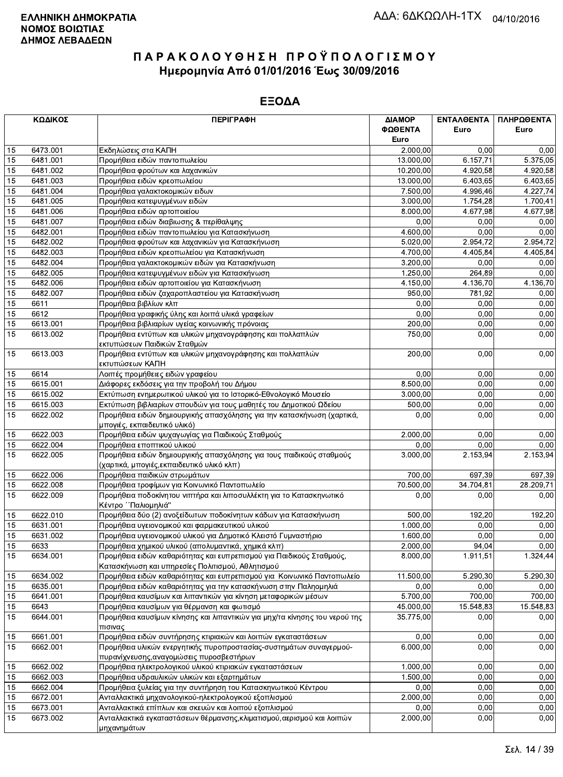|    | ΚΩΔΙΚΟΣ  | <b>ПЕРІГРАФН</b>                                                                                               | ΔΙΑΜΟΡ<br>ΦΩΘΕΝΤΑ     | <b>ENTAA@ENTA</b> | ΠΛΗΡΩΘΕΝΤΑ |
|----|----------|----------------------------------------------------------------------------------------------------------------|-----------------------|-------------------|------------|
|    |          |                                                                                                                | Euro                  | Euro              | Euro       |
| 15 | 6473.001 | Εκδηλώσεις στα ΚΑΠΗ                                                                                            | 2.000,00              | 0,00              | 0,00       |
| 15 | 6481.001 | Προμήθεια ειδών παντοπωλείου                                                                                   | 13.000,00             | 6.157,71          | 5.375,05   |
| 15 | 6481.002 | Προμήθεια φρούτων και λαχανικών                                                                                | 10.200,00             | 4.920,58          | 4.920,58   |
| 15 | 6481.003 | Προμήθεια ειδών κρεοπωλείου                                                                                    | 13.000,00             | 6.403,65          | 6.403,65   |
| 15 | 6481.004 | Προμήθεια γαλακτοκομικών ειδων                                                                                 | 7.500,00              | 4.996,46          | 4.227,74   |
| 15 | 6481.005 | Προμήθεια κατεψυγμένων ειδών                                                                                   | 3.000,00              | 1.754,28          | 1.700,41   |
| 15 | 6481.006 | Προμήθεια ειδών αρτοποιείου                                                                                    | 8.000,00              | 4.677,98          | 4.677,98   |
| 15 | 6481.007 | Προμήθεια ειδών διαβιωσης & περίθαλψης                                                                         | 0,00                  | 0,00              | 0,00       |
| 15 | 6482.001 | Προμήθεια ειδών παντοπωλείου για Κατασκήνωση                                                                   | 4.600,00              | 0,00              | 0,00       |
| 15 | 6482.002 | Προμήθεια φρούτων και λαχανικών για Κατασκήνωση                                                                | 5.020,00              | 2.954,72          | 2.954,72   |
| 15 | 6482.003 | Προμήθεια ειδών κρεοπωλείου για Κατασκήνωση                                                                    | 4.700,00              | 4.405,84          | 4.405,84   |
| 15 | 6482.004 | Προμήθεια γαλακτοκομικών ειδών για Κατασκήνωση                                                                 | 3.200,00              | 0,00              | 0,00       |
| 15 | 6482.005 | Προμήθεια κατεψυγμένων ειδών για Κατασκήνωση                                                                   | 1.250,00              | 264,89            | 0,00       |
| 15 | 6482.006 | Προμήθεια ειδών αρτοποιείου για Κατασκήνωση                                                                    | 4.150,00              | 4.136,70          | 4.136,70   |
| 15 | 6482.007 | Προμήθεια ειδών ζαχαροπλαστείου για Κατασκήνωση                                                                | 950,00                | 781,92            | 0,00       |
| 15 | 6611     | Προμήθεια βιβλίων κλπ                                                                                          | 0,00                  | 0,00              | 0,00       |
| 15 | 6612     | Προμήθεια γραφικής ύλης και λοιπά υλικά γραφείων                                                               | 0,00                  | 0,00              | 0,00       |
| 15 | 6613.001 | Προμήθεια βιβλιαρίων υγείας κοινωνικής πρόνοιας                                                                | 200,00                | 0,00              | 0,00       |
| 15 | 6613.002 | Προμήθεια εντύπων και υλικών μηχανογράφησης και πολλαπλών<br>εκτυπώσεων Παιδικών Σταθμών                       | 750,00                | 0,00              | 0,00       |
| 15 | 6613.003 | Προμήθεια εντύπων και υλικών μηχανογράφησης και πολλαπλών<br>εκτυπώσεων ΚΑΠΗ                                   | 200,00                | 0,00              | 0,00       |
| 15 | 6614     | Λοιπές προμήθειες ειδών γραφείου                                                                               | 0,00                  | 0,00              | 0,00       |
| 15 | 6615.001 | Διάφορες εκδόσεις για την προβολή του Δήμου                                                                    | 8.500,00              | 0,00              | 0,00       |
| 15 | 6615.002 | Εκτύπωση ενημερωτικού υλικού για το Ιστορικό-Εθνολογικό Μουσείο                                                | 3.000,00              | 0,00              | 0,00       |
| 15 | 6615.003 | Εκτύπωση βιβλιαρίων σπουδών για τους μαθητές του Δημοτικού Ωδείου                                              | 500,00                | 0,00              | 0,00       |
| 15 | 6622.002 | Προμήθεια ειδών δημιουργικής απασχόλησης για την κατασκήνωση (χαρτικά,                                         | 0,00                  | 0,00              | 0,00       |
|    |          | μπογιές, εκπαιδευτικό υλικό)                                                                                   |                       |                   |            |
| 15 | 6622.003 | Προμήθεια ειδών ψυχαγωγίας για Παιδικούς Σταθμούς                                                              | 2.000,00              | 0,00              | 0,00       |
| 15 | 6622.004 | Προμήθεια εποπτικού υλικού                                                                                     | 0,00                  | 0,00              | 0,00       |
| 15 | 6622.005 | Προμήθεια ειδών δημιουργικής απασχόλησης για τους παιδικούς σταθμούς                                           | 3.000,00              | 2.153,94          | 2.153,94   |
|    |          | (χαρτικά, μπογιές,εκπαιδευτικό υλικό κλπ)                                                                      |                       |                   |            |
| 15 | 6622.006 | Προμήθεια παιδικών στρωμάτων                                                                                   | 700,00                | 697,39            | 697,39     |
| 15 | 6622.008 | Προμήθεια τροφίμων για Κοινωνικό Παντοπωλείο                                                                   | 70.500,00             | 34.704,81         | 28.209,71  |
| 15 | 6622.009 | Προμήθεια ποδοκίνητου νιπτήρα και λιποσυλλέκτη για το Κατασκηνωτικό<br>Κέντρο ΄΄Παλιομηλιά"                    | 0.00                  | 0,00              | 0,00       |
| 15 | 6622.010 | Προμήθεια δύο (2) ανοξείδωτων ποδοκίνητων κάδων για Κατασκήνωση                                                | 500.00                | 192,20            | 192,20     |
| 15 | 6631.001 | Προμήθεια υγειονομικού και φαρμακευτικού υλικού                                                                | 1.000,00              | 0,00              | 0,00       |
| 15 | 6631.002 | Προμήθεια υγειονομικού υλικού για Δημοτικό Κλειστό Γυμναστήριο                                                 | $1.\overline{600,00}$ | 0,00              | 0,00       |
| 15 | 6633     | Προμήθεια χημικού υλικού (απολυμαντικά, χημικά κλπ)                                                            | 2.000,00              | 94,04             | 0,00       |
| 15 | 6634.001 | Προμήθεια ειδών καθαριότητας και ευπρεπισμού για Παιδικούς Σταθμούς,                                           | 8.000,00              | 1.911,51          | 1.324,44   |
|    |          | Κατασκήνωση και υπηρεσίες Πολιτισμού, Αθλητισμού                                                               |                       |                   |            |
| 15 | 6634.002 | Προμήθεια ειδών καθαριότητας και ευπρεπισμού για Κοινωνικό Παντοπωλείο                                         | 11.500,00             | 5.290,30          | 5.290,30   |
| 15 | 6635.001 | Προμήθεια ειδών καθαριότητας για την κατασκήνωση στην Παληομηλιά                                               | 0,00                  | 0,00              | 0,00       |
| 15 | 6641.001 | Προμήθεια καυσίμων και λιπαντικών για κίνηση μεταφορικών μέσων                                                 | 5.700,00              | 700,00            | 700,00     |
| 15 | 6643     | Προμήθεια καυσίμων για θέρμανση και φωτισμό                                                                    | 45.000,00             | 15.548,83         | 15.548,83  |
| 15 | 6644.001 | Προμήθεια καυσίμων κίνησης και λιπαντικών για μηχ/τα κίνησης του νερού της                                     | 35.775,00             | 0,00              | 0,00       |
|    |          | πισινας                                                                                                        |                       |                   |            |
| 15 | 6661.001 | Προμήθεια ειδών συντήρησης κτιριακών και λοιπών εγκαταστάσεων                                                  | 0,00                  | 0.00              | 0,00       |
| 15 | 6662.001 | Προμήθεια υλικών ενεργητικής πυροπροστασίας-συστημάτων συναγερμού-<br>πυρανίχνευσης, αναγομώσεις πυροσβεστήρων | 6.000,00              | 0,00              | 0,00       |
| 15 | 6662.002 | Προμήθεια ηλεκτρολογικού υλικού κτιριακών εγκαταστάσεων                                                        | 1.000,00              | 0,00              | 0,00       |
| 15 | 6662.003 | Προμήθεια υδραυλικών υλικών και εξαρτημάτων                                                                    | 1.500,00              | 0,00              | 0,00       |
| 15 | 6662.004 | Προμήθεια ξυλείας για την συντήρηση του Κατασκηνωτικού Κέντρου                                                 | 0,00                  | 0,00              | 0,00       |
| 15 | 6672.001 | Ανταλλακτικά μηχανολογικού-ηλεκτρολογικού εξοπλισμού                                                           | 2.000,00              | 0,00              | 0,00       |
| 15 | 6673.001 | Ανταλλακτικά επίπλων και σκευών και λοιπού εξοπλισμού                                                          | 0,00                  | 0,00              | 0,00       |
| 15 | 6673.002 | Ανταλλακτικά εγκαταστάσεων θέρμανσης, κλιματισμού, αερισμού και λοιπών                                         | 2.000,00              | 0,00              | 0,00       |
|    |          | πηγανητιάτων                                                                                                   |                       |                   |            |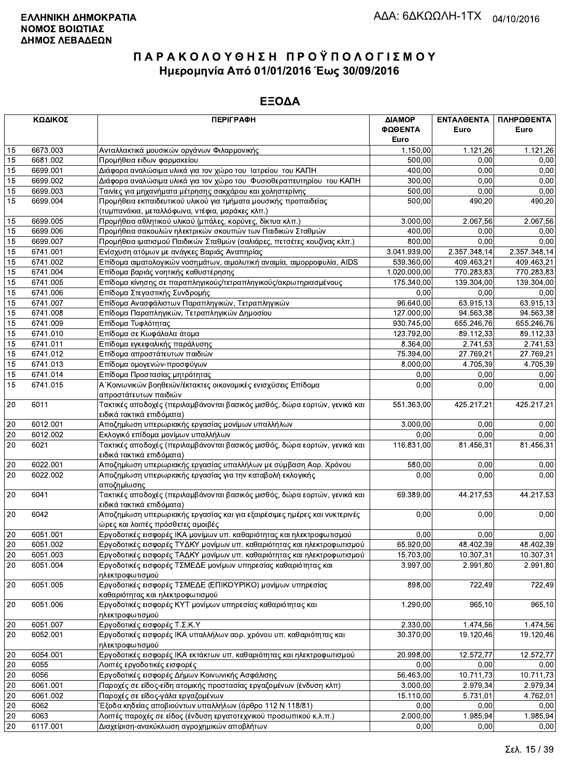|                                                                                                                                                                                                                          | ΚΩΔΙΚΟΣ  | <b>ПЕРІГРАФН</b>                                                                                           | ΔΙΑΜΟΡ       | ΕΝΤΑΛΘΕΝΤΑ   | ΠΛΗΡΩΘΕΝΤΑ   |
|--------------------------------------------------------------------------------------------------------------------------------------------------------------------------------------------------------------------------|----------|------------------------------------------------------------------------------------------------------------|--------------|--------------|--------------|
|                                                                                                                                                                                                                          |          |                                                                                                            | ΦΩΘΕΝΤΑ      | Euro         | Euro         |
|                                                                                                                                                                                                                          |          |                                                                                                            | Euro         |              |              |
| 15                                                                                                                                                                                                                       | 6673.003 | Ανταλλακτικά μουσικών οργάνων Φιλαρμονικής                                                                 | 1.150,00     | 1.121,26     | 1.121,26     |
| 15                                                                                                                                                                                                                       | 6681.002 | Προμήθεια ειδων φαρμακείου                                                                                 | 500,00       | 0,00         | 0,00         |
| 15                                                                                                                                                                                                                       | 6699.001 | Διάφορα αναλώσιμα υλικά για τον χώρο του Ιατρείου του ΚΑΠΗ                                                 | 400,00       | 0,00         | 0,00         |
| 15                                                                                                                                                                                                                       | 6699.002 | Διάφορα αναλώσιμα υλικά για τον χώρο του Φυσιοθεραπευτηρίου του ΚΑΠΗ                                       | 300,00       | 0,00         | 0,00         |
| 15                                                                                                                                                                                                                       | 6699.003 | Ταινίες για μηχανήματα μέτρησης σακχάρου και χοληστερίνης                                                  | 500,00       | 0,00         | 0,00         |
| 15                                                                                                                                                                                                                       | 6699.004 | Προμήθεια εκπαιδευτικού υλικού για τμήματα μουσικής προπαιδείας                                            | 500,00       | 490,20       | 490,20       |
|                                                                                                                                                                                                                          |          | (τυμπανάκια, μεταλλόφωνα, ντέφια, μαράκες κλπ.)                                                            |              |              |              |
| 15                                                                                                                                                                                                                       | 6699.005 | Προμήθεια αθλητικού υλικού (μπάλες, κορύνες, δίκτυα κλπ.)                                                  | 3.000,00     | 2.067,56     | 2.067,56     |
| 15                                                                                                                                                                                                                       | 6699.006 | Προμήθεια σακουλών ηλεκτρικών σκουπών των Παιδικών Σταθμών                                                 | 400,00       | 0,00         | 0,00         |
| 15                                                                                                                                                                                                                       | 6699.007 | Προμήθεια ιματισμού Παιδικών Σταθμών (σαλιάρες, πετσέτες κουζίνας κλπ.)                                    | 800,00       | 0,00         | 0,00         |
| 15                                                                                                                                                                                                                       | 6741.001 | Ενίσχυση ατόμων με ανάγκες Βαριάς Αναπηρίας                                                                | 3.041.939,00 | 2.357.348,14 | 2.357.348,14 |
| 15                                                                                                                                                                                                                       | 6741.002 | Επίδομα αιματολογικών νοσημάτων, αιμολυτική αναιμία, αιμορροφυλία, AIDS                                    | 539.360,00   | 409.463,21   | 409.463,21   |
| 15                                                                                                                                                                                                                       | 6741.004 | Επίδομα βαριάς νοητικής καθυστέρησης                                                                       | 1.020.000,00 | 770.283,83   | 770.283,83   |
| 15                                                                                                                                                                                                                       | 6741.005 | Επίδομα κίνησης σε παραπληγικούς/τετραπληγικούς/ακρωτηριασμένους                                           | 175.340,00   | 139.304,00   | 139.304,00   |
| 15                                                                                                                                                                                                                       | 6741.006 | Επίδομα Στεγαστικής Συνδρομής                                                                              | 0,00         | 0,00         | 0,00         |
| 15                                                                                                                                                                                                                       | 6741.007 | Επίδομα Ανασφάλιστων Παραπληγικών, Τετραπληγικών                                                           | 96.640,00    | 63.915,13    | 63.915,13    |
| 15                                                                                                                                                                                                                       | 6741.008 | Επίδομα Παραπληγικών, Τετραπληγικών Δημοσίου                                                               | 127.000,00   | 94.563,38    | 94.563,38    |
| 15                                                                                                                                                                                                                       | 6741.009 | Επίδομα Τυφλότητας                                                                                         | 930.745,00   | 655.246,76   | 655.246,76   |
| 15                                                                                                                                                                                                                       | 6741.010 | Επίδομα σε Κωφάλαλα άτομα                                                                                  | 123.792,00   | 89.112,33    | 89.112,33    |
| 15                                                                                                                                                                                                                       | 6741.011 | Επίδομα εγκεφαλικής παράλυσης                                                                              | 8.364,00     | 2.741,53     | 2.741,53     |
| 15                                                                                                                                                                                                                       | 6741.012 | Επίδομα απροστάτευτων παιδιών                                                                              | 75.394,00    | 27.769,21    | 27.769,21    |
| 15                                                                                                                                                                                                                       | 6741.013 | Επίδομα ομογενών-προσφύγων                                                                                 | 8.000,00     | 4.705,39     | 4.705,39     |
| 15                                                                                                                                                                                                                       | 6741.014 | Επίδομα Προστασίας μητρότητας                                                                              | 0,00         | 0,00         | 0,00         |
| 15                                                                                                                                                                                                                       | 6741.015 | Α΄ Κοινωνικών βοηθειών/έκτακτες οικονομικές ενισχύσεις Επίδομα                                             | 0,00         | 0,00         | 0,00         |
|                                                                                                                                                                                                                          |          | απροστάτευτων παιδιών                                                                                      |              |              |              |
| 20                                                                                                                                                                                                                       | 6011     | Τακτικές αποδοχές (περιλαμβάνονται βασικός μισθός, δώρα εορτών, γενικά και                                 | 551.363,00   | 425.217,21   | 425.217,21   |
|                                                                                                                                                                                                                          |          | ειδικά τακτικά επιδόματα)                                                                                  |              |              |              |
| 20                                                                                                                                                                                                                       | 6012.001 | Αποζημίωση υπερωριακής εργασίας μονίμων υπαλλήλων                                                          | 3.000,00     | 0,00         | 0,00         |
| 20                                                                                                                                                                                                                       | 6012.002 | Εκλογικό επίδομα μονίμων υπαλλήλων                                                                         | 0,00         | 0,00         | 0,00         |
|                                                                                                                                                                                                                          | 6021     | Τακτικές αποδοχές (περιλαμβάνονται βασικός μισθός, δώρα εορτών, γενικά και                                 | 116.831,00   | 81.456,31    | 81.456,31    |
|                                                                                                                                                                                                                          |          | ειδικά τακτικά επιδόματα)                                                                                  |              |              |              |
|                                                                                                                                                                                                                          | 6022.001 | Αποζημίωση υπερωριακής εργασίας υπαλλήλων με σύμβαση Αορ. Χρόνου                                           | 580,00       | 0,00         | 0,00         |
|                                                                                                                                                                                                                          | 6022.002 | Αποζημίωση υπερωριακής εργασίας για την καταβολή εκλογικής                                                 | 0,00         | 0,00         | 0,00         |
|                                                                                                                                                                                                                          |          | αποζημίωσης                                                                                                |              |              |              |
|                                                                                                                                                                                                                          |          | Τακτικές αποδοχές (περιλαμβάνονται βασικός μισθός, δώρα εορτών, γενικά και                                 | 69.389,00    | 44.217,53    | 44.217,53    |
|                                                                                                                                                                                                                          |          | ειδικά τακτικά επιδόματα)                                                                                  |              |              |              |
|                                                                                                                                                                                                                          |          | Αποζημίωση υπερωριακής εργασίας και για εξαιρέσιμες ημέρες και νυκτερινές                                  | 0,00         | 0,00         | 0,00         |
|                                                                                                                                                                                                                          |          | ώρες και λοιπές πρόσθετες αμοιβές<br>Εργοδοτικές εισφορές ΙΚΑ μονίμων υπ. καθαριότητας και ηλεκτροφωτισμού | 0,00         | 0.00         | 0,00         |
| 20<br>20<br>20<br>20<br>6041<br>6042<br>20<br>20<br>6051.001<br>20<br>6051.002<br>20<br>6051.003<br>6051.004<br>20<br>20<br>$20\,$<br>20<br>20<br>20<br>20<br>6055<br>20<br>6056<br>20<br>20<br>20<br>6062<br>20<br>6063 |          | Εργοδοτικές εισφορές ΤΥΔΚΥ μονίμων υπ. καθαριότητας και ηλεκτροφωτισμού                                    | 65.920,00    | 48.402,39    | 48.402,39    |
|                                                                                                                                                                                                                          |          | Εργοδοτικές εισφορές ΤΑΔΚΥ μονίμων υπ. καθαριότητας και ηλεκτροφωτισμού                                    | 15.703,00    | 10.307,31    | 10.307,31    |
|                                                                                                                                                                                                                          |          | Εργοδοτικές εισφορές ΤΣΜΕΔΕ μονίμων υπηρεσίας καθαριότητας και                                             | 3.997,00     | 2.991,80     | 2.991,80     |
|                                                                                                                                                                                                                          |          | ηλεκτροφωτισμού                                                                                            |              |              |              |
|                                                                                                                                                                                                                          | 6051.005 | Εργοδοτικές εισφορές ΤΣΜΕΔΕ (ΕΠΙΚΟΥΡΙΚΟ) μονίμων υπηρεσίας                                                 | 898,00       | 722,49       | 722,49       |
|                                                                                                                                                                                                                          |          | καθαριότητας και ηλεκτροφωτισμού                                                                           |              |              |              |
|                                                                                                                                                                                                                          | 6051.006 | Εργοδοτικές εισφορές ΚΥΤ μονίμων υπηρεσίας καθαριότητας και                                                | 1.290,00     | 965,10       | 965,10       |
|                                                                                                                                                                                                                          |          | ηλεκτροφωτισμού                                                                                            |              |              |              |
|                                                                                                                                                                                                                          | 6051.007 | Εργοδοτικές εισφορές Τ.Σ.Κ.Υ                                                                               | 2.330,00     | 1.474,56     | 1.474,56     |
|                                                                                                                                                                                                                          | 6052.001 | Εργοδοτικές εισφορές ΙΚΑ υπαλλήλων αορ. χρόνου υπ. καθαριότητας και                                        | 30.370,00    | 19.120,46    | 19.120,46    |
|                                                                                                                                                                                                                          |          | ηλεκτροφωτισμού                                                                                            |              |              |              |
|                                                                                                                                                                                                                          | 6054.001 | Εργοδοτικές εισφορές ΙΚΑ εκτάκτων υπ. καθαριότητας και ηλεκτροφωτισμού                                     | 20.998,00    | 12.572,77    | 12.572,77    |
|                                                                                                                                                                                                                          |          | Λοιπές εργοδοτικές εισφορές                                                                                | 0,00         | 0,00         | 0,00         |
|                                                                                                                                                                                                                          |          | Εργοδοτικές εισφορές Δήμων Κοινωνικής Ασφάλισης                                                            | 56.463,00    | 10.711,73    | 10.711,73    |
|                                                                                                                                                                                                                          | 6061.001 | Παροχές σε είδος-είδη ατομικής προστασίας εργαζομένων (ένδυση κλπ)                                         | 3.000,00     | 2.979,34     | 2.979,34     |
|                                                                                                                                                                                                                          | 6061.002 | Παροχές σε είδος-γάλα εργαζομένων                                                                          | 15.110,00    | 5.731,01     | 4.762,01     |
|                                                                                                                                                                                                                          |          | Έξοδα κηδείας αποβιούντων υπαλλήλων (άρθρο 112 Ν 118/81)                                                   | 0,00         | 0,00         | 0,00         |
|                                                                                                                                                                                                                          |          | Λοιπές παροχές σε είδος (ένδυση εργατοτεχνικού προσωπικού κ.λ.π.)                                          | 2.000,00     | 1.985,94     | 1.985,94     |
| 20                                                                                                                                                                                                                       | 6117.001 | Διαχείριση-ανακύκλωση αγροχημικών αποβλήτων                                                                | 0,00         | 0,00         | 0,00         |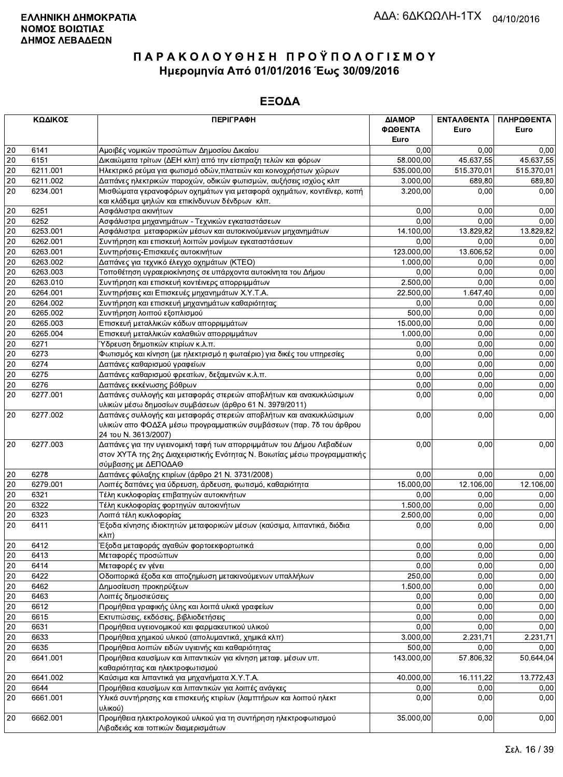|                 | ΚΩΔΙΚΟΣ  | <b>ПЕРІГРАФН</b>                                                                                                                                                         | ΔΙΑΜΟΡ     | ΕΝΤΑΛΘΕΝΤΑ | ΠΛΗΡΩΘΕΝΤΑ |
|-----------------|----------|--------------------------------------------------------------------------------------------------------------------------------------------------------------------------|------------|------------|------------|
|                 |          |                                                                                                                                                                          | ΦΩΘΕΝΤΑ    | Euro       | Euro       |
|                 |          |                                                                                                                                                                          | Euro       |            |            |
| 20              | 6141     | Αμοιβές νομικών προσώπων Δημοσίου Δικαίου                                                                                                                                | 0.00       | 0,00       | 0,00       |
| 20              | 6151     | Δικαιώματα τρίτων (ΔΕΗ κλπ) από την είσπραξη τελών και φόρων                                                                                                             | 58.000,00  | 45.637.55  | 45.637,55  |
| 20              | 6211.001 | Ηλεκτρικό ρεύμα για φωτισμό οδών, πλατειών και κοινοχρήστων χώρων                                                                                                        | 535.000,00 | 515.370,01 | 515.370,01 |
| 20              | 6211.002 | Δαπάνες ηλεκτρικών παροχών, οδικών φωτισμών, αυξήσεις ισχύος κλπ                                                                                                         | 3.000,00   | 689,80     | 689,80     |
| 20              | 6234.001 | Μισθώματα γερανοφόρων οχημάτων για μεταφορά οχημάτων, κοντέϊνερ, κοπή<br>και κλάδεμα ψηλών και επικίνδυνων δένδρων κλπ.                                                  | 3.200,00   | 0,00       | 0,00       |
| 20              | 6251     | Ασφάλιστρα ακινήτων                                                                                                                                                      | 0,00       | 0,00       | 0,00       |
| 20              | 6252     | Ασφάλιστρα μηχανημάτων - Τεχνικών εγκαταστάσεων                                                                                                                          | 0.00       | 0,00       | 0,00       |
| 20              | 6253.001 | Ασφάλιστρα μεταφορικών μέσων και αυτοκινούμενων μηχανημάτων                                                                                                              | 14.100,00  | 13.829,82  | 13.829,82  |
| 20              | 6262.001 | Συντήρηση και επισκευή λοιπών μονίμων εγκαταστάσεων                                                                                                                      | 0,00       | 0.00       | 0,00       |
| 20              | 6263.001 | Συντηρήσεις-Επισκευές αυτοκινήτων                                                                                                                                        | 123.000,00 | 13.606,52  | 0,00       |
| 20              | 6263.002 | Δαπάνες για τεχνικό έλεγχο οχημάτων (ΚΤΕΟ)                                                                                                                               | 1.000,00   | 0,00       | 0,00       |
| $\overline{20}$ | 6263.003 | Τοποθέτηση υγραεριοκίνησης σε υπάρχοντα αυτοκίνητα του Δήμου                                                                                                             | 0.00       | 0,00       | 0,00       |
| $20\,$          | 6263.010 | Συντήρηση και επισκευή κοντέινερς απορριμμάτων                                                                                                                           | 2.500,00   | 0,00       | 0,00       |
| 20              | 6264.001 | Συντηρήσεις και Επισκευές μηχανημάτων Χ.Υ.Τ.Α.                                                                                                                           | 22.500,00  | 1.647,40   | 0,00       |
| 20              | 6264.002 | Συντήρηση και επισκευή μηχανημάτων καθαριότητας                                                                                                                          | 0.00       | 0,00       | 0,00       |
| $20\,$          | 6265.002 | Συντήρηση λοιπού εξοπλισμού                                                                                                                                              | 500,00     | 0,00       | 0,00       |
| $\overline{20}$ | 6265.003 | Επισκευή μεταλλικών κάδων απορριμμάτων                                                                                                                                   | 15.000,00  | 0,00       | 0,00       |
| 20              | 6265.004 | Επισκευή μεταλλικών καλαθιών απορριμμάτων                                                                                                                                | 1.000,00   | 0,00       | 0,00       |
| 20              | 6271     | Ύδρευση δημοτικών κτιρίων κ.λ.π.                                                                                                                                         | 0,00       | 0,00       | 0,00       |
| 20              | 6273     | Φωτισμός και κίνηση (με ηλεκτρισμό η φωταέριο) για δικές του υπηρεσίες                                                                                                   | 0,00       | 0,00       | 0,00       |
| $20\,$          | 6274     | Δαπάνες καθαρισμού γραφείων                                                                                                                                              | 0,00       | 0,00       | 0,00       |
| $\overline{20}$ | 6275     | Δαπάνες καθαρισμού φρεατίων, δεξαμενών κ.λ.π.                                                                                                                            | 0,00       | 0,00       | 0,00       |
| 20              | 6276     | Δαπάνες εκκένωσης βόθρων                                                                                                                                                 | 0,00       | 0,00       | 0,00       |
| 20              | 6277.001 | Δαπάνες συλλογής και μεταφοράς στερεών αποβλήτων και ανακυκλώσιμων                                                                                                       | 0,00       | 0,00       | 0,00       |
|                 |          | υλικών μέσω δημοσίων συμβάσεων (άρθρο 61 Ν. 3979/2011)                                                                                                                   |            |            |            |
| 20              | 6277.002 | Δαπάνες συλλογής και μεταφοράς στερεών αποβλήτων και ανακυκλώσιμων<br>υλικών απο ΦΟΔΣΑ μέσω προγραμματικών συμβάσεων (παρ. 7δ του άρθρου<br>24 του Ν. 3613/2007)         | 0,00       | 0,00       | 0,00       |
| 20              | 6277.003 | Δαπάνες για την υγιεινομική ταφή των απορριμμάτων του Δήμου Λεβαδέων<br>στον ΧΥΤΑ της 2ης Διαχειριστικής Ενότητας Ν. Βοιωτίας μέσω προγραμματικής<br>σύμβασης με ΔΕΠΟΔΑΘ | 0,00       | 0,00       | 0,00       |
| 20              | 6278     | Δαπάνες φύλαξης κτιρίων (άρθρο 21 Ν. 3731/2008)                                                                                                                          | 0,00       | 0,00       | 0,00       |
| 20              | 6279.001 | Λοιπές δαπάνες για ύδρευση, άρδευση, φωτισμό, καθαριότητα                                                                                                                | 15.000,00  | 12.106,00  | 12.106,00  |
| 20              | 6321     | Τέλη κυκλοφορίας επιβατηγών αυτοκινήτων                                                                                                                                  | 0,00       | 0,00       | 0,00       |
| $20\,$          | 6322     | Τέλη κυκλοφορίας φορτηγών αυτοκινήτων                                                                                                                                    | 1.500,00   | 0.00       | 0,00       |
| 20              | 6323     | Λοιπά τέλη κυκλοφορίας                                                                                                                                                   | 2.500,00   | 0,00       | 0,00       |
| 20              | 6411     | Έξοδα κίνησης ιδιοκτητών μεταφορικών μέσων (καύσιμα, λιπαντικά, διόδια<br>кλπ)                                                                                           | 0,00       | 0,00       | 0,00       |
| 20              | 6412     | Έξοδα μεταφοράς αγαθών φορτοεκφορτωτικά                                                                                                                                  | 0,00       | 0,00       | 0,00       |
| $\overline{20}$ | 6413     | Μεταφορές προσώπων                                                                                                                                                       | 0,00       | 0,00       | 0,00       |
| 20              | 6414     | Μεταφορές εν γένει                                                                                                                                                       | 0,00       | 0,00       | 0,00       |
| $20\,$          | 6422     | Οδοιπορικά έξοδα και αποζημίωση μετακινούμενων υπαλλήλων                                                                                                                 | 250,00     | 0,00       | 0,00       |
| $20\,$          | 6462     | Δημοσίευση προκηρύξεων                                                                                                                                                   | 1.500,00   | 0,00       | 0,00       |
| $20\,$          | 6463     | Λοιπές δημοσιεύσεις                                                                                                                                                      | 0,00       | 0,00       | 0,00       |
| $\overline{20}$ | 6612     | Προμήθεια γραφικής ύλης και λοιπά υλικά γραφείων                                                                                                                         | 0,00       | 0,00       | 0,00       |
| $20\,$          | 6615     | Εκτυπώσεις, εκδόσεις, βιβλιοδετήσεις                                                                                                                                     | 0,00       | 0,00       | 0,00       |
| 20              | 6631     | Προμήθεια υγειονομικού και φαρμακευτικού υλικού                                                                                                                          | 0,00       | 0,00       | 0,00       |
| $20\,$          | 6633     | Προμήθεια χημικού υλικού (απολυμαντικά, χημικά κλπ)                                                                                                                      | 3.000,00   | 2.231,71   | 2.231,71   |
| 20              | 6635     | Προμήθεια λοιπών ειδών υγιεινής και καθαριότητας                                                                                                                         | 500,00     | 0,00       | 0,00       |
| 20              | 6641.001 | Προμήθεια καυσίμων και λιπαντικών για κίνηση μεταφ. μέσων υπ.                                                                                                            | 143.000,00 | 57.806,32  | 50.644,04  |
|                 |          | καθαριότητας και ηλεκτροφωτισμού                                                                                                                                         |            |            |            |
| 20              | 6641.002 | Καύσιμα και λιπαντικά για μηχανήματα Χ.Υ.Τ.Α.                                                                                                                            | 40.000,00  | 16.111,22  | 13.772,43  |
| $20\,$          | 6644     | Προμήθεια καυσίμων και λιπαντικών για λοιπές ανάγκες                                                                                                                     | 0,00       | 0,00       | 0,00       |
| 20              | 6661.001 | Υλικά συντήρησης και επισκευής κτιρίων (λαμπτήρων και λοιπού ηλεκτ                                                                                                       | 0,00       | 0,00       | 0,00       |
| 20              | 6662.001 | υλικού)<br>Προμήθεια ηλεκτρολογικού υλικού για τη συντήρηση ηλεκτροφωτισμού<br>Λιβαδειάς και τοπικών διαμερισμάτων                                                       | 35.000,00  | 0,00       | 0,00       |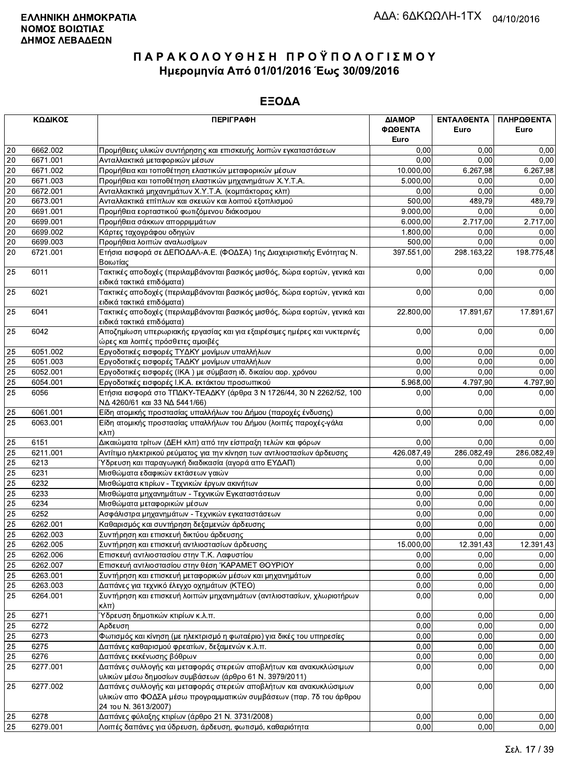|    | ΚΩΔΙΚΟΣ  | <b>ПЕРІГРАФН</b>                                                                                                                                                 | ΔΙΑΜΟΡ<br>ΦΩΘΕΝΤΑ | ΕΝΤΑΛΘΕΝΤΑ<br>Euro | ΠΛΗΡΩΘΕΝΤΑ<br>Euro |
|----|----------|------------------------------------------------------------------------------------------------------------------------------------------------------------------|-------------------|--------------------|--------------------|
|    |          |                                                                                                                                                                  | Euro              |                    |                    |
| 20 | 6662.002 | Προμήθειες υλικών συντήρησης και επισκευής λοιπών εγκαταστάσεων                                                                                                  | 0,00              | 0.00               | 0,00               |
| 20 | 6671.001 | Ανταλλακτικά μεταφορικών μέσων                                                                                                                                   | 0.00              | 0.00               | 0,00               |
| 20 | 6671.002 | Προμήθεια και τοποθέτηση ελαστικών μεταφορικών μέσων                                                                                                             | 10.000,00         | 6.267,98           | 6.267,98           |
| 20 | 6671.003 | Προμήθεια και τοποθέτηση ελαστικών μηχανημάτων Χ.Υ.Τ.Α.                                                                                                          | 5.000,00          | 0,00               | 0,00               |
| 20 | 6672.001 | Ανταλλακτικά μηχανημάτων Χ.Υ.Τ.Α. (κομπάκτορας κλπ)                                                                                                              | 0,00              | 0,00               | 0,00               |
| 20 | 6673.001 | Ανταλλακτικά επίπλων και σκευών και λοιπού εξοπλισμού                                                                                                            | 500,00            | 489,79             | 489,79             |
| 20 | 6691.001 | Προμήθεια εορταστικού φωτιζόμενου διάκοσμου                                                                                                                      | 9.000,00          | 0,00               | 0,00               |
| 20 | 6699.001 | Προμήθεια σάκκων απορριμμάτων                                                                                                                                    | 6.000,00          | 2.717,00           | 2.717,00           |
| 20 | 6699.002 | Κάρτες ταχογράφου οδηγών                                                                                                                                         | 1.800,00          | 0,00               | 0,00               |
| 20 | 6699.003 | Προμήθεια λοιπών αναλωσίμων                                                                                                                                      | 500,00            | 0,00               | 0,00               |
| 20 | 6721.001 | Ετήσια εισφορά σε ΔΕΠΟΔΑΛ-Α.Ε. (ΦΟΔΣΑ) 1ης Διαχειριστικής Ενότητας Ν.<br>Βοιωτίας                                                                                | 397.551,00        | 298.163,22         | 198.775,48         |
| 25 | 6011     | Τακτικές αποδοχές (περιλαμβάνονται βασικός μισθός, δώρα εορτών, γενικά και<br>ειδικά τακτικά επιδόματα)                                                          | 0,00              | 0,00               | 0,00               |
| 25 | 6021     | Τακτικές αποδοχές (περιλαμβάνονται βασικός μισθός, δώρα εορτών, γενικά και<br>ειδικά τακτικά επιδόματα)                                                          | 0,00              | 0,00               | 0,00               |
| 25 | 6041     | Τακτικές αποδοχές (περιλαμβάνονται βασικός μισθός, δώρα εορτών, γενικά και<br>ειδικά τακτικά επιδόματα)                                                          | 22.800,00         | 17.891,67          | 17.891,67          |
| 25 | 6042     | Αποζημίωση υπερωριακής εργασίας και για εξαιρέσιμες ημέρες και νυκτερινές<br>ώρες και λοιπές πρόσθετες αμοιβές                                                   | 0,00              | 0,00               | 0,00               |
| 25 | 6051.002 | Εργοδοτικές εισφορές ΤΥΔΚΥ μονίμων υπαλλήλων                                                                                                                     | 0,00              | 0,00               | 0,00               |
| 25 | 6051.003 | Εργοδοτικές εισφορές ΤΑΔΚΥ μονίμων υπαλλήλων                                                                                                                     | 0,00              | 0,00               | 0,00               |
| 25 | 6052.001 | Εργοδοτικές εισφορές (ΙΚΑ) με σύμβαση ιδ. δικαίου αορ. χρόνου                                                                                                    | 0.00              | 0,00               | 0,00               |
| 25 | 6054.001 | Εργοδοτικές εισφορές Ι.Κ.Α. εκτάκτου προσωπικού                                                                                                                  | 5.968,00          | 4.797,90           | 4.797,90           |
| 25 | 6056     | Ετήσια εισφορά στο ΤΠΔΚΥ-ΤΕΑΔΚΥ (άρθρα 3 Ν 1726/44, 30 Ν 2262/52, 100<br>ΝΔ 4260/61 και 33 ΝΔ 5441/66)                                                           | 0,00              | 0,00               | 0,00               |
| 25 | 6061.001 | Είδη ατομικής προστασίας υπαλλήλων του Δήμου (παροχές ένδυσης)                                                                                                   | 0,00              | 0,00               | 0,00               |
| 25 | 6063.001 | Είδη ατομικής προστασίας υπαλλήλων του Δήμου (λοιπές παροχές-γάλα<br>$\kappa\lambda\pi$                                                                          | 0,00              | 0,00               | 0,00               |
| 25 | 6151     | Δικαιώματα τρίτων (ΔΕΗ κλπ) από την είσπραξη τελών και φόρων                                                                                                     | 0,00              | 0,00               | 0,00               |
| 25 | 6211.001 | Αντίτιμο ηλεκτρικού ρεύματος για την κίνηση των αντλιοστασίων άρδευσης                                                                                           | 426.087,49        | 286.082,49         | 286.082,49         |
| 25 | 6213     | Ύδρευση και παραγωγική διαδικασία (αγορά απο ΕΥΔΑΠ)                                                                                                              | 0,00              | 0,00               | 0,00               |
| 25 | 6231     | Μισθώματα εδαφικών εκτάσεων γαιών                                                                                                                                | 0,00              | 0,00               | 0,00               |
| 25 | 6232     | Μισθώματα κτιρίων - Τεχνικών έργων ακινήτων                                                                                                                      | 0,00              | 0,00               | 0,00               |
| 25 | 6233     | Μισθώματα μηχανημάτων - Τεχνικών Εγκαταστάσεων                                                                                                                   | 0,00              | 0,00               | 0,00               |
| 25 | 6234     | Μισθώματα μεταφορικών μέσων                                                                                                                                      | 0,00              | 0,00               | 0,00               |
| 25 | 6252     | Ασφάλιστρα μηχανημάτων - Τεχνικών εγκαταστάσεων                                                                                                                  | 0,00              | 0,00               | 0,00               |
| 25 | 6262.001 | Καθαρισμός και συντήρηση δεξαμενών άρδευσης                                                                                                                      | 0,00              | 0,00               | 0,00               |
| 25 | 6262.003 | Συντήρηση και επισκευή δικτύου άρδευσης                                                                                                                          | 0,00              | 0,00               | 0,00               |
| 25 | 6262.005 | Συντήρηση και επισκευή αντλιοστασίων άρδευσης                                                                                                                    | 15.000,00         | 12.391,43          | 12.391,43          |
| 25 | 6262.006 | Επισκευή αντλιοστασίου στην Τ.Κ. Λαφυστίου                                                                                                                       | 0,00              | 0,00               | 0,00               |
| 25 | 6262.007 | Επισκευή αντλιοστασίου στην θέση 'ΚΑΡΑΜΕΤ ΘΟΥΡΙΟΥ                                                                                                                | 0,00              | 0,00               | 0,00               |
| 25 | 6263.001 | Συντήρηση και επισκευή μεταφορικών μέσων και μηχανημάτων                                                                                                         | 0,00              | 0,00               | 0,00               |
| 25 | 6263.003 | Δαπάνες για τεχνικό έλεγχο οχημάτων (ΚΤΕΟ)                                                                                                                       | 0,00              | 0,00               | 0,00               |
| 25 | 6264.001 | Συντήρηση και επισκευή λοιπών μηχανημάτων (αντλιοστασίων, χλωριοτήρων<br>$\kappa\lambda\pi$ )                                                                    | 0,00              | 0,00               | 0,00               |
| 25 | 6271     | Ύδρευση δημοτικών κτιρίων κ.λ.π.                                                                                                                                 | 0,00              | 0,00               | 0,00               |
| 25 | 6272     | Αρδευση                                                                                                                                                          | 0,00              | 0,00               | 0,00               |
| 25 | 6273     | Φωτισμός και κίνηση (με ηλεκτρισμό η φωταέριο) για δικές του υπηρεσίες                                                                                           | 0,00              | 0,00               | 0,00               |
| 25 | 6275     | Δαπάνες καθαρισμού φρεατίων, δεξαμενών κ.λ.π.                                                                                                                    | 0,00              | 0,00               | 0,00               |
| 25 | 6276     | Δαπάνες εκκένωσης βόθρων                                                                                                                                         | 0,00              | 0,00               | 0,00               |
| 25 | 6277.001 | Δαπάνες συλλογής και μεταφοράς στερεών αποβλήτων και ανακυκλώσιμων<br>υλικών μέσω δημοσίων συμβάσεων (άρθρο 61 Ν. 3979/2011)                                     | 0,00              | 0,00               | 0,00               |
| 25 | 6277.002 | Δαπάνες συλλογής και μεταφοράς στερεών αποβλήτων και ανακυκλώσιμων<br>υλικών απο ΦΟΔΣΑ μέσω προγραμματικών συμβάσεων (παρ. 7δ του άρθρου<br>24 TOU N. 3613/2007) | 0,00              | 0,00               | 0,00               |
| 25 | 6278     | Δαπάνες φύλαξης κτιρίων (άρθρο 21 Ν. 3731/2008)                                                                                                                  | 0,00              | 0,00               | 0,00               |
| 25 | 6279.001 | Λοιπές δαπάνες για ύδρευση, άρδευση, φωτισμό, καθαριότητα                                                                                                        | 0,00              | 0,00               | 0,00               |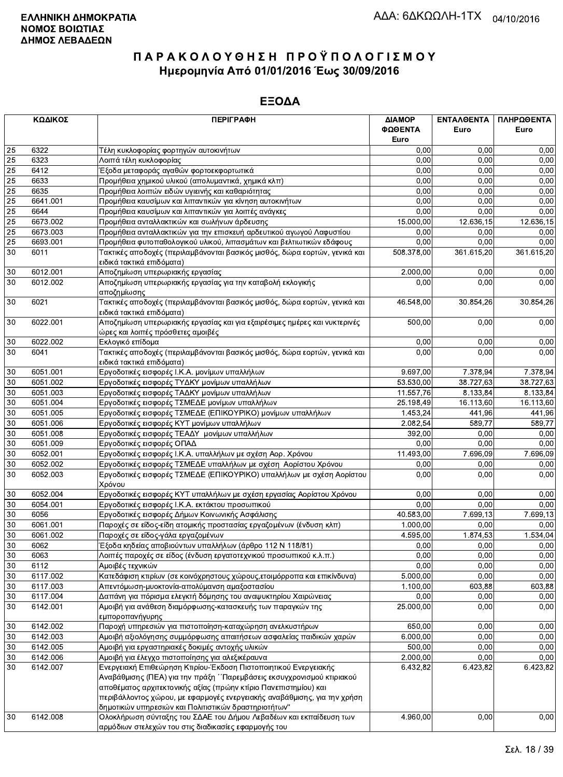|    | ΚΩΔΙΚΟΣ  | <b>ПЕРІГРАФН</b>                                                                                               | ΔΙΑΜΟΡ     | ΕΝΤΑΛΘΕΝΤΑ | ΠΛΗΡΩΘΕΝΤΑ |
|----|----------|----------------------------------------------------------------------------------------------------------------|------------|------------|------------|
|    |          |                                                                                                                | ΦΩΘΕΝΤΑ    | Euro       | Euro       |
|    |          |                                                                                                                | Euro       |            |            |
| 25 | 6322     | Τέλη κυκλοφορίας φορτηγών αυτοκινήτων                                                                          | 0,00       | 0,00       | 0,00       |
| 25 | 6323     | Λοιπά τέλη κυκλοφορίας                                                                                         | 0,00       | 0.00       | 0,00       |
| 25 | 6412     | Έξοδα μεταφοράς αγαθών φορτοεκφορτωτικά                                                                        | 0,00       | 0.00       | 0,00       |
| 25 | 6633     | Προμήθεια χημικού υλικού (απολυμαντικά, χημικά κλπ)                                                            | 0,00       | 0,00       | 0,00       |
| 25 | 6635     | Προμήθεια λοιπών ειδών υγιεινής και καθαριότητας                                                               | 0.00       | 0,00       | 0,00       |
| 25 | 6641.001 | Προμήθεια καυσίμων και λιπαντικών για κίνηση αυτοκινήτων                                                       | 0,00       | 0,00       | 0,00       |
| 25 | 6644     | Προμήθεια καυσίμων και λιπαντικών για λοιπές ανάγκες                                                           | 0,00       | 0,00       | 0,00       |
| 25 | 6673.002 | Προμήθεια ανταλλακτικών και σωλήνων άρδευσης                                                                   | 15.000,00  | 12.636,15  | 12.636,15  |
| 25 | 6673.003 | Προμήθεια ανταλλακτικών για την επισκευή αρδευτικού αγωγού Λαφυστίου                                           | 0,00       | 0,00       | 0,00       |
| 25 | 6693.001 | Προμήθεια φυτοπαθολογικού υλικού, λιπασμάτων και βελτιωτικών εδάφους                                           | 0,00       | 0.00       | 0,00       |
| 30 | 6011     | Τακτικές αποδοχές (περιλαμβάνονται βασικός μισθός, δώρα εορτών, γενικά και<br>ειδικά τακτικά επιδόματα)        | 508.378,00 | 361.615,20 | 361.615,20 |
| 30 | 6012.001 | Αποζημίωση υπερωριακής εργασίας                                                                                | 2.000,00   | 0,00       | 0,00       |
| 30 | 6012.002 | Αποζημίωση υπερωριακής εργασίας για την καταβολή εκλογικής                                                     | 0,00       | 0,00       | 0,00       |
|    |          | αποζημίωσης                                                                                                    |            |            |            |
| 30 | 6021     | Τακτικές αποδοχές (περιλαμβάνονται βασικός μισθός, δώρα εορτών, γενικά και<br>ειδικά τακτικά επιδόματα)        | 46.548,00  | 30.854,26  | 30.854,26  |
| 30 | 6022.001 | Αποζημίωση υπερωριακής εργασίας και για εξαιρέσιμες ημέρες και νυκτερινές<br>ώρες και λοιπές πρόσθετες αμοιβές | 500,00     | 0,00       | 0,00       |
| 30 | 6022.002 | Εκλογικό επίδομα                                                                                               | 0,00       | 0,00       | 0,00       |
| 30 | 6041     | Τακτικές αποδοχές (περιλαμβάνονται βασικός μισθός, δώρα εορτών, γενικά και<br>ειδικά τακτικά επιδόματα)        | 0,00       | 0,00       | 0,00       |
| 30 | 6051.001 | Εργοδοτικές εισφορές Ι.Κ.Α. μονίμων υπαλλήλων                                                                  | 9.697,00   | 7.378,94   | 7.378,94   |
| 30 | 6051.002 | Εργοδοτικές εισφορές ΤΥΔΚΥ μονίμων υπαλλήλων                                                                   | 53.530,00  | 38.727,63  | 38.727,63  |
| 30 | 6051.003 | Εργοδοτικές εισφορές ΤΑΔΚΥ μονίμων υπαλλήλων                                                                   | 11.557,76  | 8.133,84   | 8.133,84   |
| 30 | 6051.004 | Εργοδοτικές εισφορές ΤΣΜΕΔΕ μονίμων υπαλλήλων                                                                  | 25.198,49  | 16.113,60  | 16.113,60  |
| 30 | 6051.005 | Εργοδοτικές εισφορές ΤΣΜΕΔΕ (ΕΠΙΚΟΥΡΙΚΟ) μονίμων υπαλλήλων                                                     | 1.453,24   | 441,96     | 441,96     |
| 30 | 6051.006 | Εργοδοτικές εισφορές ΚΥΤ μονίμων υπαλλήλων                                                                     | 2.082,54   | 589,77     | 589,77     |
| 30 | 6051.008 | Εργοδοτικές εισφορές ΤΕΑΔΥ μονίμων υπαλλήλων                                                                   | 392,00     | 0,00       | 0,00       |
| 30 | 6051.009 | Εργοδοτικές εισφορές ΟΠΑΔ                                                                                      | 0,00       | 0,00       | 0,00       |
| 30 | 6052.001 | Εργοδοτικές εισφορές Ι.Κ.Α. υπαλλήλων με σχέση Αορ. Χρόνου                                                     | 11.493,00  | 7.696,09   | 7.696,09   |
| 30 | 6052.002 | Εργοδοτικές εισφορές ΤΣΜΕΔΕ υπαλλήλων με σχέση Αορίστου Χρόνου                                                 | 0,00       | 0,00       | 0,00       |
| 30 | 6052.003 | Εργοδοτικές εισφορές ΤΣΜΕΔΕ (ΕΠΙΚΟΥΡΙΚΟ) υπαλλήλων με σχέση Αορίστου<br>Χρόνου                                 | 0,00       | 0,00       | 0,00       |
| 30 | 6052.004 | Εργοδοτικές εισφορές ΚΥΤ υπαλλήλων με σχέση εργασίας Αορίστου Χρόνου                                           | 0,00       | 0,00       | 0,00       |
| 30 | 6054.001 | Εργοδοτικές εισφορές Ι.Κ.Α. εκτάκτου προσωπικού                                                                | 0,00       | 0,00       | 0,00       |
| 30 | 6056     | Εργοδοτικές εισφορές Δήμων Κοινωνικής Ασφάλισης                                                                | 40.583,00  | 7.699,13   | 7.699.13   |
| 30 | 6061.001 | Παροχές σε είδος-είδη ατομικής προστασίας εργαζομένων (ένδυση κλπ)                                             | 1.000,00   | 0.00       | 0,00       |
| 30 | 6061.002 | Παροχές σε είδος-γάλα εργαζομένων                                                                              | 4.595,00   | 1.874,53   | 1.534,04   |
| 30 | 6062     | Έξοδα κηδείας αποβιούντων υπαλλήλων (άρθρο 112 Ν 118/81)                                                       | 0,00       | 0,00       | 0,00       |
| 30 | 6063     | Λοιπές παροχές σε είδος (ένδυση εργατοτεχνικού προσωπικού κ.λ.π.)                                              | 0,00       | 0,00       | 0,00       |
| 30 | 6112     | Αμοιβές τεχνικών                                                                                               | 0,00       | 0,00       | 0,00       |
| 30 | 6117.002 | Κατεδάφιση κτιρίων (σε κοινόχρηστους χώρους, ετοιμόρροπα και επικίνδυνα)                                       | 5.000,00   | 0,00       | 0,00       |
| 30 | 6117.003 | Απεντόμωση-μυοκτονία-απολύμανση αμαξοστασίου                                                                   | 1.100,00   | 603,88     | 603,88     |
| 30 | 6117.004 | Δαπάνη για πόρισμα ελεγκτή δόμησης του αναψυκτηρίου Χαιρώνειας                                                 | 0,00       | 0,00       | 0,00       |
| 30 | 6142.001 | Αμοιβή για ανάθεση διαμόρφωσης-κατασκευής των παραγκών της<br>εμποροπανήγυρης                                  | 25.000,00  | 0,00       | 0,00       |
| 30 | 6142.002 | Παροχή υπηρεσιών για πιστοποίηση-καταχώρηση ανελκυστήρων                                                       | 650,00     | 0,00       | 0,00       |
| 30 | 6142.003 | Αμοιβή αξιολόγησης συμμόρφωσης απαιτήσεων ασφαλείας παιδικών χαρών                                             | 6.000,00   | 0,00       | 0,00       |
| 30 | 6142.005 | Αμοιβή για εργαστηριακές δοκιμές αντοχής υλικών                                                                | 500,00     | 0,00       | 0,00       |
| 30 | 6142.006 | Αμοιβή για έλεγχο πιστοποίησης για αλεξικέραυνα                                                                | 2.000,00   | 0,00       | 0,00       |
| 30 | 6142.007 | Ενεργειακή Επιθεώρηση Κτιρίου-Έκδοση Πιστοποιητικού Ενεργειακής                                                | 6.432,82   | 6.423,82   | 6.423,82   |
|    |          | Αναβάθμισης (ΠΕΑ) για την πράξη ΄΄Παρεμβάσεις εκσυγχρονισμού κτιριακού                                         |            |            |            |
|    |          | αποθέματος αρχιτεκτονικής αξίας (πρώην κτίριο Πανεπιστημίου) και                                               |            |            |            |
|    |          | περιβάλλοντος χώρου, με εφαρμογές ενεργειακής αναβάθμισης, για την χρήση                                       |            |            |            |
|    |          | δημοτικών υπηρεσιών και Πολιτιστικών δραστηριοτήτων"                                                           |            |            |            |
| 30 | 6142.008 | Ολοκλήρωση σύνταξης του ΣΔΑΕ του Δήμου Λεβαδέων και εκπαίδευση των                                             | 4.960,00   | 0,00       | 0,00       |
|    |          | αρμόδιων στελεχών του στις διαδικασίες εφαρμογής του                                                           |            |            |            |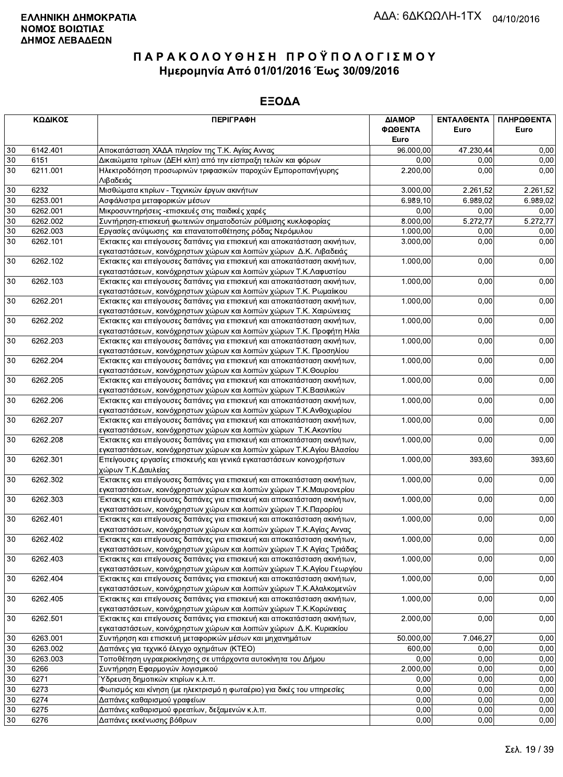|          | ΚΩΔΙΚΟΣ              | <b>ПЕРІГРАФН</b>                                                                                                                          | ΔΙΑΜΟΡ<br>ΦΩΘΕΝΤΑ | ΕΝΤΑΛΘΕΝΤΑ<br>Euro | ΠΛΗΡΩΘΕΝΤΑ<br>Euro |
|----------|----------------------|-------------------------------------------------------------------------------------------------------------------------------------------|-------------------|--------------------|--------------------|
|          |                      |                                                                                                                                           | Euro              |                    |                    |
| $30\,$   | 6142.401             | Αποκατάσταση ΧΑΔΑ πλησίον της Τ.Κ. Αγίας Αννας                                                                                            | 96.000,00         | 47.230,44          | 0,00               |
| $30\,$   | 6151                 | Δικαιώματα τρίτων (ΔΕΗ κλπ) από την είσπραξη τελών και φόρων                                                                              | 0,00              | 0,00               | 0,00               |
| 30       | 6211.001             | Ηλεκτροδότηση προσωρινών τριφασικών παροχών Εμποροπανήγυρης<br>Λιβαδειάς                                                                  | 2.200,00          | 0.00               | 0,00               |
| $30\,$   | 6232                 | Μισθώματα κτιρίων - Τεχνικών έργων ακινήτων                                                                                               | 3.000,00          | 2.261,52           | 2.261,52           |
| 30       | 6253.001             | Ασφάλιστρα μεταφορικών μέσων                                                                                                              | 6.989, 10         | 6.989.02           | 6.989,02           |
| $30\,$   | 6262.001             | Μικροσυντηρήσεις -επισκευές στις παιδικές χαρές                                                                                           | 0,00              | 0,00               | 0,00               |
| $30\,$   | 6262.002             | Συντήρηση-επισκευή φωτεινών σηματοδοτών ρύθμισης κυκλοφορίας                                                                              | 8.000,00          | 5.272,77           | 5.272,77           |
| 30       | 6262.003             | Εργασίες ανύψωσης και επανατοποθέτησης ρόδας Νερόμυλου                                                                                    | 1.000,00          | 0,00               | 0,00               |
| 30       | 6262.101             | Έκτακτες και επείγουσες δαπάνες για επισκευή και αποκατάσταση ακινήτων,                                                                   | 3.000,00          | 0,00               | 0,00               |
|          |                      | εγκαταστάσεων, κοινόχρηστων χώρων και λοιπών χώρων Δ.Κ. Λιβαδειάς                                                                         |                   |                    |                    |
| 30       | 6262.102             | Έκτακτες και επείγουσες δαπάνες για επισκευή και αποκατάσταση ακινήτων,                                                                   | 1.000,00          | 0,00               | 0,00               |
|          |                      | εγκαταστάσεων, κοινόχρηστων χώρων και λοιπών χώρων Τ.Κ.Λαφυστίου                                                                          |                   |                    |                    |
| 30       | 6262.103             | Έκτακτες και επείγουσες δαπάνες για επισκευή και αποκατάσταση ακινήτων,                                                                   | 1.000,00          | 0,00               | 0,00               |
|          |                      | εγκαταστάσεων, κοινόχρηστων χώρων και λοιπών χώρων Τ.Κ. Ρωμαίικου                                                                         |                   |                    |                    |
| 30       | 6262.201             | Έκτακτες και επείγουσες δαπάνες για επισκευή και αποκατάσταση ακινήτων,                                                                   | 1.000,00          | 0,00               | 0,00               |
|          |                      | εγκαταστάσεων, κοινόχρηστων χώρων και λοιπών χώρων Τ.Κ. Χαιρώνειας                                                                        |                   |                    |                    |
| 30       | 6262.202             | Έκτακτες και επείγουσες δαπάνες για επισκευή και αποκατάσταση ακινήτων,                                                                   | 1.000,00          | 0,00               | 0,00               |
|          |                      | εγκαταστάσεων, κοινόχρηστων χώρων και λοιπών χώρων Τ.Κ. Προφήτη Ηλία                                                                      |                   |                    |                    |
| 30       | 6262.203             | Έκτακτες και επείγουσες δαπάνες για επισκευή και αποκατάσταση ακινήτων,                                                                   | 1.000,00          | 0,00               | 0,00               |
|          |                      | εγκαταστάσεων, κοινόχρηστων χώρων και λοιπών χώρων Τ.Κ. Προσηλίου                                                                         |                   |                    |                    |
| 30       | 6262.204             | Έκτακτες και επείγουσες δαπάνες για επισκευή και αποκατάσταση ακινήτων,<br>εγκαταστάσεων, κοινόχρηστων χώρων και λοιπών χώρων Τ.Κ.Θουρίου | 1.000,00          | 0,00               | 0,00               |
| $30\,$   | 6262.205             | Έκτακτες και επείγουσες δαπάνες για επισκευή και αποκατάσταση ακινήτων,                                                                   | 1.000,00          | 0,00               | 0,00               |
|          |                      | εγκαταστάσεων, κοινόχρηστων χώρων και λοιπών χώρων Τ.Κ.Βασιλικών                                                                          |                   |                    |                    |
| 30       | 6262.206             | Έκτακτες και επείγουσες δαπάνες για επισκευή και αποκατάσταση ακινήτων,                                                                   | 1.000,00          | 0,00               | 0,00               |
|          |                      | εγκαταστάσεων, κοινόχρηστων χώρων και λοιπών χώρων Τ.Κ.Ανθοχωρίου                                                                         |                   |                    |                    |
| 30       | 6262.207             | Έκτακτες και επείγουσες δαπάνες για επισκευή και αποκατάσταση ακινήτων,                                                                   | 1.000,00          | 0,00               | 0,00               |
|          |                      | εγκαταστάσεων, κοινόχρηστων χώρων και λοιπών χώρων Τ.Κ.Ακοντίου                                                                           |                   |                    |                    |
| $30\,$   | 6262.208             | Έκτακτες και επείγουσες δαπάνες για επισκευή και αποκατάσταση ακινήτων,                                                                   | 1.000,00          | 0,00               | 0,00               |
|          |                      | εγκαταστάσεων, κοινόχρηστων χώρων και λοιπών χώρων Τ.Κ.Αγίου Βλασίου                                                                      |                   |                    |                    |
| $30\,$   | 6262.301             | Επείγουσες εργασίες επισκευής και γενικά εγκαταστάσεων κοινοχρήστων<br>χώρων Τ.Κ.Δαυλείας                                                 | 1.000,00          | 393,60             | 393,60             |
| 30       | 6262.302             | Έκτακτες και επείγουσες δαπάνες για επισκευή και αποκατάσταση ακινήτων,                                                                   | 1.000,00          | 0,00               | 0,00               |
|          |                      | εγκαταστάσεων, κοινόχρηστων χώρων και λοιπών χώρων Τ.Κ.Μαυρονερίου                                                                        |                   |                    |                    |
| 30       | 6262.303             | Έκτακτες και επείγουσες δαπάνες για επισκευή και αποκατάσταση ακινήτων,                                                                   | 1.000,00          | 0,00               | 0,00               |
|          |                      | εγκαταστάσεων, κοινόχρηστων χώρων και λοιπών χώρων Τ.Κ.Παρορίου                                                                           |                   |                    |                    |
| $30\,$   | 6262.401             | Έκτακτες και επείγουσες δαπάνες για επισκευή και αποκατάσταση ακινήτων,                                                                   | 1.000,00          | 0,00               | 0,00               |
|          |                      | εγκαταστάσεων, κοινόχρηστων χώρων και λοιπών χώρων Τ.Κ.Αγίας Αννας                                                                        |                   |                    |                    |
| $30\,$   | 6262.402             | Εκτακτες και επειγουσες ὸαπάνες για επισκευη και αποκατάσταση ακινήτων,                                                                   | 1.000,00          | 0,00               | 0,00               |
|          |                      | εγκαταστάσεων, κοινόχρηστων χώρων και λοιπών χώρων Τ.Κ Αγίας Τριάδας                                                                      |                   |                    |                    |
| 30       | 6262.403             | Έκτακτες και επείγουσες δαπάνες για επισκευή και αποκατάσταση ακινήτων,                                                                   | 1.000,00          | 0,00               | 0,00               |
|          |                      | εγκαταστάσεων, κοινόχρηστων χώρων και λοιπών χώρων Τ.Κ.Αγίου Γεωργίου                                                                     |                   |                    |                    |
| 30       | 6262.404             | Έκτακτες και επείγουσες δαπάνες για επισκευή και αποκατάσταση ακινήτων,                                                                   | 1.000,00          | 0,00               | 0,00               |
|          |                      | εγκαταστάσεων, κοινόχρηστων χώρων και λοιπών χώρων Τ.Κ.Αλαλκομενών                                                                        |                   |                    |                    |
| 30       | 6262.405             | Έκτακτες και επείγουσες δαπάνες για επισκευή και αποκατάσταση ακινήτων,                                                                   | 1.000,00          | 0,00               | 0,00               |
|          |                      | εγκαταστάσεων, κοινόχρηστων χώρων και λοιπών χώρων Τ.Κ.Κορώνειας                                                                          |                   |                    |                    |
| 30       | 6262.501             | Έκτακτες και επείγουσες δαπάνες για επισκευή και αποκατάσταση ακινήτων,                                                                   | 2.000,00          | 0,00               | 0,00               |
|          |                      | εγκαταστάσεων, κοινόχρηστων χώρων και λοιπών χώρων Δ.Κ. Κυριακίου                                                                         | 50.000.00         | 7.046,27           | 0,00               |
| 30       | 6263.001<br>6263.002 | Συντήρηση και επισκευή μεταφορικών μέσων και μηχανημάτων<br>Δαπάνες για τεχνικό έλεγχο οχημάτων (ΚΤΕΟ)                                    | 600,00            | 0,00               | 0,00               |
| 30       | 6263.003             | Τοποθέτηση υγραεριοκίνησης σε υπάρχοντα αυτοκίνητα του Δήμου                                                                              | 0,00              | 0,00               | 0,00               |
| 30<br>30 | 6266                 | Συντήρηση Εφαρμογών λογισμικού                                                                                                            | 2.000,00          | 0.00               | 0,00               |
|          |                      |                                                                                                                                           | 0,00              |                    |                    |
| 30       | 6271                 | Ύδρευση δημοτικών κτιρίων κ.λ.π.                                                                                                          |                   | 0,00               | 0,00               |
| 30<br>30 | 6273                 | Φωτισμός και κίνηση (με ηλεκτρισμό η φωταέριο) για δικές του υπηρεσίες                                                                    | 0,00<br>0,00      | 0,00<br>0,00       | 0,00<br>0,00       |
| 30       | 6274<br>6275         | Δαπάνες καθαρισμού γραφείων<br>Δαπάνες καθαρισμού φρεατίων, δεξαμενών κ.λ.π.                                                              | 0,00              | 0,00               | 0,00               |
| 30       | 6276                 | Δαπάνες εκκένωσης βόθρων                                                                                                                  | 0,00              | 0,00               | 0,00               |
|          |                      |                                                                                                                                           |                   |                    |                    |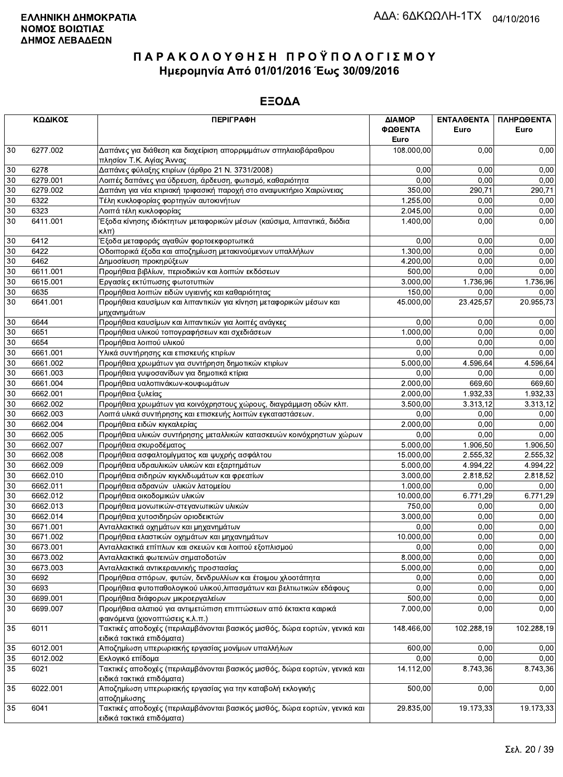|        | ΚΩΔΙΚΟΣ  | <b>ПЕРІГРАФН</b>                                                                                        | ΔΙΑΜΟΡ<br>ΦΩΘΕΝΤΑ | ΕΝΤΑΛΘΕΝΤΑ<br>Euro | ΠΛΗΡΩΘΕΝΤΑ<br>Euro |
|--------|----------|---------------------------------------------------------------------------------------------------------|-------------------|--------------------|--------------------|
|        |          |                                                                                                         | Euro              |                    |                    |
| 30     | 6277.002 | Δαπάνες για διάθεση και διαχείριση απορριμμάτων σπηλαιοβάραθρου<br>πλησίον Τ.Κ. Αγίας Άννας             | 108.000,00        | 0,00               | 0,00               |
| 30     | 6278     | Δαπάνες φύλαξης κτιρίων (άρθρο 21 Ν. 3731/2008)                                                         | 0,00              | 0,00               | 0,00               |
| 30     | 6279.001 | Λοιπές δαπάνες για ύδρευση, άρδευση, φωτισμό, καθαριότητα                                               | 0,00              | 0,00               | 0,00               |
| 30     | 6279.002 | Δαπάνη για νέα κτιριακή τριφασική παροχή στο αναψυκτήριο Χαιρώνειας                                     | 350,00            | 290,71             | 290,71             |
| 30     | 6322     | Τέλη κυκλοφορίας φορτηγών αυτοκινήτων                                                                   | 1.255,00          | 0,00               | 0,00               |
| 30     | 6323     | Λοιπά τέλη κυκλοφορίας                                                                                  | 2.045,00          | 0,00               | 0,00               |
| 30     | 6411.001 | Έξοδα κίνησης ιδιόκτητων μεταφορικών μέσων (καύσιμα, λιπαντικά, διόδια<br>κλπ)                          | 1.400,00          | 0,00               | 0,00               |
| 30     | 6412     | Έξοδα μεταφοράς αγαθών φορτοεκφορτωτικά                                                                 | 0,00              | 0,00               | 0,00               |
| 30     | 6422     | Οδοιπορικά έξοδα και αποζημίωση μετακινούμενων υπαλλήλων                                                | 1.300,00          | 0,00               | 0,00               |
| 30     | 6462     | Δημοσίευση προκηρύξεων                                                                                  | 4.200,00          | 0,00               | 0,00               |
| 30     | 6611.001 | Προμήθεια βιβλίων, περιοδικών και λοιπών εκδόσεων                                                       | 500,00            | 0,00               | 0,00               |
| 30     | 6615.001 | Εργασίες εκτύπωσης φωτοτυπιών                                                                           | 3.000,00          | 1.736,96           | 1.736,96           |
| 30     | 6635     | Προμήθεια λοιπών ειδών υγιεινής και καθαριότητας                                                        | 150,00            | 0,00               | 0,00               |
| 30     | 6641.001 | Προμήθεια καυσίμων και λιπαντικών για κίνηση μεταφορικών μέσων και<br>μηχανημάτων                       | 45.000,00         | 23.425,57          | 20.955,73          |
| 30     | 6644     | Προμήθεια καυσίμων και λιπαντικών για λοιπές ανάγκες                                                    | 0,00              | 0,00               | 0,00               |
| 30     | 6651     | Προμήθεια υλικού τοπογραφήσεων και σχεδιάσεων                                                           | 1.000,00          | 0,00               | 0,00               |
| 30     | 6654     | Προμήθεια λοιπού υλικού                                                                                 | 0.00              | 0,00               | 0,00               |
| 30     | 6661.001 | Υλικά συντήρησης και επισκευής κτιρίων                                                                  | 0,00              | 0,00               | 0,00               |
| 30     | 6661.002 | Προμήθεια χρωμάτων για συντήρηση δημοτικών κτιρίων                                                      | 5.000.00          | 4.596,64           | 4.596,64           |
| 30     | 6661.003 | Προμήθεια γυψοσανίδων για δημοτικά κτίρια                                                               | 0,00              | 0,00               | 0,00               |
| 30     | 6661.004 | Προμήθεια υαλοπινάκων-κουφωμάτων                                                                        | 2.000,00          | 669,60             | 669,60             |
| 30     | 6662.001 | Προμήθεια ξυλείας                                                                                       | 2.000,00          | 1.932,33           | 1.932,33           |
| 30     | 6662.002 | Προμήθεια χρωμάτων για κοινόχρηστους χώρους, διαγράμμιση οδών κλπ.                                      | 3.500,00          | 3.313,12           | 3.313,12           |
| 30     | 6662.003 | Λοιπά υλικά συντήρησης και επισκευής λοιπών εγκαταστάσεων.                                              | 0,00              | 0,00               | 0,00               |
| 30     | 6662.004 | Προμήθεια ειδών κιγκαλερίας                                                                             | 2.000,00          | 0,00               | 0,00               |
| 30     | 6662.005 | Προμήθεια υλικών συντήρησης μεταλλικών κατασκευών κοινόχρηστων χώρων                                    | 0,00              | 0,00               | 0,00               |
| $30\,$ | 6662.007 | Προμήθεια σκυροδέματος                                                                                  | 5.000,00          | 1.906,50           | 1.906,50           |
| 30     | 6662.008 | Προμήθεια ασφαλτομίγματος και ψυχρής ασφάλτου                                                           | 15.000,00         | 2.555,32           | 2.555,32           |
| 30     | 6662.009 | Προμήθεια υδραυλικών υλικών και εξαρτημάτων                                                             | 5.000,00          | 4.994,22           | 4.994,22           |
| 30     | 6662.010 | Προμήθεια σιδηρών κιγκλιδωμάτων και φρεατίων                                                            | 3.000,00          | 2.818,52           | 2.818,52           |
| 30     | 6662.011 | Προμήθεια αδρανών υλικών λατομείου                                                                      | 1.000,00          | 0,00               | 0,00               |
| 30     | 6662.012 | Προμήθεια οικοδομικών υλικών                                                                            | 10.000,00         | 6.771,29           | 6.771,29           |
| 30     | 6662.013 | Προμήθεια μονωτικών-στεγανωτικών υλικών                                                                 | 750,00            | 0,00               | 0,00               |
| 30     | 6662.014 | Προμήθεια χυτοσιδηρών οριοδεικτών                                                                       | 3.000,00          | 0,00               | 0,00               |
| 30     | 6671.001 | Ανταλλακτικά οχημάτων και μηχανημάτων                                                                   | 0,00              | 0,00               | 0,00               |
| $30\,$ | 6671.002 | Προμήθεια ελαστικών οχημάτων και μηχανημάτων                                                            | 10.000,00         | 0,00               | 0,00               |
| 30     | 6673.001 | Ανταλλακτικά επίπλων και σκευών και λοιπού εξοπλισμού                                                   | 0.00              | 0,00               | 0,00               |
| 30     | 6673.002 | Ανταλλακτικά φωτεινών σηματοδοτών                                                                       | 8.000,00          | 0,00               | 0,00               |
| 30     | 6673.003 | Ανταλλακτικά αντικεραυνικής προστασίας                                                                  | 5.000,00          | 0,00               | 0,00               |
| 30     | 6692     | Προμήθεια σπόρων, φυτών, δενδρυλλίων και έτοιμου χλοοτάπητα                                             | 0,00              | 0,00               | 0,00               |
| 30     | 6693     | Προμήθεια φυτοπαθολογικού υλικού, λιπασμάτων και βελτιωτικών εδάφους                                    | 0,00              | 0,00               | 0,00               |
| 30     | 6699.001 | Προμήθεια διάφορων μικροεργαλείων                                                                       | 500,00            | 0,00               | 0,00               |
| 30     | 6699.007 | Προμήθεια αλατιού για αντιμετώπιση επιπτώσεων από έκτακτα καιρικά<br>φαινόμενα (χιονοπτώσεις κ.λ.π.)    | 7.000,00          | 0,00               | 0,00               |
| 35     | 6011     | Τακτικές αποδοχές (περιλαμβάνονται βασικός μισθός, δώρα εορτών, γενικά και<br>ειδικά τακτικά επιδόματα) | 148.466,00        | 102.288,19         | 102.288,19         |
| 35     | 6012.001 | Αποζημίωση υπερωριακής εργασίας μονίμων υπαλλήλων                                                       | 600,00            | 0,00               | 0,00               |
| 35     | 6012.002 | Εκλογικό επίδομα                                                                                        | 0,00              | 0,00               | 0,00               |
| 35     | 6021     | Τακτικές αποδοχές (περιλαμβάνονται βασικός μισθός, δώρα εορτών, γενικά και<br>ειδικά τακτικά επιδόματα) | 14.112,00         | 8.743,36           | 8.743,36           |
| 35     | 6022.001 | Αποζημίωση υπερωριακής εργασίας για την καταβολή εκλογικής<br>αποζημίωσης                               | 500,00            | 0,00               | 0,00               |
| 35     | 6041     | Τακτικές αποδοχές (περιλαμβάνονται βασικός μισθός, δώρα εορτών, γενικά και<br>ειδικά τακτικά επιδόματα) | 29.835,00         | 19.173,33          | 19.173,33          |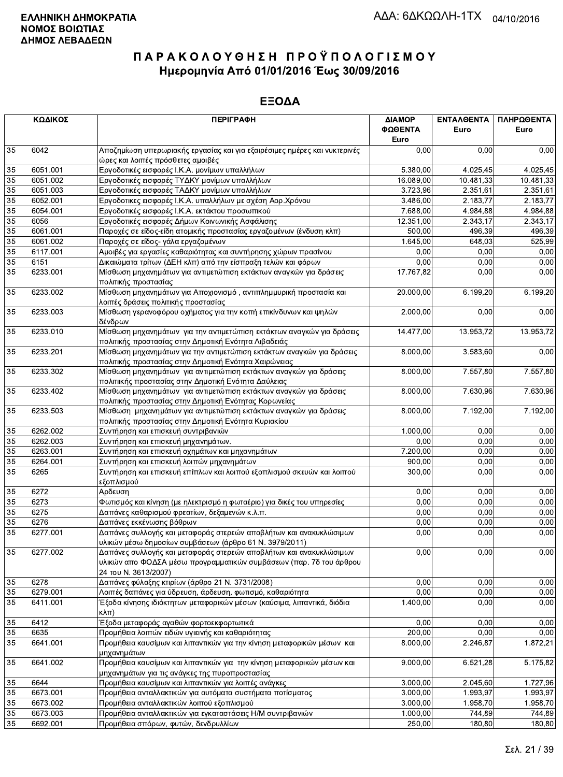|                 | ΚΩΔΙΚΟΣ  | <b>ПЕРІГРАФН</b>                                                                                                                                                 | ΔΙΑΜΟΡ<br>ΦΩΘΕΝΤΑ<br>Euro | <b>ENTAA@ENTA</b><br>Euro | ΠΛΗΡΩΘΕΝΤΑ<br>Euro |
|-----------------|----------|------------------------------------------------------------------------------------------------------------------------------------------------------------------|---------------------------|---------------------------|--------------------|
| 35              | 6042     | Αποζημίωση υπερωριακής εργασίας και για εξαιρέσιμες ημέρες και νυκτερινές<br>ώρες και λοιπές πρόσθετες αμοιβές                                                   | 0,00                      | 0,00                      | 0,00               |
| 35              | 6051.001 | Εργοδοτικές εισφορές Ι.Κ.Α. μονίμων υπαλλήλων                                                                                                                    | 5.380,00                  | 4.025,45                  | 4.025,45           |
| 35              | 6051.002 | Εργοδοτικές εισφορές ΤΥΔΚΥ μονίμων υπαλλήλων                                                                                                                     | 16.089,00                 | 10.481,33                 | 10.481,33          |
| 35              | 6051.003 | Εργοδοτικές εισφορές ΤΑΔΚΥ μονίμων υπαλλήλων                                                                                                                     | 3.723,96                  | 2.351,61                  | 2.351,61           |
| 35              | 6052.001 | Εργοδοτικες εισφορές Ι.Κ.Α. υπαλλήλων με σχέση Αορ.Χρόνου                                                                                                        | 3.486,00                  | 2.183,77                  | 2.183,77           |
| 35              | 6054.001 | Εργοδοτικές εισφορές Ι.Κ.Α. εκτάκτου προσωπικού                                                                                                                  | 7.688,00                  | 4.984,88                  | 4.984,88           |
| 35              | 6056     | Εργοδοτικές εισφορές Δήμων Κοινωνικής Ασφάλισης                                                                                                                  | 12.351,00                 | 2.343,17                  | 2.343,17           |
| 35              | 6061.001 | Παροχές σε είδος-είδη ατομικής προστασίας εργαζομένων (ένδυση κλπ)                                                                                               | 500,00                    | 496,39                    | 496,39             |
| 35              | 6061.002 | Παροχές σε είδος- γάλα εργαζομένων                                                                                                                               | 1.645,00                  | 648,03                    | 525,99             |
| $\overline{35}$ | 6117.001 | Αμοιβές για εργασίες καθαριότητας και συντήρησης χώρων πρασίνου                                                                                                  | 0,00                      | 0,00                      | 0,00               |
| 35              | 6151     | Δικαιώματα τρίτων (ΔΕΗ κλπ) από την είσπραξη τελών και φόρων                                                                                                     | 0,00                      | 0,00                      | 0,00               |
| $\overline{35}$ | 6233.001 | Μίσθωση μηχανημάτων για αντιμετώπιση εκτάκτων αναγκών για δράσεις<br>πολιτικής προστασίας                                                                        | 17.767,82                 | 0,00                      | 0,00               |
| 35              | 6233.002 | Μίσθωση μηχανημάτων για Αποχιονισμό, αντιπλημμυρική προστασία και<br>λοιπές δράσεις πολιτικής προστασίας                                                         | 20.000,00                 | 6.199,20                  | 6.199,20           |
| 35              | 6233.003 | Μίσθωση γερανοφόρου οχήματος για την κοπή επικίνδυνων και ψηλών<br>δένδρων                                                                                       | 2.000,00                  | 0,00                      | 0,00               |
| 35              | 6233.010 | Μίσθωση μηχανημάτων για την αντιμετώπιση εκτάκτων αναγκών για δράσεις<br>πολιτικής προστασίας στην Δημοτική Ενότητα Λιβαδειάς                                    | 14.477,00                 | 13.953,72                 | 13.953,72          |
| 35              | 6233.201 | Μίσθωση μηχανημάτων για την αντιμετώπιση εκτάκτων αναγκών για δράσεις<br>πολιτικής προστασίας στην Δημοτική Ενότητα Χαιρώνειας                                   | 8.000,00                  | 3.583,60                  | 0,00               |
| 35              | 6233.302 | Μίσθωση μηχανημάτων για αντιμετώπιση εκτάκτων αναγκών για δράσεις<br>πολιτιικής προστασίας στην Δημοτική Ενότητα Δαύλειας                                        | 8.000,00                  | 7.557,80                  | 7.557,80           |
| 35              | 6233.402 | Μίσθωση μηχανημάτων για αντιμετώπιση εκτάκτων αναγκών για δράσεις<br>πολιτικής προστασίας στην Δημοτική Ενότητας Κορωνείας                                       | 8.000,00                  | 7.630,96                  | 7.630,96           |
| 35              | 6233.503 | Μίσθωση μηχανημάτων για αντιμετώπιση εκτάκτων αναγκών για δράσεις<br>πολιτικής προστασίας στην Δημοτική Ενότητα Κυριακίου                                        | 8.000,00                  | 7.192,00                  | 7.192,00           |
| 35              | 6262.002 | Συντήρηση και επισκευή συντριβανιών                                                                                                                              | 1.000,00                  | 0,00                      | 0,00               |
| 35              | 6262.003 | Συντήρηση και επισκευή μηχανημάτων.                                                                                                                              | 0,00                      | 0,00                      | 0,00               |
| 35              | 6263.001 | Συντήρηση και επισκευή οχημάτων και μηχανημάτων                                                                                                                  | 7.200,00                  | 0,00                      | 0,00               |
| 35              | 6264.001 | Συντήρηση και επισκευή λοιπών μηχανημάτων                                                                                                                        | 900,00                    | 0,00                      | 0,00               |
| 35              | 6265     | Συντήρηση και επισκευή επίπλων και λοιπού εξοπλισμού σκευών και λοιπού<br>εξοπλισμού                                                                             | 300,00                    | 0,00                      | 0,00               |
| 35              | 6272     | Αρδευση                                                                                                                                                          | 0,00                      | 0,00                      | 0,00               |
| 35              | 6273     | Φωτισμός και κίνηση (με ηλεκτρισμό η φωταέριο) για δικές του υπηρεσίες                                                                                           | 0,00                      | 0,00                      | 0,00               |
| 35              | 6275     | Δαπάνες καθαρισμού φρεατίων, δεξαμενών κ.λ.π.                                                                                                                    | 0,00                      | 0,00                      | 0,00               |
| 35              | 6276     | Δαπάνες εκκένωσης βόθρων                                                                                                                                         | 0,00                      | 0,00                      | 0,00               |
| $\overline{35}$ | 6277.001 | Δαπάνες συλλογής και μεταφοράς στερεών αποβλήτων και ανακυκλώσιμων<br>υλικών μέσω δημοσίων συμβάσεων (άρθρο 61 Ν. 3979/2011)                                     | 0,00                      | 0,00                      | 0,00               |
| 35              | 6277.002 | Δαπάνες συλλογής και μεταφοράς στερεών αποβλήτων και ανακυκλώσιμων<br>υλικών απο ΦΟΔΣΑ μέσω προγραμματικών συμβάσεων (παρ. 7δ του άρθρου<br>24 του Ν. 3613/2007) | 0,00                      | 0,00                      | 0,00               |
| 35              | 6278     | Δαπάνες φύλαξης κτιρίων (άρθρο 21 Ν. 3731/2008)                                                                                                                  | 0,00                      | 0,00                      | 0,00               |
| 35              | 6279.001 | Λοιπές δαπάνες για ύδρευση, άρδευση, φωτισμό, καθαριότητα                                                                                                        | 0,00                      | 0,00                      | 0,00               |
| 35              | 6411.001 | Έξοδα κίνησης ιδιόκτητων μεταφορικών μέσων (καύσιμα, λιπαντικά, διόδια<br>$\kappa\lambda\pi$ )                                                                   | 1.400,00                  | 0,00                      | 0,00               |
| 35              | 6412     | Έξοδα μεταφοράς αγαθών φορτοεκφορτωτικά                                                                                                                          | 0,00                      | 0,00                      | 0,00               |
| 35              | 6635     | Προμήθεια λοιπών ειδών υγιεινής και καθαριότητας                                                                                                                 | 200,00                    | 0,00                      | 0,00               |
| 35              | 6641.001 | Προμήθεια καυσίμων και λιπαντικών για την κίνηση μεταφορικών μέσων και<br>μηχανημάτων                                                                            | 8.000,00                  | 2.246,87                  | 1.872,21           |
| 35              | 6641.002 | Προμήθεια καυσίμων και λιπαντικών για την κίνηση μεταφορικών μέσων και<br>μηχανημάτων για τις ανάγκες της πυροπροστασίας                                         | 9.000,00                  | 6.521,28                  | 5.175,82           |
| $35\,$          | 6644     | Προμήθεια καυσίμων και λιπαντικών για λοιπές ανάγκες                                                                                                             | 3.000,00                  | 2.045,60                  | 1.727,96           |
| 35              | 6673.001 | Προμήθεια ανταλλακτικών για αυτόματα συστήματα ποτίσματος                                                                                                        | 3.000,00                  | 1.993,97                  | 1.993,97           |
| 35              | 6673.002 | Προμήθεια ανταλλακτικών λοιπού εξοπλισμού                                                                                                                        | 3.000,00                  | 1.958,70                  | 1.958,70           |
| 35              | 6673.003 | Προμήθεια ανταλλακτικών για εγκαταστάσεις Η/Μ συντριβανιών                                                                                                       | 1.000,00                  | 744,89                    | 744,89             |
| 35              | 6692.001 | Προμήθεια σπόρων, φυτών, δενδρυλλίων                                                                                                                             | 250,00                    | 180,80                    | 180,80             |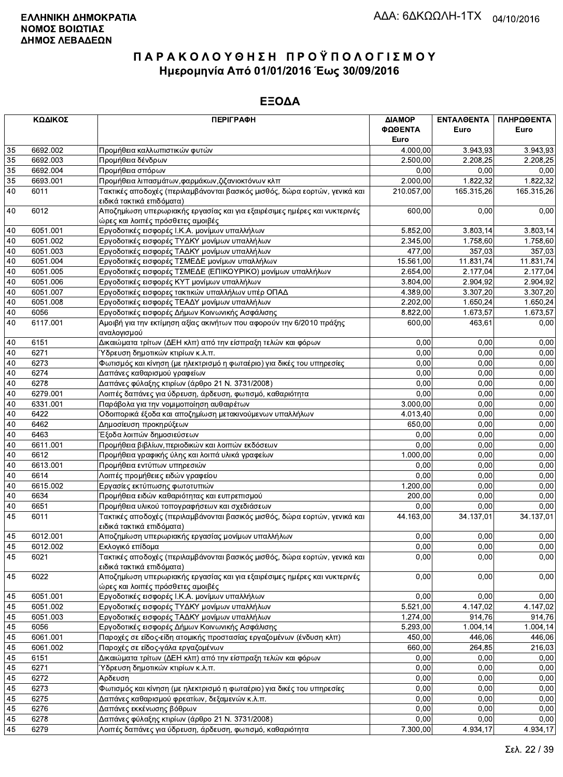|    | ΚΩΔΙΚΟΣ  | <b>ПЕРІГРАФН</b>                                                                                               | ΔΙΑΜΟΡ     | ΕΝΤΑΛΘΕΝΤΑ | ΠΛΗΡΩΘΕΝΤΑ |
|----|----------|----------------------------------------------------------------------------------------------------------------|------------|------------|------------|
|    |          |                                                                                                                | ΦΩΘΕΝΤΑ    | Euro       | Euro       |
|    |          |                                                                                                                | Euro       |            |            |
| 35 | 6692.002 | Προμήθεια καλλωπιστικών φυτών                                                                                  | 4.000,00   | 3.943.93   | 3.943,93   |
| 35 | 6692.003 | Προμήθεια δένδρων                                                                                              | 2.500,00   | 2.208,25   | 2.208,25   |
| 35 | 6692.004 | Προμήθεια σπόρων                                                                                               | 0,00       | 0,00       | 0,00       |
| 35 | 6693.001 | Προμήθεια λιπασμάτων, φαρμάκων, ζιζανιοκτόνων κλπ                                                              | 2.000,00   | 1.822,32   | 1.822,32   |
| 40 | 6011     | Τακτικές αποδοχές (περιλαμβάνονται βασικός μισθός, δώρα εορτών, γενικά και<br>ειδικά τακτικά επιδόματα)        | 210.057,00 | 165.315,26 | 165.315,26 |
| 40 | 6012     | Αποζημίωση υπερωριακής εργασίας και για εξαιρέσιμες ημέρες και νυκτερινές<br>ώρες και λοιπές πρόσθετες αμοιβές | 600,00     | 0,00       | 0,00       |
| 40 | 6051.001 | Εργοδοτικές εισφορές Ι.Κ.Α. μονίμων υπαλλήλων                                                                  | 5.852,00   | 3.803,14   | 3.803,14   |
| 40 | 6051.002 | Εργοδοτικές εισφορές ΤΥΔΚΥ μονίμων υπαλλήλων                                                                   | 2.345,00   | 1.758,60   | 1.758,60   |
| 40 | 6051.003 | Εργοδοτικές εισφορές ΤΑΔΚΥ μονίμων υπαλλήλων                                                                   | 477,00     | 357,03     | 357,03     |
| 40 | 6051.004 | Εργοδοτικές εισφορές ΤΣΜΕΔΕ μονίμων υπαλλήλων                                                                  | 15.561,00  | 11.831,74  | 11.831,74  |
| 40 | 6051.005 | Εργοδοτικές εισφορές ΤΣΜΕΔΕ (ΕΠΙΚΟΥΡΙΚΟ) μονίμων υπαλλήλων                                                     | 2.654,00   | 2.177,04   | 2.177,04   |
| 40 | 6051.006 | Εργοδοτικές εισφορές ΚΥΤ μονίμων υπαλλήλων                                                                     | 3.804,00   | 2.904,92   | 2.904,92   |
| 40 | 6051.007 | Εργοδοτικές εισφορες τακτικών υπαλλήλων υπέρ ΟΠΑΔ                                                              | 4.389,00   | 3.307,20   | 3.307,20   |
| 40 | 6051.008 | Εργοδοτικές εισφορές ΤΕΑΔΥ μονίμων υπαλλήλων                                                                   | 2.202,00   | 1.650,24   | 1.650,24   |
| 40 | 6056     | Εργοδοτικές εισφορές Δήμων Κοινωνικής Ασφάλισης                                                                | 8.822,00   | 1.673,57   | 1.673,57   |
| 40 | 6117.001 | Αμοιβή για την εκτίμηση αξίας ακινήτων που αφορούν την 6/2010 πράξης                                           | 600,00     | 463,61     | 0,00       |
|    |          | αναλογισμού                                                                                                    |            |            |            |
| 40 | 6151     | Δικαιώματα τρίτων (ΔΕΗ κλπ) από την είσπραξη τελών και φόρων                                                   | 0,00       | 0,00       | 0,00       |
| 40 | 6271     | Ύδρευση δημοτικών κτιρίων κ.λ.π.                                                                               | 0,00       | 0.00       | 0,00       |
| 40 | 6273     | Φωτισμός και κίνηση (με ηλεκτρισμό η φωταέριο) για δικές του υπηρεσίες                                         | 0,00       | 0.00       | 0,00       |
| 40 | 6274     | Δαπάνες καθαρισμού γραφείων                                                                                    | 0,00       | 0,00       | 0,00       |
| 40 | 6278     | Δαπάνες φύλαξης κτιρίων (άρθρο 21 Ν. 3731/2008)                                                                | 0,00       | 0,00       | 0,00       |
| 40 | 6279.001 | Λοιπές δαπάνες για ύδρευση, άρδευση, φωτισμό, καθαριότητα                                                      | 0,00       | 0,00       | 0,00       |
| 40 | 6331.001 | Παράβολα για την νομιμοποίηση αυθαιρέτων                                                                       | 3.000,00   | 0,00       | 0,00       |
| 40 | 6422     | Οδοιπορικά έξοδα και αποζημίωση μετακινούμενων υπαλλήλων                                                       | 4.013,40   | 0,00       | 0,00       |
| 40 | 6462     | Δημοσίευση προκηρύξεων                                                                                         | 650,00     | 0,00       | 0,00       |
| 40 | 6463     | Έξοδα λοιπών δημοσιεύσεων                                                                                      | 0,00       | 0,00       | 0,00       |
| 40 | 6611.001 | Προμήθεια βιβλίων, περιοδικών και λοιπών εκδόσεων                                                              | 0,00       | 0,00       | 0,00       |
| 40 | 6612     | Προμήθεια γραφικής ύλης και λοιπά υλικά γραφείων                                                               | 1.000,00   | 0,00       | 0,00       |
| 40 | 6613.001 | Προμήθεια εντύπων υπηρεσιών                                                                                    | 0,00       | 0,00       | 0,00       |
| 40 | 6614     | Λοιπές προμήθειες ειδών γραφείου                                                                               | 0,00       | 0,00       | 0,00       |
| 40 | 6615.002 | Εργασίες εκτύπωσης φωτοτυπιών                                                                                  | 1.200,00   | 0,00       | 0,00       |
| 40 | 6634     | Προμήθεια ειδών καθαριότητας και ευπρεπισμού                                                                   | 200,00     | 0.00       | 0,00       |
| 40 | 6651     | Προμήθεια υλικού τοπογραφήσεων και σχεδιάσεων                                                                  | 0,00       | 0.00       | 0,00       |
| 45 | 6011     | Τακτικές αποδοχές (περιλαμβάνονται βασικός μισθός, δώρα εορτών, γενικά και                                     | 44.163,00  | 34.137,01  | 34.137,01  |
|    |          | ειδικά τακτικά επιδόματα)                                                                                      |            |            |            |
| 45 | 6012.001 | Αποζημίωση υπερωριακής εργασίας μονίμων υπαλλήλων                                                              | 0,00       | 0,00       | 0,00       |
| 45 | 6012.002 | Εκλογικό επίδομα                                                                                               | 0,00       | 0,00       | 0,00       |
| 45 | 6021     | Τακτικές αποδοχές (περιλαμβάνονται βασικός μισθός, δώρα εορτών, γενικά και<br>ειδικά τακτικά επιδόματα)        | 0,00       | 0,00       | 0,00       |
| 45 | 6022     | Αποζημίωση υπερωριακής εργασίας και για εξαιρέσιμες ημέρες και νυκτερινές<br>ώρες και λοιπές πρόσθετες αμοιβές | 0,00       | 0,00       | 0,00       |
| 45 | 6051.001 | Εργοδοτικές εισφορές Ι.Κ.Α. μονίμων υπαλλήλων                                                                  | 0,00       | 0,00       | 0,00       |
| 45 | 6051.002 | Εργοδοτικές εισφορές ΤΥΔΚΥ μονίμων υπαλλήλων                                                                   | 5.521,00   | 4.147,02   | 4.147,02   |
| 45 | 6051.003 | Εργοδοτικές εισφορές ΤΑΔΚΥ μονίμων υπαλλήλων                                                                   | 1.274,00   | 914,76     | 914,76     |
| 45 | 6056     | Εργοδοτικές εισφορές Δήμων Κοινωνικής Ασφάλισης                                                                | 5.293,00   | 1.004,14   | 1.004,14   |
| 45 | 6061.001 | Παροχές σε είδος-είδη ατομικής προστασίας εργαζομένων (ένδυση κλπ)                                             | 450.00     | 446,06     | 446,06     |
| 45 | 6061.002 | Παροχές σε είδος-γάλα εργαζομένων                                                                              | 660,00     | 264,85     | 216,03     |
| 45 | 6151     | Δικαιώματα τρίτων (ΔΕΗ κλπ) από την είσπραξη τελών και φόρων                                                   | 0,00       | 0,00       | 0,00       |
| 45 | 6271     | Ύδρευση δημοτικών κτιρίων κ.λ.π.                                                                               | 0,00       | 0,00       | 0,00       |
| 45 | 6272     | Αρδευση                                                                                                        | 0.00       | 0,00       | 0,00       |
| 45 | 6273     | Φωτισμός και κίνηση (με ηλεκτρισμό η φωταέριο) για δικές του υπηρεσίες                                         | 0,00       | 0,00       | 0,00       |
| 45 | 6275     | Δαπάνες καθαρισμού φρεατίων, δεξαμενών κ.λ.π.                                                                  | 0,00       | 0,00       | 0,00       |
| 45 | 6276     | Δαπάνες εκκένωσης βόθρων                                                                                       | 0,00       | 0,00       | 0,00       |
| 45 | 6278     | Δαπάνες φύλαξης κτιρίων (άρθρο 21 Ν. 3731/2008)                                                                | 0,00       | 0,00       | 0,00       |
| 45 | 6279     | Λοιπές δαπάνες για ύδρευση, άρδευση, φωτισμό, καθαριότητα                                                      | 7.300,00   | 4.934,17   | 4.934,17   |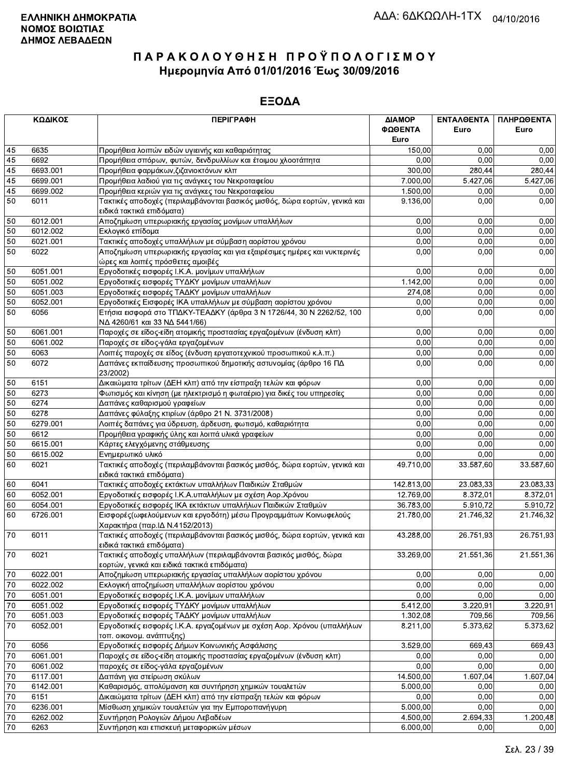|        | ΚΩΔΙΚΟΣ  | <b>ПЕРІГРАФН</b>                                                                                                  | ΔΙΑΜΟΡ<br>ΦΩΘΕΝΤΑ<br>Euro | ΕΝΤΑΛΘΕΝΤΑ<br>Euro | ΠΛΗΡΩΘΕΝΤΑ<br>Euro |
|--------|----------|-------------------------------------------------------------------------------------------------------------------|---------------------------|--------------------|--------------------|
| 45     | 6635     | Προμήθεια λοιπών ειδών υγιεινής και καθαριότητας                                                                  | 150,00                    | 0.00               | 0,00               |
| 45     | 6692     | Προμήθεια σπόρων, φυτών, δενδρυλλίων και έτοιμου χλοοτάπητα                                                       | 0.00                      | 0.00               | 0,00               |
| 45     | 6693.001 | Προμήθεια φαρμάκων, ζιζανιοκτόνων κλπ                                                                             | 300.00                    | 280,44             | 280,44             |
| 45     | 6699.001 | Προμήθεια λαδιού για τις ανάγκες του Νεκροταφείου                                                                 | 7.000,00                  | 5.427,06           | 5.427,06           |
| 45     | 6699.002 | Προμήθεια κεριών για τις ανάγκες του Νεκροταφείου                                                                 | 1.500,00                  | 0,00               | 0,00               |
| 50     | 6011     | Τακτικές αποδοχές (περιλαμβάνονται βασικός μισθός, δώρα εορτών, γενικά και<br>ειδικά τακτικά επιδόματα)           | 9.136,00                  | 0,00               | 0,00               |
| 50     | 6012.001 | Αποζημίωση υπερωριακής εργασίας μονίμων υπαλλήλων                                                                 | 0,00                      | 0,00               | 0,00               |
| 50     | 6012.002 | Εκλογικό επίδομα                                                                                                  | 0,00                      | 0,00               | 0,00               |
| 50     | 6021.001 | Τακτικές αποδοχές υπαλλήλων με σύμβαση αορίστου χρόνου                                                            | 0,00                      | 0,00               | 0,00               |
| 50     | 6022     | Αποζημίωση υπερωριακής εργασίας και για εξαιρέσιμες ημέρες και νυκτερινές<br>ώρες και λοιπές πρόσθετες αμοιβές    | 0,00                      | 0,00               | 0,00               |
| 50     | 6051.001 | Εργοδοτικές εισφορές Ι.Κ.Α. μονίμων υπαλλήλων                                                                     | 0,00                      | 0,00               | 0,00               |
| 50     | 6051.002 | Εργοδοτικές εισφορές ΤΥΔΚΥ μονίμων υπαλλήλων                                                                      | 1.142,00                  | 0,00               | 0,00               |
| 50     | 6051.003 | Εργοδοτικές εισφορές ΤΑΔΚΥ μονίμων υπαλλήλων                                                                      | 274,08                    | 0,00               | 0,00               |
| 50     | 6052.001 | Εργοδοτικές Εισφορές ΙΚΑ υπαλλήλων με σύμβαση αορίστου χρόνου                                                     | 0,00                      | 0,00               | 0,00               |
| 50     | 6056     | Ετήσια εισφορά στο ΤΠΔΚΥ-ΤΕΑΔΚΥ (άρθρα 3 Ν 1726/44, 30 Ν 2262/52, 100<br>ΝΔ 4260/61 και 33 ΝΔ 5441/66)            | 0,00                      | 0,00               | 0,00               |
| 50     | 6061.001 | Παροχές σε είδος-είδη ατομικής προστασίας εργαζομένων (ένδυση κλπ)                                                | 0,00                      | 0,00               | 0,00               |
| 50     | 6061.002 | Παροχές σε είδος-γάλα εργαζομένων                                                                                 | 0,00                      | 0,00               | 0,00               |
| 50     | 6063     | Λοιπές παροχές σε είδος (ένδυση εργατοτεχνικού προσωπικού κ.λ.π.)                                                 | 0,00                      | 0,00               | 0,00               |
| 50     | 6072     | Δαπάνες εκπαίδευσης προσωπικού δημοτικής αστυνομίας (άρθρο 16 ΠΔ<br>23/2002)                                      | 0,00                      | 0,00               | 0,00               |
| 50     | 6151     | Δικαιώματα τρίτων (ΔΕΗ κλπ) από την είσπραξη τελών και φόρων                                                      | 0,00                      | 0,00               | 0,00               |
| 50     | 6273     | Φωτισμός και κίνηση (με ηλεκτρισμό η φωταέριο) για δικές του υπηρεσίες                                            | 0,00                      | 0,00               | 0,00               |
| 50     | 6274     | Δαπάνες καθαρισμού γραφείων                                                                                       | 0,00                      | 0,00               | 0,00               |
| 50     | 6278     | Δαπάνες φύλαξης κτιρίων (άρθρο 21 Ν. 3731/2008)                                                                   | 0,00                      | 0,00               | 0,00               |
| 50     | 6279.001 | Λοιπές δαπάνες για ύδρευση, άρδευση, φωτισμό, καθαριότητα                                                         | 0,00                      | 0,00               | 0,00               |
| 50     | 6612     | Προμήθεια γραφικής ύλης και λοιπά υλικά γραφείων                                                                  | 0,00                      | 0,00               | 0,00               |
| 50     | 6615.001 | Κάρτες ελεγχόμενης στάθμευσης                                                                                     | 0,00                      | 0.00               | 0,00               |
| 50     | 6615.002 | Ενημερωτικό υλικό                                                                                                 | 0,00                      | 0,00               | 0,00               |
| 60     | 6021     | Τακτικές αποδοχές (περιλαμβάνονται βασικός μισθός, δώρα εορτών, γενικά και<br>ειδικά τακτικά επιδόματα)           | 49.710,00                 | 33.587,60          | 33.587,60          |
| 60     | 6041     | Τακτικές αποδοχές εκτάκτων υπαλλήλων Παιδικών Σταθμών                                                             | 142.813,00                | 23.083,33          | 23.083,33          |
| 60     | 6052.001 | Εργοδοτικές εισφορές Ι.Κ.Α.υπαλλήλων με σχέση Αορ.Χρόνου                                                          | 12.769,00                 | 8.372,01           | 8.372,01           |
| 60     | 6054.001 | Εργοδοτικές εισφορές ΙΚΑ εκτάκτων υπαλλήλων Παιδικών Σταθμών                                                      | 36.783,00                 | 5.910,72           | 5.910,72           |
| 60     | 6726.001 | Εισφορές (ωφελούμενων και εργοδότη) μέσω Προγραμμάτων Κοινωφελούς<br>Χαρακτήρα (παρ.ΙΔ Ν.4152/2013)               | 21.780,00                 | 21.746,32          | 21.746,32          |
| $70\,$ | 6011     | Τακτικές αποδοχές (περιλαμβάνονται βασικός μισθός, δώρα εορτών, γενικά και<br>ειδικά τακτικά επιδόματα)           | 43.288,00                 | 26.751,93          | 26.751,93          |
| 70     | 6021     | Τακτικές αποδοχές υπαλλήλων (περιλαμβάνονται βασικός μισθός, δώρα<br>εορτών, γενικά και ειδικά τακτικά επιδόματα) | 33.269,00                 | 21.551,36          | 21.551,36          |
| $70\,$ | 6022.001 | Αποζημίωση υπερωριακής εργασίας υπαλλήλων αορίστου χρόνου                                                         | 0,00                      | 0.00               | 0,00               |
| 70     | 6022.002 | Εκλογική αποζημίωση υπαλλήλων αορίστου χρόνου                                                                     | 0,00                      | 0,00               | 0,00               |
| 70     | 6051.001 | Εργοδοτικές εισφορές Ι.Κ.Α. μονίμων υπαλλήλων                                                                     | 0,00                      | 0,00               | 0,00               |
| 70     | 6051.002 | Εργοδοτικές εισφορές ΤΥΔΚΥ μονίμων υπαλλήλων                                                                      | 5.412,00                  | 3.220,91           | 3.220,91           |
| 70     | 6051.003 | Εργοδοτικές εισφορές ΤΑΔΚΥ μονίμων υπαλλήλων                                                                      | 1.302,08                  | 709,56             | 709,56             |
| 70     | 6052.001 | Εργοδοτικές εισφορές Ι.Κ.Α. εργαζομένων με σχέση Αορ. Χρόνου (υπαλλήλων<br>τοπ. οικονομ. ανάπτυξης)               | 8.211,00                  | 5.373,62           | 5.373,62           |
| 70     | 6056     | Εργοδοτικές εισφορές Δήμων Κοινωνικής Ασφάλισης                                                                   | 3.529,00                  | 669,43             | 669,43             |
| 70     | 6061.001 | Παροχές σε είδος-είδη ατομικής προστασίας εργαζομένων (ένδυση κλπ)                                                | 0,00                      | 0,00               | 0,00               |
| 70     | 6061.002 | παροχές σε είδος-γάλα εργαζομένων                                                                                 | 0,00                      | 0,00               | 0,00               |
| 70     | 6117.001 | Δαπάνη για στείρωση σκύλων                                                                                        | 14.500,00                 | 1.607,04           | 1.607,04           |
| 70     | 6142.001 | Καθαρισμός, απολύμανση και συντήρηση χημικών τουαλετών                                                            | 5.000,00                  | 0,00               | 0,00               |
| 70     | 6151     | Δικαιώματα τρίτων (ΔΕΗ κλπ) από την είσπραξη τελών και φόρων                                                      | 0,00                      | 0,00               | 0,00               |
| 70     | 6236.001 | Μίσθωση χημικών τουαλετών για την Εμποροπανήγυρη                                                                  | 5.000,00                  | 0,00               | 0,00               |
| 70     | 6262.002 | Συντήρηση Ρολογιών Δήμου Λεβαδέων                                                                                 | 4.500,00                  | 2.694,33           | 1.200,48           |
| 70     | 6263     | Συντήρηση και επισκευή μεταφορικών μέσων                                                                          | 6.000,00                  | 0,00               | 0,00               |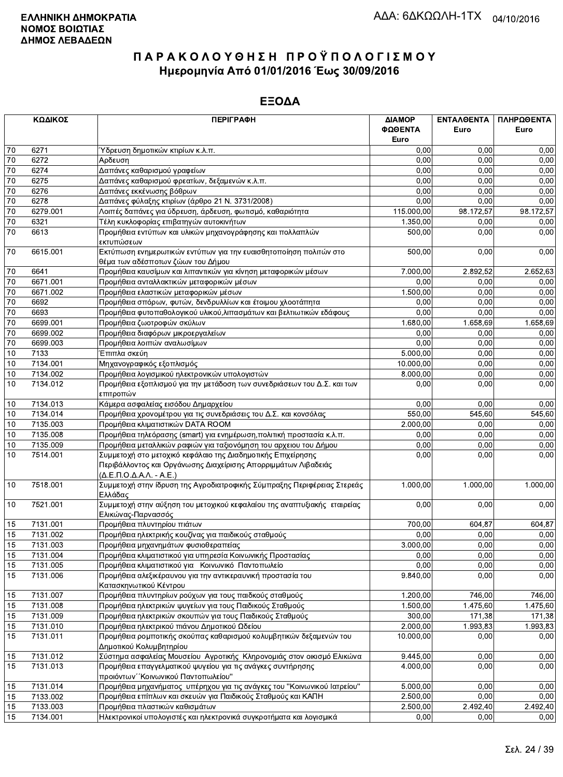|          | ΚΩΔΙΚΟΣ              | <b>ПЕРІГРАФН</b>                                                                                                                                                            | ΔΙΑΜΟΡ<br>ΦΩΘΕΝΤΑ<br>Euro | <b>ENTAA@ENTA</b><br>Euro | ΠΛΗΡΩΘΕΝΤΑ<br>Euro |
|----------|----------------------|-----------------------------------------------------------------------------------------------------------------------------------------------------------------------------|---------------------------|---------------------------|--------------------|
| 70       | 6271                 | Ύδρευση δημοτικών κτιρίων κ.λ.π.                                                                                                                                            | 0,00                      | 0,00                      | 0,00               |
| 70       | 6272                 | Αρδευση                                                                                                                                                                     | 0,00                      | 0.00                      | 0,00               |
| 70       | 6274                 | Δαπάνες καθαρισμού γραφείων                                                                                                                                                 | 0,00                      | 0,00                      | 0,00               |
| 70       | 6275                 | Δαπάνες καθαρισμού φρεατίων, δεξαμενών κ.λ.π.                                                                                                                               | 0,00                      | 0.00                      | 0,00               |
| 70       | 6276                 | Δαπάνες εκκένωσης βόθρων                                                                                                                                                    | 0,00                      | 0,00                      | 0,00               |
| 70       | 6278                 | Δαπάνες φύλαξης κτιρίων (άρθρο 21 Ν. 3731/2008)                                                                                                                             | 0,00                      | 0,00                      | 0,00               |
| 70       | 6279.001             | Λοιπές δαπάνες για ύδρευση, άρδευση, φωτισμό, καθαριότητα                                                                                                                   | 115.000,00                | 98.172,57                 | 98.172.57          |
| 70       | 6321                 | Τέλη κυκλοφορίας επιβατηγών αυτοκινήτων                                                                                                                                     | 1.350,00                  | 0,00                      | 0,00               |
| 70       | 6613                 | Προμήθεια εντύπων και υλικών μηχανογράφησης και πολλαπλών<br>εκτυπώσεων                                                                                                     | 500,00                    | 0,00                      | 0,00               |
| $70\,$   | 6615.001             | Εκτύπωση ενημερωτικών εντύπων για την ευαισθητοποίηση πολιτών στο<br>θέμα των αδέσποτων ζώων του Δήμου                                                                      | 500,00                    | 0.00                      | 0,00               |
| 70       | 6641                 | Προμήθεια καυσίμων και λιπαντικών για κίνηση μεταφορικών μέσων                                                                                                              | 7.000,00                  | 2.892,52                  | 2.652,63           |
| 70       | 6671.001             | Προμήθεια ανταλλακτικών μεταφορικών μέσων                                                                                                                                   | 0,00                      | 0,00                      | 0,00               |
| 70       | 6671.002             | Προμήθεια ελαστικών μεταφορικών μέσων                                                                                                                                       | 1.500,00                  | 0,00                      | 0,00               |
| 70       | 6692                 | Προμήθεια σπόρων, φυτών, δενδρυλλίων και έτοιμου χλοοτάπητα                                                                                                                 | 0,00                      | 0,00                      | 0,00               |
| 70       | 6693                 | Προμήθεια φυτοπαθολογικού υλικού, λιπασμάτων και βελτιωτικών εδάφους                                                                                                        | 0,00                      | 0,00                      | 0,00               |
| 70       | 6699.001             | Προμήθεια ζωοτροφών σκύλων                                                                                                                                                  | 1.680,00                  | 1.658,69                  | 1.658,69           |
| 70       | 6699.002             | Προμήθεια διαφόρων μικροεργαλείων                                                                                                                                           | 0,00                      | 0,00                      | 0,00               |
| 70       | 6699.003             | Προμήθεια λοιπών αναλωσίμων                                                                                                                                                 | 0,00                      | 0,00                      | 0,00               |
| 10       | 7133                 | Έπιπλα σκεύη                                                                                                                                                                | 5.000,00                  | 0,00                      | 0,00               |
| 10<br>10 | 7134.001             | Μηχανογραφικός εξοπλισμός                                                                                                                                                   | 10.000,00                 | 0,00<br>0,00              | 0,00               |
| 10       | 7134.002<br>7134.012 | Προμήθεια λογισμικού ηλεκτρονικών υπολογιστών<br>Προμήθεια εξοπλισμού για την μετάδοση των συνεδριάσεων του Δ.Σ. και των                                                    | 8.000,00<br>0.00          | 0,00                      | 0,00<br>0,00       |
|          |                      | επιτροπών                                                                                                                                                                   |                           |                           |                    |
| 10       | 7134.013             | Κάμερα ασφαλείας εισόδου Δημαρχείου                                                                                                                                         | 0,00                      | 0,00                      | 0,00               |
| 10       | 7134.014             | Προμήθεια χρονομέτρου για τις συνεδριάσεις του Δ.Σ. και κονσόλας                                                                                                            | 550,00                    | 545,60                    | 545,60             |
| 10       | 7135.003             | Προμήθεια κλιματιστικών DATA ROOM                                                                                                                                           | 2.000,00                  | 0.00                      | 0,00               |
| 10       | 7135.008             | Προμήθεια τηλεόρασης (smart) για ενημέρωση,πολιτική προστασία κ.λ.π.                                                                                                        | 0,00                      | 0,00                      | 0,00               |
| 10       | 7135.009             | Προμήθεια μεταλλικών ραφιών για ταξιονόμηση του αρχειου του Δήμου                                                                                                           | 0,00                      | 0,00                      | 0,00               |
| 10       | 7514.001             | Συμμετοχή στο μετοχικό κεφάλαιο της Διαδημοτικής Επιχείρησης<br>Περιβάλλοντος και Οργάνωσης Διαχείρισης Απορριμμάτων Λιβαδειάς<br>$(\Delta.E.\Pi.O.\Delta.A.\Lambda.-A.E.)$ | 0,00                      | 0,00                      | 0,00               |
| 10       | 7518.001             | Συμμετοχή στην ίδρυση της Αγροδιατροφικής Σύμπραξης Περιφέρειας Στερεάς<br>Ελλάδας                                                                                          | 1.000,00                  | 1.000,00                  | 1.000,00           |
| 10       | 7521.001             | Συμμετοχή στην αύξηση του μετοχικού κεφαλαίου της αναπτυξιακής εταιρείας<br>Ελικώνας-Παρνασσός                                                                              | 0,00                      | 0,00                      | 0,00               |
| 15       | 7131.001             | Προμήθεια πλυντηρίου πιάτων                                                                                                                                                 | 700,00                    | 604,87                    | 604,87             |
| 15       | 7131.002             | Προμήθεια ηλεκτρικής κουζίνας για παιδικούς σταθμούς                                                                                                                        | 0.00                      | 0,00                      | 0,00               |
| 15       | 7131.003             | Προμήθεια μηχανημάτων φυσιοθεραπείας                                                                                                                                        | 3.000,00                  | 0,00                      | 0,00               |
| 15       | 7131.004             | Προμήθεια κλιματιστικού για υπηρεσία Κοινωνικής Προστασίας                                                                                                                  | 0,00                      | 0,00                      | 0,00               |
| 15       | 7131.005             | Προμήθεια κλιματιστικού για Κοινωνικό Παντοπωλείο                                                                                                                           | 0,00                      | 0,00                      | 0,00               |
| 15       | 7131.006             | Προμήθεια αλεξικέραυνου για την αντικεραυνική προστασία του<br>Κατασκηνωτικού Κέντρου                                                                                       | 9.840,00                  | 0,00                      | 0,00               |
| 15       | 7131.007             | Προμήθεια πλυντηρίων ρούχων για τους παιδκούς σταθμούς                                                                                                                      | 1.200,00                  | 746,00                    | 746,00             |
| 15       | 7131.008             | Προμήθεια ηλεκτρικών ψυγείων για τους Παιδικούς Σταθμούς                                                                                                                    | 1.500,00                  | 1.475,60                  | 1.475,60           |
| 15       | 7131.009             | Προμήθεια ηλεκτρικών σκουπών για τους Παιδικούς Σταθμούς                                                                                                                    | 300,00                    | 171,38                    | 171,38             |
| 15       | 7131.010             | Προμήθεια ηλεκτρικού πιάνου Δημοτικού Ωδείου                                                                                                                                | 2.000,00                  | 1.993,83                  | 1.993,83           |
| 15       | 7131.011             | Προμήθεια ρομποτικής σκούπας καθαρισμού κολυμβητικών δεξαμενών του<br>Δημοτικού Κολυμβητηρίου                                                                               | 10.000,00                 | 0,00                      | 0,00               |
| 15       | 7131.012             | Σύστημα ασφαλείας Μουσείου Αγροτικής Κληρονομιάς στον οικισμό Ελικώνα                                                                                                       | 9.445,00                  | 0,00                      | 0,00               |
| 15       | 7131.013             | Προμήθεια επαγγελματικού ψυγείου για τις ανάγκες συντήρησης<br>προιόντων "Κοινωνικού Παντοπωλείου"                                                                          | 4.000,00                  | 0,00                      | 0,00               |
| 15       | 7131.014             | Προμήθεια μηχανήματος υπέρηχου για τις ανάγκες του "Κοινωνικού Ιατρείου"                                                                                                    | 5.000,00                  | 0,00                      | 0,00               |
| 15       | 7133.002             | Προμήθεια επίπλων και σκευών για Παιδικούς Σταθμούς και ΚΑΠΗ                                                                                                                | 2.500,00                  | 0,00                      | 0,00               |
| 15       | 7133.003             | Προμήθεια πλαστικών καθισμάτων                                                                                                                                              | 2.500,00                  | 2.492,40                  | 2.492,40           |
| 15       | 7134.001             | Ηλεκτρονικοί υπολογιστές και ηλεκτρονικά συγκροτήματα και λογισμικά                                                                                                         | 0,00                      | 0,00                      | 0,00               |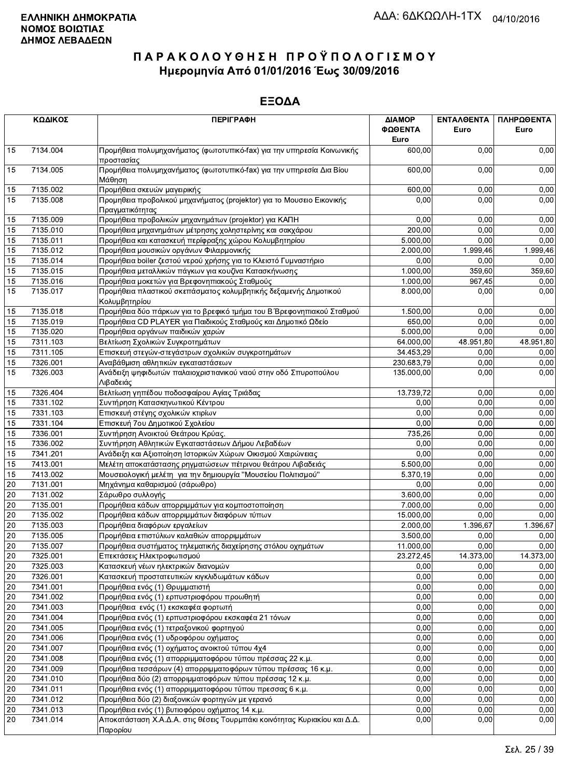|    | ΚΩΔΙΚΟΣ                                                                                    | <b>ПЕРІГРАФН</b>                                                                         | ΔΙΑΜΟΡ<br>ΦΩΘΕΝΤΑ      | ΕΝΤΑΛΘΕΝΤΑ<br>Euro | ΠΛΗΡΩΘΕΝΤΑ<br>Euro |
|----|--------------------------------------------------------------------------------------------|------------------------------------------------------------------------------------------|------------------------|--------------------|--------------------|
|    |                                                                                            |                                                                                          | Euro<br>600,00         |                    |                    |
| 15 | 7134.004                                                                                   | Προμήθεια πολυμηχανήματος (φωτοτυπικό-fax) για την υπηρεσία Κοινωνικής<br>προστασίας     |                        | 0,00               | 0,00               |
| 15 | 7134.005<br>Προμήθεια πολυμηχανήματος (φωτοτυπικό-fax) για την υπηρεσία Δια Βίου<br>Μάθηση |                                                                                          | 600,00                 | 0,00               | 0,00               |
| 15 | 7135.002                                                                                   | Προμήθεια σκευών μαγειρικής                                                              | 600,00                 | 0,00               | 0,00               |
| 15 | 7135.008                                                                                   | Προμηθεια προβολικού μηχανήματος (projektor) για το Μουσειο Εικονικής<br>Πραγματικότητας | 0,00                   | 0,00               | 0,00               |
| 15 | 7135.009                                                                                   | Προμήθεια προβολικών μηχανημάτων (projektor) για ΚΑΠΗ                                    | 0,00                   | 0,00               | 0,00               |
| 15 | 7135.010                                                                                   | Προμήθεια μηχανημάτων μέτρησης χοληστερίνης και σακχάρου                                 | 200,00                 | 0,00               | 0,00               |
| 15 | 7135.011                                                                                   | Προμήθεια και κατασκευή περίφραξης χώρου Κολυμβητηρίου                                   | 5.000.00               | 0,00               | 0,00               |
| 15 | 7135.012                                                                                   | Προμήθεια μουσικών οργάνων Φιλαρμονικής                                                  | 2.000,00               | 1.999,46           | 1.999,46           |
| 15 | 7135.014                                                                                   | Προμήθεια boiler ζεστού νερού χρήσης για το Κλειστό Γυμναστήριο                          | 0,00                   | 0,00               | 0,00               |
| 15 | 7135.015                                                                                   | Προμήθεια μεταλλικών πάγκων για κουζίνα Κατασκήνωσης                                     | 1.000,00               | 359,60             | 359,60             |
| 15 | 7135.016                                                                                   | Προμήθεια μοκετών για Βρεφονηπιακούς Σταθμούς                                            | 1.000,00               | 967,45             | 0,00               |
| 15 | 7135.017                                                                                   | Προμήθεια πλαστικού σκεπάσματος κολυμβητικής δεξαμενής Δημοτικού<br>Κολυμβητηρίου        | 8.000,00               | 0,00               | 0,00               |
| 15 | 7135.018                                                                                   | Προμήθεια δύο πάρκων για το βρεφικό τμήμα του Β΄ Βρεφονηπιακού Σταθμού                   | 1.500,00               | 0.00               | 0,00               |
| 15 | 7135.019                                                                                   | Προμήθεια CD PLAYER για Παιδικούς Σταθμούς και Δημοτικό Ωδείο                            | 650,00                 | 0,00               | 0,00               |
| 15 | 7135.020                                                                                   | Προμήθεια οργάνων παιδικών χαρών                                                         | 5.000,00               | 0,00               | 0,00               |
| 15 | 7311.103                                                                                   | Βελτίωση Σχολικών Συγκροτημάτων                                                          | 64.000,00              | 48.951,80          | 48.951,80          |
| 15 | 7311.105                                                                                   | Επισκευή στεγών-στεγάστρων σχολικών συγκροτημάτων                                        | 34.453,29              | 0,00               | 0,00               |
| 15 | 7326.001                                                                                   | Αναβάθμιση αθλητικών εγκαταστάσεων                                                       | 230.683,79             | 0.00               | 0,00               |
| 15 | 7326.003                                                                                   | Ανάδειξη ψηφιδωτών παλαιοχριστιανικού ναού στην οδό Σπυροπούλου<br>Λιβαδειάς             | 135.000,00             | 0.00               | 0,00               |
| 15 | 7326.404                                                                                   | Βελτίωση γηπέδου ποδοσφαίρου Αγίας Τριάδας                                               | 13.739,72              | 0,00               | 0,00               |
| 15 | 7331.102                                                                                   | Συντήρηση Κατασκηνωτικού Κέντρου                                                         | 0,00                   | 0,00               | 0,00               |
| 15 | 7331.103                                                                                   | Επισκευή στέγης σχολικών κτιρίων                                                         | 0,00                   | 0,00               | 0,00               |
| 15 | 7331.104                                                                                   | Επισκευή 7ου Δημοτικού Σχολείου                                                          | 0,00                   | 0,00               | 0,00               |
| 15 | 7336.001                                                                                   | Συντήρηση Ανοικτού Θεάτρου Κρύας.                                                        | 735,26                 | 0.00               | 0,00               |
| 15 | 7336.002                                                                                   | Συντήρηση Αθλητικών Εγκαταστάσεων Δήμου Λεβαδέων                                         | 0,00                   | 0,00               | 0,00               |
| 15 | 7341.201                                                                                   | Ανάδειξη και Αξιοποίηση Ιστορικών Χώρων Οικισμού Χαιρώνειας                              | 0,00                   | 0,00               | 0,00               |
| 15 | 7413.001                                                                                   | Μελέτη αποκατάστασης ρηγματώσεων πέτρινου θεάτρου Λιβαδειάς                              | 5.500,00               | 0,00               | 0,00               |
| 15 | 7413.002                                                                                   | Μουσειολογική μελέτη για την δημιουργία "Μουσείου Πολιτισμού"                            | $\overline{5.370, 19}$ | 0,00               | 0,00               |
| 20 | 7131.001                                                                                   | Μηχάνημα καθαρισμού (σάρωθρο)                                                            | 0,00                   | 0,00               | 0,00               |
| 20 | 7131.002                                                                                   | Σάρωθρο συλλογής                                                                         | 3.600,00               | 0,00               | 0,00               |
| 20 | 7135.001                                                                                   | Προμήθεια κάδων απορριμμάτων για κομποστοποίηση                                          | 7.000,00               | 0,00               | 0,00               |
| 20 | 7135.002                                                                                   | Προμήθεια κάδων απορριμμάτων διαφόρων τύπων                                              | 15.000,00              | 0,00               | 0,00               |
| 20 | 7135.003                                                                                   | Προμήθεια διαφόρων εργαλείων                                                             | 2.000,00               | 1.396,67           | 1.396,67           |
| 20 | 7135.005                                                                                   | Προμήθεια επιστύλιων καλαθιών απορριμμάτων                                               | 3.500,00               | 0,00               | 0,00               |
| 20 | 7135.007                                                                                   | Προμήθεια συστήματος τηλεματικής διαχείρησης στόλου οχημάτων                             | 11.000,00              | 0,00               | 0,00               |
| 20 | 7325.001                                                                                   | Επεκτάσεις Ηλεκτροφωτισμού                                                               | 23.272,45              | 14.373,00          | 14.373,00          |
| 20 | 7325.003                                                                                   | Κατασκευή νέων ηλεκτρικών διανομών                                                       | 0,00                   | 0,00               | 0,00               |
| 20 | 7326.001                                                                                   | Κατασκευή προστατευτικών κιγκλιδωμάτων κάδων                                             | 0,00                   | 0,00               | 0,00               |
| 20 | 7341.001                                                                                   | Προμήθεια ενός (1) Θρυμματιστή                                                           | 0,00                   | 0,00               | 0,00               |
| 20 | 7341.002                                                                                   | Προμήθεια ενός (1) ερπυστριοφόρου προωθητή                                               | 0,00                   | 0,00               | 0,00               |
| 20 | 7341.003                                                                                   | Προμήθεια ενός (1) εκσκαφέα φορτωτή                                                      | 0,00                   | 0,00               | 0,00               |
| 20 | 7341.004                                                                                   | Προμήθεια ενός (1) ερπυστριοφόρου εκσκαφέα 21 τόνων                                      | 0,00                   | 0,00               | 0,00               |
| 20 | 7341.005                                                                                   | Προμήθεια ενός (1) τετραξονικού φορτηγού                                                 | 0,00                   | 0,00               | 0,00               |
| 20 | 7341.006                                                                                   | Προμήθεια ενός (1) υδροφόρου οχήματος                                                    | 0,00                   | 0,00               | 0,00               |
| 20 | 7341.007                                                                                   | Προμήθεια ενός (1) οχήματος ανοικτού τύπου 4χ4                                           | 0,00                   | 0,00               | 0,00               |
| 20 | 7341.008                                                                                   | Προμήθεια ενός (1) απορριμματοφόρου τύπου πρέσσας 22 κ.μ.                                | 0,00                   | 0,00               | 0,00               |
| 20 | 7341.009                                                                                   | Προμήθεια τεσσάρων (4) απορριμματοφόρων τύπου πρέσσας 16 κ.μ.                            | 0,00                   | 0,00               | 0,00               |
| 20 | 7341.010                                                                                   | Προμήθεια δύο (2) απορριμματοφόρων τύπου πρέσσας 12 κ.μ.                                 | 0,00                   | 0,00               | 0,00               |
| 20 | 7341.011                                                                                   | Προμήθεια ενός (1) απορριμματοφόρου τύπου πρεσσας 6 κ.μ.                                 | 0,00                   | 0,00               | 0,00               |
| 20 | 7341.012                                                                                   | Προμήθεια δύο (2) διαξονικών φορτηγών με γερανό                                          | 0,00                   | 0,00               | 0,00               |
| 20 | 7341.013                                                                                   | Προμήθεια ενός (1) βυτιοφόρου οχήματος 14 κ.μ.                                           | 0,00                   | 0,00               | 0,00               |
| 20 | 7341.014                                                                                   | Αποκατάσταση Χ.Α.Δ.Α. στις θέσεις Τουρμπάκι κοινότητας Κυριακίου και Δ.Δ.<br>Παρορίου    | 0,00                   | 0,00               | 0,00               |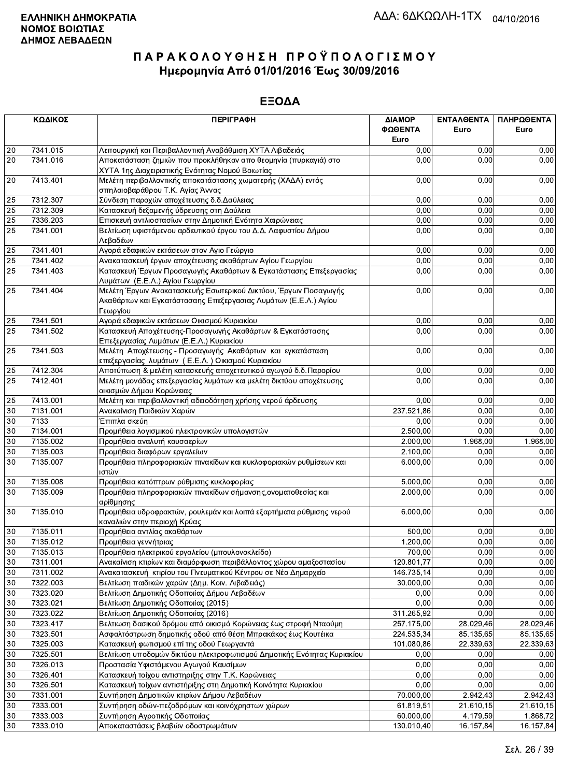|                 | ΚΩΔΙΚΟΣ  | <b>ПЕРІГРАФН</b>                                                                                                                              | ΔΙΑΜΟΡ<br>ΦΩΘΕΝΤΑ<br>Euro | <b>ENTAAOENTA</b><br>Euro | ΠΛΗΡΩΘΕΝΤΑ<br>Euro |
|-----------------|----------|-----------------------------------------------------------------------------------------------------------------------------------------------|---------------------------|---------------------------|--------------------|
| 20              | 7341.015 | Λειτουργική και Περιβαλλοντική Αναβάθμιση ΧΥΤΑ Λιβαδειάς                                                                                      | 0,00                      | 0.00                      | 0,00               |
| $\overline{20}$ | 7341.016 | Αποκατάσταση ζημιών που προκλήθηκαν απο θεομηνία (πυρκαγιά) στο                                                                               | 0,00                      | 0.00                      | 0,00               |
|                 |          | ΧΥΤΑ 1ης Διαχειριστικής Ενότητας Νομού Βοιωτίας                                                                                               |                           |                           |                    |
| 20              | 7413.401 | Μελέτη περιβαλλοντικής αποκατάστασης χωματερής (ΧΑΔΑ) εντός<br>σπηλαιοβαράθρου Τ.Κ. Αγίας Άννας                                               | 0,00                      | 0,00                      | 0,00               |
| 25              | 7312.307 | Σύνδεση παροχών αποχέτευσης δ.δ. Δαύλειας                                                                                                     | 0,00                      | 0.00                      | 0,00               |
| 25              | 7312.309 | Κατασκευή δεξαμενής ύδρευσης στη Δαύλεια                                                                                                      | 0,00                      | 0.00                      | 0,00               |
| $\overline{25}$ | 7336.203 | Επισκευή αντλιοστασίων στην Δημοτική Ενότητα Χαιρώνειας                                                                                       | 0,00                      | 0,00                      | 0,00               |
| 25              | 7341.001 | Βελτίωση υφιστάμενου αρδευτικού έργου του Δ.Δ. Λαφυστίου Δήμου<br>Λεβαδέων                                                                    | 0,00                      | 0,00                      | 0,00               |
| 25              | 7341.401 | Αγορά εδαφικών εκτάσεων στον Αγιο Γεώργιο                                                                                                     | 0,00                      | 0,00                      | 0,00               |
| 25              | 7341.402 | Ανακατασκευή έργων αποχέτευσης ακαθάρτων Αγίου Γεωργίου                                                                                       | 0,00                      | 0,00                      | 0,00               |
| $\overline{25}$ | 7341.403 | Κατασκευή Έργων Προσαγωγής Ακαθάρτων & Εγκατάστασης Επεξεργασίας<br>Λυμάτων (Ε.Ε.Λ.) Αγίου Γεωργίου                                           | 0,00                      | 0,00                      | 0,00               |
| 25              | 7341.404 | Μελέτη Έργων Ανακατασκευής Εσωτερικού Δικτύου, Έργων Ποσαγωγής<br>Ακαθάρτων και Εγκατάστασαης Επεξεργασιας Λυμάτων (Ε.Ε.Λ.) Αγίου<br>Γεωργίου | 0,00                      | 0,00                      | 0,00               |
| 25              | 7341.501 | Αγορά εδαφικών εκτάσεων Οικισμού Κυριακίου                                                                                                    | 0,00                      | 0,00                      | 0,00               |
| $\overline{25}$ | 7341.502 | Κατασκευή Αποχέτευσης-Προσαγωγής Ακαθάρτων & Εγκατάστασης<br>Επεξεργασίας Λυμάτων (Ε.Ε.Λ.) Κυριακίου                                          | 0,00                      | 0,00                      | 0,00               |
| 25              | 7341.503 | Μελέτη Αποχέτευσης - Προσαγωγής Ακαθάρτων και εγκατάσταση<br>επεξεργασίας λυμάτων (Ε.Ε.Λ.) Οικισμού Κυριακίου                                 | 0,00                      | 0,00                      | 0,00               |
| 25              | 7412.304 | Αποτύπωση & μελέτη κατασκευής αποχετευτικού αγωγού δ.δ. Παρορίου                                                                              | 0,00                      | 0.00                      | 0,00               |
| 25              | 7412.401 | Μελέτη μονάδας επεξεργασίας λυμάτων και μελέτη δικτύου αποχέτευσης<br>οικισμών Δήμου Κορώνειας                                                | 0,00                      | 0,00                      | 0,00               |
| 25              | 7413.001 | Μελέτη και περιβαλλοντική αδειοδότηση χρήσης νερού άρδευσης                                                                                   | 0,00                      | 0,00                      | 0,00               |
| 30              | 7131.001 | Ανακαίνιση Παιδικών Χαρών                                                                                                                     | 237.521,86                | 0,00                      | 0,00               |
| $30\,$          | 7133     | Έπιπλα σκεύη                                                                                                                                  | 0,00                      | 0,00                      | 0,00               |
| $30\,$          | 7134.001 | Προμήθεια λογισμικού ηλεκτρονικών υπολογιστών                                                                                                 | 2.500,00                  | 0,00                      | 0,00               |
| $\overline{30}$ | 7135.002 | Προμήθεια αναλυτή καυσαερίων                                                                                                                  | 2.000,00                  | 1.968,00                  | 1.968,00           |
| 30              | 7135.003 | Προμήθεια διαφόρων εργαλείων                                                                                                                  | 2.100,00                  | 0,00                      | 0,00               |
| 30              | 7135.007 | Προμήθεια πληροφοριακών πινακίδων και κυκλοφοριακών ρυθμίσεων και<br>ιστών                                                                    | 6.000,00                  | 0,00                      | 0,00               |
| $30\,$          | 7135.008 | Προμήθεια κατόπτρων ρύθμισης κυκλοφορίας                                                                                                      | 5.000,00                  | 0,00                      | 0,00               |
| 30              | 7135.009 | Προμήθεια πληροφοριακών πινακίδων σήμανσης, ονοματοθεσίας και<br>αρίθμησης                                                                    | 2.000,00                  | 0,00                      | 0,00               |
| 30              | 7135.010 | Προμήθεια υδροφρακτών, ρουλεμάν και λοιπά εξαρτήματα ρύθμισης νερού<br>καναλιών στην περιοχή Κρύας                                            | 6.000,00                  | 0,00                      | 0,00               |
| 30              | 7135.011 | Προμήθεια αντλίας ακαθάρτων                                                                                                                   | 500,00                    | 0,00                      | 0,00               |
| 30              | 7135.012 | Προμήθεια γεννήτριας                                                                                                                          | 1.200,00                  | 0,00                      | 0,00               |
| 30              | 7135.013 | Προμήθεια ηλεκτρικού εργαλείου (μπουλονοκλείδο)                                                                                               | 700,00                    | 0.00                      | 0,00               |
| 30              | 7311.001 | Ανακαίνιση κτιρίων και διαμόρφωση περιβάλλοντος χώρου αμαξοστασίου                                                                            | 120.801,77                | 0,00                      | 0,00               |
| $30\,$          | 7311.002 | Ανακατασκευή κτιρίου του Πνευματικού Κέντρου σε Νέο Δημαρχείο                                                                                 | 146.735,14                | 0,00                      | 0,00               |
| 30              | 7322.003 | Βελτίωση παιδικών χαρών (Δημ. Κοιν. Λιβαδειάς)                                                                                                | 30.000,00                 | 0,00                      | 0,00               |
| 30              | 7323.020 | Βελτίωση Δημοτικής Οδοποιίας Δήμου Λεβαδέων                                                                                                   | 0,00                      | 0,00                      | 0,00               |
| $30\,$          | 7323.021 | Βελτίωση Δημοτικής Οδοποιίας (2015)                                                                                                           | 0,00                      | 0,00                      | 0,00               |
| 30              | 7323.022 | Βελτίωση Δημοτικής Οδοποιίας (2016)                                                                                                           | 311.265,92                | 0,00                      | 0,00               |
| $30\,$          | 7323.417 | Βελτιωση δασικού δρόμου από οικισμό Κορώνειας έως στροφή Νταούμη                                                                              | 257.175,00                | 28.029,46                 | 28.029,46          |
| 30              | 7323.501 | Ασφαλτόστρωση δημοτικής οδού από θέση Μπρακάκος έως Κουτέικα                                                                                  | 224.535,34                | 85.135,65                 | 85.135,65          |
| 30              | 7325.003 | Κατασκευή φωτισμού επί της οδού Γεωργαντά                                                                                                     | 101.080,86                | 22.339,63                 | 22.339,63          |
| 30              | 7325.501 | Βελτίωση υποδομών δικτύου ηλεκτροφωτισμού Δημοτικής Ενότητας Κυριακίου                                                                        | 0,00                      | 0,00                      | 0,00               |
| $30\,$          | 7326.013 | Προστασία Υφιστάμενου Αγωγού Καυσίμων                                                                                                         | 0,00                      | 0,00                      | 0,00               |
| 30              | 7326.401 | Κατασκευή τοίχου αντιστηριξης στην Τ.Κ. Κορώνειας                                                                                             | 0,00                      | 0,00                      | 0,00               |
| $30\,$          | 7326.501 | Κατασκευή τοίχων αντιστήριξης στη Δημοτική Κοινότητα Κυριακίου                                                                                | 0,00                      | 0,00                      | 0,00               |
| 30              | 7331.001 | Συντήρηση Δημοτικών κτιρίων Δήμου Λεβαδέων                                                                                                    | 70.000,00                 | 2.942,43                  | 2.942,43           |
| 30              | 7333.001 | Συντήρηση οδών-πεζοδρόμων και κοινόχρηστων χώρων                                                                                              | 61.819,51                 | 21.610,15                 | 21.610,15          |
| $30\,$          | 7333.003 | Συντήρηση Αγροτικής Οδοποιίας                                                                                                                 | 60.000,00                 | 4.179,59                  | 1.868,72           |
| 30              | 7333.010 | Αποκαταστάσεις βλαβών οδοστρωμάτων                                                                                                            | 130.010,40                | 16.157,84                 | 16.157,84          |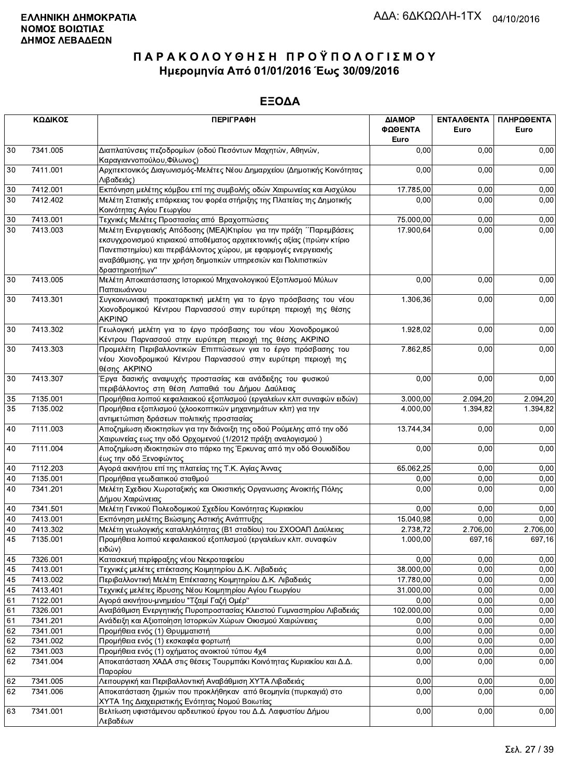|    | ΚΩΔΙΚΟΣ                                                                                             | <b>ПЕРІГРАФН</b>                                                                                                                                                                                                                                                                                          | ΔΙΑΜΟΡ<br>ΦΩΘΕΝΤΑ<br>Euro | <b>ENTAAOENTA</b><br>Euro | ΠΛΗΡΩΘΕΝΤΑ<br>Euro |
|----|-----------------------------------------------------------------------------------------------------|-----------------------------------------------------------------------------------------------------------------------------------------------------------------------------------------------------------------------------------------------------------------------------------------------------------|---------------------------|---------------------------|--------------------|
| 30 | 7341.005<br>Διαπλατύνσεις πεζοδρομίων (οδού Πεσόντων Μαχητών, Αθηνών,<br>Καραγιαννοπούλου, Φίλωνος) |                                                                                                                                                                                                                                                                                                           | 0,00                      | 0,00                      | 0,00               |
| 30 | 7411.001<br>Αρχιτεκτονικός Διαγωνισμός-Μελέτες Νέου Δημαρχείου (Δημοτικής Κοινότητας<br>Λιβαδειάς)  |                                                                                                                                                                                                                                                                                                           | 0,00                      | 0,00                      | 0,00               |
| 30 | 7412.001                                                                                            | Εκπόνηση μελέτης κόμβου επί της συμβολής οδών Χαιρωνείας και Αισχύλου                                                                                                                                                                                                                                     | 17.785,00                 | 0,00                      | 0,00               |
| 30 | 7412.402                                                                                            | Μελέτη Στατικής επάρκειας του φορέα στήριξης της Πλατείας της Δημοτικής<br>Κοινότητας Αγίου Γεωργίου                                                                                                                                                                                                      | 0,00                      | 0,00                      | 0,00               |
| 30 | 7413.001                                                                                            | Τεχνικές Μελέτες Προστασίας από Βραχοπτώσεις                                                                                                                                                                                                                                                              | 75.000,00                 | 0,00                      | 0,00               |
| 30 | 7413.003                                                                                            | Μελέτη Ενεργειακής Απόδοσης (ΜΕΑ) Κτιρίου για την πράξη ΄΄Παρεμβάσεις<br>εκσυγχρονισμού κτιριακού αποθέματος αρχιτεκτονικής αξίας (πρώην κτίριο<br>Πανεπιστημίου) και περιβάλλοντος χώρου, με εφαρμογές ενεργειακής<br>αναβάθμισης, για την χρήση δημοτικών υπηρεσιών και Πολιτιστικών<br>δραστηριοτήτων" | 17.900,64                 | 0,00                      | 0,00               |
| 30 | 7413.005                                                                                            | Μελέτη Αποκατάστασης Ιστορικού Μηχανολογικού Εξοπλισμού Μύλων<br>Παπαιωάννου                                                                                                                                                                                                                              | 0,00                      | 0,00                      | 0,00               |
| 30 | 7413.301                                                                                            | Συγκοινωνιακή προκαταρκτική μελέτη για το έργο πρόσβασης του νέου<br>Χιονοδρομικού Κέντρου Παρνασσού στην ευρύτερη περιοχή της θέσης<br><b>AKPINO</b>                                                                                                                                                     | 1.306,36                  | 0,00                      | 0,00               |
| 30 | 7413.302                                                                                            | Γεωλογική μελέτη για το έργο πρόσβασης του νέου Χιονοδρομικού<br>Κέντρου Παρνασσού στην ευρύτερη περιοχή της θέσης ΑΚΡΙΝΟ                                                                                                                                                                                 | 1.928,02                  | 0,00                      | 0,00               |
| 30 | 7413.303                                                                                            | Προμελέτη Περιβαλλοντικών Επιπτώσεων για το έργο πρόσβασης του<br>νέου Χιονοδρομικού Κέντρου Παρνασσού στην ευρύτερη περιοχή της<br>θέσης AKPINO                                                                                                                                                          | 7.862,85                  | 0,00                      | 0,00               |
| 30 | 7413.307                                                                                            | Έργα δασικής αναψυχής προστασίας και ανάδειξης του φυσικού<br>περιβάλλοντος στη θέση Λαπαθιά του Δήμου Δαύλειας                                                                                                                                                                                           | 0,00                      | 0,00                      | 0,00               |
| 35 | 7135.001                                                                                            | Προμήθεια λοιπού κεφαλαιακού εξοπλισμού (εργαλείων κλπ συναφών ειδών)                                                                                                                                                                                                                                     | 3.000,00                  | 2.094,20                  | 2.094,20           |
| 35 | 7135.002                                                                                            | Προμήθεια εξοπλισμού (χλοοκοπτικών μηχανημάτων κλπ) για την<br>αντιμετώπιση δράσεων πολιτικής προστασίας                                                                                                                                                                                                  | 4.000,00                  | 1.394,82                  | 1.394,82           |
| 40 | 7111.003                                                                                            | Αποζημίωση ιδιοκτησίων για την διάνοιξη της οδού Ρούμελης από την οδό<br>Χαιρωνείας εως την οδό Ορχομενού (1/2012 πράξη αναλογισμού)                                                                                                                                                                      | 13.744,34                 | 0,00                      | 0,00               |
| 40 | 7111.004                                                                                            | Αποζημίωση ιδιοκτησιών στο πάρκο της Έρκυνας από την οδό Θουκιδίδου<br>έως την οδό Ξενοφώντος                                                                                                                                                                                                             | 0,00                      | 0,00                      | 0,00               |
| 40 | 7112.203                                                                                            | Αγορά ακινήτου επί της πλατείας της Τ.Κ. Αγίας Άννας                                                                                                                                                                                                                                                      | 65.062,25                 | 0,00                      | 0,00               |
| 40 | 7135.001                                                                                            | Προμήθεια γεωδαιτικού σταθμού                                                                                                                                                                                                                                                                             | 0,00                      | 0,00                      | 0,00               |
| 40 | 7341.201                                                                                            | Μελέτη Σχεδιου Χωροταξικής και Οικιστικής Οργανωσης Ανοικτής Πόλης<br>Δήμου Χαιρώνειας                                                                                                                                                                                                                    | 0,00                      | 0,00                      | 0,00               |
| 40 | 7341.501                                                                                            | Μελέτη Γενικού Πολεοδομικού Σχεδίου Κοινότητας Κυριακίου                                                                                                                                                                                                                                                  | 0,00                      | 0,00                      | 0,00               |
| 40 | 7413.001                                                                                            | Εκπόνηση μελέτης Βιώσιμης Αστικής Ανάπτυξης                                                                                                                                                                                                                                                               | 15.040,98                 | 0,00                      | 0,00               |
| 40 | 7413.302                                                                                            | Μελέτη γεωλογικής καταλληλότητας (Β1 σταδίου) του ΣΧΟΟΑΠ Δαύλειας                                                                                                                                                                                                                                         | 2.738,72                  | 2.706,00                  | 2.706,00           |
| 45 | 7135.001                                                                                            | Προμήθεια λοιπού κεφαλαιακού εξοπλισμού (εργαλείων κλπ. συναφών<br>ειδών)                                                                                                                                                                                                                                 | 1.000,00                  | 697,16                    | 697,16             |
| 45 | 7326.001                                                                                            | Κατασκευή περίφραξης νέου Νεκροταφείου                                                                                                                                                                                                                                                                    | 0,00                      | 0,00                      | 0,00               |
| 45 | 7413.001                                                                                            | Τεχνικές μελέτες επέκτασης Κοιμητηρίου Δ.Κ. Λιβαδειάς                                                                                                                                                                                                                                                     | 38.000,00                 | 0,00                      | 0,00               |
| 45 | 7413.002                                                                                            | Περιβαλλοντική Μελέτη Επέκτασης Κοιμητηρίου Δ.Κ. Λιβαδειάς                                                                                                                                                                                                                                                | 17.780,00                 | 0,00                      | 0,00               |
| 45 | 7413.401                                                                                            | Τεχνικές μελέτες ίδρυσης Νέου Κοιμητηρίου Αγίου Γεωργίου                                                                                                                                                                                                                                                  | 31.000,00                 | 0,00                      | 0,00               |
| 61 | 7122.001                                                                                            | Αγορά ακινήτου-μνημείου "Τζαμί Γαζή Ομέρ"                                                                                                                                                                                                                                                                 | 0,00                      | 0,00                      | 0,00               |
| 61 | 7326.001                                                                                            | Αναβάθμιση Ενεργητικής Πυροπροστασίας Κλειστού Γυμναστηρίου Λιβαδειάς                                                                                                                                                                                                                                     | 102.000,00                | 0,00                      | 0,00               |
| 61 | 7341.201                                                                                            | Ανάδειξη και Αξιοποίηση Ιστορικών Χώρων Οικισμού Χαιρώνειας                                                                                                                                                                                                                                               | 0,00                      | 0,00                      | 0,00               |
| 62 | 7341.001                                                                                            | Προμήθεια ενός (1) Θρυμματιστή                                                                                                                                                                                                                                                                            | 0,00                      | 0,00                      | 0,00               |
| 62 | 7341.002                                                                                            | Προμήθεια ενός (1) εκσκαφέα φορτωτή                                                                                                                                                                                                                                                                       | 0,00                      | 0,00                      | 0,00               |
| 62 | 7341.003                                                                                            | Προμήθεια ενός (1) οχήματος ανοικτού τύπου 4χ4                                                                                                                                                                                                                                                            | 0,00                      | 0,00                      | 0,00               |
| 62 | 7341.004                                                                                            | Αποκατάσταση ΧΑΔΑ στις θέσεις Τουρμπάκι Κοινότητας Κυριακίου και Δ.Δ.<br>Παρορίου                                                                                                                                                                                                                         | 0,00                      | 0,00                      | 0,00               |
| 62 | 7341.005                                                                                            | Λειτουργική και Περιβαλλοντική Αναβάθμιση ΧΥΤΑ Λιβαδειάς                                                                                                                                                                                                                                                  | 0,00                      | 0,00                      | 0,00               |
| 62 | 7341.006                                                                                            | Αποκατάσταση ζημιών που προκλήθηκαν από θεομηνία (πυρκαγιά) στο<br>ΧΥΤΑ 1ης Διαχειριστικής Ενότητας Νομού Βοιωτίας                                                                                                                                                                                        | 0,00                      | 0,00                      | 0,00               |
| 63 | 7341.001                                                                                            | Βελτίωση υφιστάμενου αρδευτικού έργου του Δ.Δ. Λαφυστίου Δήμου<br>Λεβαδέων                                                                                                                                                                                                                                | 0,00                      | 0,00                      | 0,00               |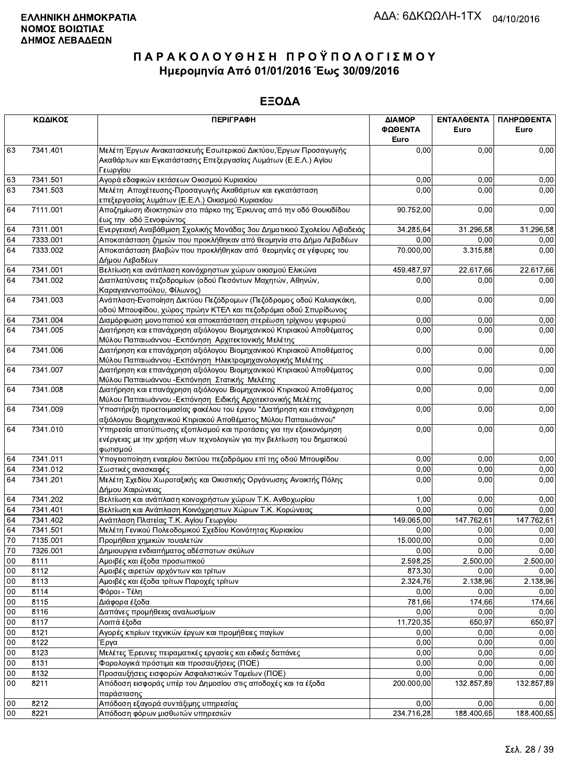|          | ΚΩΔΙΚΟΣ      | <b>ПЕРІГРАФН</b>                                                                                                                    | ΔΙΑΜΟΡ<br>ΦΩΘΕΝΤΑ<br>Euro | <b>ENTAAGENTA</b><br>Euro | ΠΛΗΡΩΘΕΝΤΑ<br>Euro |
|----------|--------------|-------------------------------------------------------------------------------------------------------------------------------------|---------------------------|---------------------------|--------------------|
| 63       | 7341.401     | Μελέτη Έργων Ανακατασκευής Εσωτερικού Δικτύου, Έργων Προσαγωγής<br>Ακαθάρτων και Εγκατάστασης Επεξεργασίας Λυμάτων (Ε.Ε.Λ.) Αγίου   | 0,00                      | 0,00                      | 0,00               |
|          |              | Γεωργίου                                                                                                                            |                           |                           |                    |
| 63       | 7341.501     | Αγορά εδαφικών εκτάσεων Οικισμού Κυριακίου                                                                                          | 0,00                      | 0,00                      | 0,00               |
| 63       | 7341.503     | Μελέτη Αποχέτευσης-Προσαγωγής Ακαθάρτων και εγκατάσταση                                                                             | 0,00                      | 0,00                      | 0,00               |
| 64       | 7111.001     | επεξεργασίας λυμάτων (Ε.Ε.Λ.) Οικισμού Κυριακίου<br>Αποζημίωση ιδιοκτησιών στο πάρκο της Έρκυνας από την οδό Θουκιδίδου             | 90.752,00                 | 0,00                      | 0,00               |
|          |              | έως την οδό Ξενοφώντος                                                                                                              |                           |                           |                    |
| 64       | 7311.001     | Ενεργειακή Αναβάθμιση Σχολικής Μονάδας 3ου Δημοτικιού Σχολείου Λιβαδειάς                                                            | 34.285,64                 | 31.296,58                 | 31.296,58          |
| 64       | 7333.001     | Αποκατάσταση ζημιών που προκλήθηκαν από θεομηνία στο Δήμο Λεβαδέων                                                                  | 0,00                      | 0,00                      | 0,00               |
| 64       | 7333.002     | Αποκατάσταση βλαβών που προκλήθηκαν από θεομηνίες σε γέφυρες του                                                                    | 70.000,00                 | 3.315,88                  | 0,00               |
|          |              | Δήμου Λεβαδέων                                                                                                                      |                           |                           |                    |
| 64       | 7341.001     | Βελτίωση και ανάπλαση κοινόχρηστων χώρων οικισμού Ελικώνα                                                                           | 459.487,97                | 22.617,66                 | 22.617,66          |
| 64       | 7341.002     | Διαπλατύνσεις πεζοδρομίων (οδού Πεσόντων Μαχητών, Αθηνών,<br>Καραγιαννοπούλου, Φίλωνος)                                             | 0,00                      | 0,00                      | 0,00               |
| 64       | 7341.003     | Ανάπλαση-Ενοποίηση Δικτύου Πεζόδρομων (Πεζόδρομος οδού Καλιαγκάκη,                                                                  | 0,00                      | 0,00                      | 0,00               |
|          |              | οδού Μπουφίδου, χώρος πρώην ΚΤΕΛ και πεζοδρόμια οδού Σπυρίδωνος                                                                     |                           |                           |                    |
| 64       | 7341.004     | Διαμόρφωση μονοπατιού και αποκατάσταση στερέωση τρίχινου γεφυριού                                                                   | 0,00                      | 0.00                      | 0,00               |
| 64       | 7341.005     | Διατήρηση και επανάχρηση αξιόλογου Βιομηχανικού Κτιριακού Αποθέματος<br>Μύλου Παπαιωάννου - Εκπόνηση Αρχιτεκτονικής Μελέτης         | 0,00                      | 0,00                      | 0,00               |
| 64       | 7341.006     | Διατήρηση και επανάχρηση αξιόλογου Βιομηχανικού Κτιριακού Αποθέματος<br>Μύλου Παπαιωάννου - Εκπόνηση Ηλεκτρομηχανολογικής Μελέτης   | 0,00                      | 0,00                      | 0,00               |
| 64       | 7341.007     | Διατήρηση και επανάχρηση αξιόλογου Βιομηχανικού Κτιριακού Αποθέματος<br>Μύλου Παπαιωάννου - Εκπόνηση Στατικής Μελέτης               | 0,00                      | 0,00                      | 0,00               |
| 64       | 7341.008     | Διατήρηση και επανάχρηση αξιόλογου Βιομηχανικού Κτιριακού Αποθέματος<br>Μύλου Παπαιωάννου - Εκπόνηση Ειδικής Αρχιτεκτονικής Μελέτης | 0,00                      | 0,00                      | 0,00               |
| 64       | 7341.009     | Υποστήριξη προετοιμασίας φακέλου του έργου "Διατήρηση και επανάχρηση                                                                | 0,00                      | 0,00                      | 0,00               |
|          |              | αξιόλογου Βιομηχανικού Κτιριακού Αποθέματος Μύλου Παπαιωάννου"                                                                      |                           |                           |                    |
| 64       | 7341.010     | Υπηρεσία αποτύπωσης εξοπλισμού και προτάσεις για την εξοικονόμηση                                                                   | 0,00                      | 0,00                      | 0,00               |
|          |              | ενέργειας με την χρήση νέων τεχνολογιών για την βελτίωση του δημοτικού<br>φωτισμού                                                  |                           |                           |                    |
| 64       | 7341.011     | Υπογειοποίηση εναερίου δικτύου πεζοδρόμου επί της οδού Μπουφίδου                                                                    | 0,00                      | 0,00                      | 0,00               |
| 64       | 7341.012     | Σωστικές ανασκαφές                                                                                                                  | 0,00                      | 0,00                      | 0,00               |
| 64       | 7341.201     | Μελέτη Σχεδίου Χωροταξικής και Οικιστικής Οργάνωσης Ανοικτής Πόλης<br>Δήμου Χαιρώνειας                                              | 0,00                      | 0,00                      | 0,00               |
| 64       | 7341.202     | Βελτίωση και ανάπλαση κοινοχρήστων χώρων Τ.Κ. Ανθοχωρίου                                                                            | 1,00                      | 0,00                      | 0,00               |
| 64       | 7341.401     | Βελτίωση και Ανάπλαση Κοινόχρηστων Χώρων Τ.Κ. Κορώνειας                                                                             | 0,00                      | 0,00                      | 0,00               |
| 64       | 7341.402     | Ανάπλαση Πλατείας Τ.Κ. Αγίου Γεωργίου                                                                                               | 149.065,00                | 147.762,61                | 147.762,61         |
| 64       | 7341.501     | Μελέτη Γενικού Πολεοδομικού Σχεδίου Κοινότητας Κυριακίου                                                                            | 0,00                      | 0,00                      | 0,00               |
| 70       | 7135.001     | Προμήθεια χημικών τουαλετών                                                                                                         | 15.000,00                 | 0,00                      | 0,00               |
| 70       | 7326.001     | Δημιουργια ενδιαιτήματος αδέσποτων σκύλων                                                                                           | 0,00                      | 0,00                      | 0,00               |
| $00\,$   | 8111         | Αμοιβές και έξοδα προσωπικού                                                                                                        | 2.598,25                  | 2.500,00                  | 2.500,00           |
| $00\,$   | 8112         | Αμοιβές αιρετών αρχόντων και τρίτων                                                                                                 | 873,30                    | 0,00                      | 0,00               |
| 00       | 8113         | Αμοιβές και έξοδα τρίτων Παροχές τρίτων                                                                                             | 2.324,76                  | 2.138,96                  | 2.138,96           |
| 00       | 8114         | Φόροι - Τέλη                                                                                                                        | 0,00                      | 0,00                      | 0,00               |
| 00       | 8115         | Διάφορα έξοδα                                                                                                                       | 781,66                    | 174,66                    | 174,66             |
| $00\,$   | 8116         | Δαπάνες προμήθειας αναλωσίμων                                                                                                       | 0,00                      | 0,00                      | 0,00               |
| 00       | 8117         | Λοιπά έξοδα                                                                                                                         | 11.720,35                 | 650,97                    | 650,97             |
| 00       | 8121         | Αγορές κτιρίων τεχνικών έργων και προμήθειες παγίων                                                                                 | 0,00                      | 0,00                      | 0,00               |
| 00       | 8122         | Έργα                                                                                                                                | 0,00                      | 0,00                      | 0,00               |
| 00<br>00 | 8123<br>8131 | Μελέτες Έρευνες πειραματικές εργασίες και ειδικές δαπάνες<br>Φορολογικά πρόστιμα και προσαυξήσεις (ΠΟΕ)                             | 0,00<br>0,00              | 0,00<br>0,00              | 0,00<br>0,00       |
| 00       | 8132         | Προσαυξήσεις εισφορών Ασφαλιστικών Ταμείων (ΠΟΕ)                                                                                    | 0,00                      | 0,00                      | 0,00               |
| $00\,$   | 8211         | Απόδοση εισφοράς υπέρ του Δημοσίου στις αποδοχές και τα έξοδα                                                                       | 200.000,00                | 132.857,89                | 132.857,89         |
| 00       | 8212         | παράστασης<br><u>-<br/>Απόδοση εξαγορά συντάξιμης υπηρεσίας</u>                                                                     | 0,00                      | 0,00                      | 0,00               |
| 00       | 8221         | Απόδοση φόρων μισθωτών υπηρεσιών                                                                                                    | 234.716,28                | 188.400,65                | 188 400,65         |
|          |              |                                                                                                                                     |                           |                           |                    |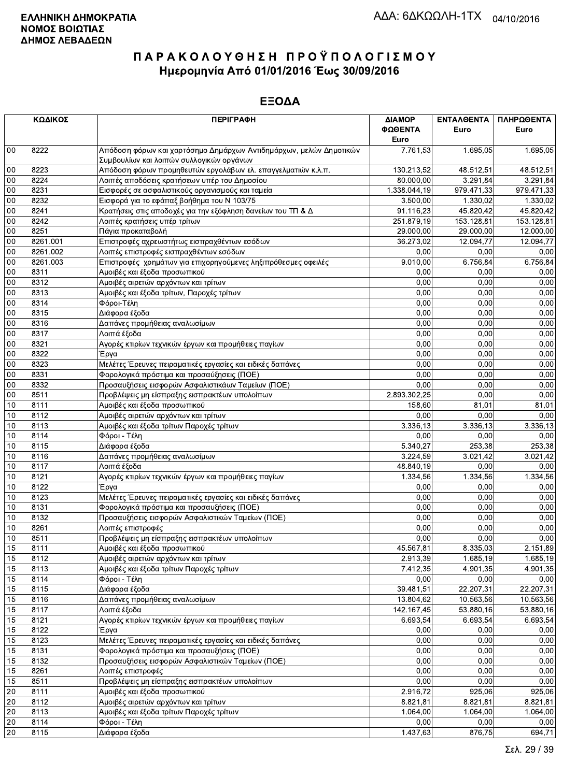|        | ΚΩΔΙΚΟΣ  | <b>ПЕРІГРАФН</b>                                                                                               | ΔΙΑΜΟΡ<br>ΦΩΘΕΝΤΑ<br>Euro | ΕΝΤΑΛΘΕΝΤΑ<br>Euro | ΠΛΗΡΩΘΕΝΤΑ<br>Euro |
|--------|----------|----------------------------------------------------------------------------------------------------------------|---------------------------|--------------------|--------------------|
| $00\,$ | 8222     | Απόδοση φόρων και χαρτόσημο Δημάρχων Αντιδημάρχων, μελών Δημοτικών<br>Συμβουλίων και λοιπών συλλογικών οργάνων | 7.761,53                  | 1.695,05           | 1.695,05           |
| 00     | 8223     | Απόδοση φόρων προμηθευτών εργολάβων ελ. επαγγελματιών κ.λ.π.                                                   | 130.213,52                | 48.512.51          | 48.512,51          |
| 00     | 8224     | Λοιπές αποδόσεις κρατήσεων υπέρ του Δημοσίου                                                                   | 80.000,00                 | 3.291,84           | 3.291,84           |
| 00     | 8231     | Εισφορές σε ασφαλιστικούς οργανισμούς και ταμεία                                                               | 1.338.044,19              | 979.471,33         | 979.471,33         |
| 00     | 8232     | Εισφορά για το εφάπαξ βοήθημα του Ν 103/75                                                                     | 3.500,00                  | 1.330.02           | 1.330,02           |
| 00     | 8241     | Κρατήσεις στις αποδοχές για την εξόφληση δανείων του ΤΠ & Δ                                                    | 91.116,23                 | 45.820,42          | 45.820,42          |
| $00\,$ | 8242     | Λοιπές κρατήσεις υπέρ τρίτων                                                                                   | 251.879,19                | 153.128,81         | 153.128,81         |
| 00     | 8251     | Πάγια προκαταβολή                                                                                              | 29.000,00                 | 29.000,00          | 12.000,00          |
| 00     | 8261.001 | Επιστροφές αχρεωστήτως εισπραχθέντων εσόδων                                                                    | 36.273,02                 | 12.094,77          | 12.094,77          |
| $00\,$ | 8261.002 | Λοιπές επιστροφές εισπραχθέντων εσόδων                                                                         | 0,00                      | 0,00               | 0,00               |
| $00\,$ | 8261.003 | Επιστροφές χρημάτων για επιχορηγούμενες ληξιπρόθεσμες οφειλές                                                  | 9.010,00                  | 6.756,84           | 6.756,84           |
| 00     | 8311     | Αμοιβές και έξοδα προσωπικού                                                                                   | 0,00                      | 0,00               | 0,00               |
| 00     | 8312     | Αμοιβές αιρετών αρχόντων και τρίτων                                                                            | 0,00                      | 0,00               | 0,00               |
| 00     | 8313     | Αμοιβές και έξοδα τρίτων, Παροχές τρίτων                                                                       | 0,00                      | 0,00               | 0,00               |
| $00\,$ | 8314     | Φόροι-Τέλη                                                                                                     | 0,00                      | 0,00               | 0,00               |
| 00     | 8315     | Διάφορα έξοδα                                                                                                  | 0,00                      | 0,00               | 0,00               |
| $00\,$ | 8316     | Δαπάνες προμήθειας αναλωσίμων                                                                                  | 0,00                      | 0,00               | 0,00               |
| 00     | 8317     | Λοιπά έξοδα                                                                                                    | 0,00                      | 0,00               | 0,00               |
| 00     | 8321     | Αγορές κτιρίων τεχνικών έργων και προμήθειες παγίων                                                            | 0,00                      | 0,00               | 0,00               |
| 00     | 8322     | Έργα                                                                                                           | 0,00                      | 0,00               | 0,00               |
| 00     | 8323     | Μελέτες Έρευνες πειραματικές εργασίες και ειδικές δαπάνες                                                      | 0,00                      | 0,00               | 0,00               |
| $00\,$ | 8331     | Φορολογικά πρόστιμα και προσαύξησεις (ΠΟΕ)                                                                     | 0,00                      | 0,00               | 0,00               |
| $00\,$ | 8332     | Προσαυξήσεις εισφορών Ασφαλιστικάων Ταμείων (ΠΟΕ)                                                              | 0,00                      | 0,00               | 0,00               |
| 00     | 8511     | Προβλέψεις μη είσπραξης εισπρακτέων υπολοίπων                                                                  | 2.893.302,25              | 0,00               | 0,00               |
| 10     | 8111     | Αμοιβές και έξοδα προσωπικού                                                                                   | 158,60                    | 81,01              | 81,01              |
| 10     | 8112     | Αμοιβές αιρετών αρχόντων και τρίτων                                                                            | 0,00                      | 0,00               | 0,00               |
| 10     | 8113     | Αμοιβές και έξοδα τρίτων Παροχές τρίτων                                                                        | 3.336,13                  | 3.336,13           | 3.336,13           |
| 10     | 8114     | Φόροι - Τέλη                                                                                                   | 0,00                      | 0.00               | 0,00               |
| 10     | 8115     | Διάφορα έξοδα                                                                                                  | 5.340,27                  | 253,38             | 253,38             |
| 10     | 8116     | Δαπάνες προμήθειας αναλωσίμων                                                                                  | 3.224,59                  | 3.021,42           | 3.021,42           |
| $10$   | 8117     | Λοιπά έξοδα                                                                                                    | 48.840,19                 | 0,00               | 0,00               |
| 10     | 8121     | Αγορές κτιρίων τεχνικών έργων και προμήθειες παγίων                                                            | 1.334,56                  | 1.334,56           | 1.334,56           |
| 10     | 8122     | Έργα                                                                                                           | 0,00                      | 0,00               | 0,00               |
| 10     | 8123     | Μελέτες Έρευνες πειραματικές εργασίες και ειδικές δαπάνες                                                      | 0,00                      | 0,00               | 0,00               |
| 10     | 8131     | Φορολογικά πρόστιμα και προσαυξήσεις (ΠΟΕ)                                                                     | 0,00                      | 0,00               | 0,00               |
| 10     | 8132     | Προσαυξήσεις εισφορών Ασφαλιστικών Ταμείων (ΠΟΕ)                                                               | 0,00                      | 0,00               | 0,00               |
| 10     | 8261     | Λοιπές επιστροφές                                                                                              | 0,00                      | 0.00               | 0,00               |
| 10     | 8511     | Προβλέψεις μη είσπραξης εισπρακτέων υπολοίπων                                                                  | 0,00                      | 0,00               | 0,00               |
| 15     | 8111     | Αμοιβές και έξοδα προσωπικού                                                                                   | 45.567,81                 | 8.335,03           | 2.151,89           |
| 15     | 8112     | Αμοιβές αιρετών αρχόντων και τρίτων                                                                            | 2.913,39                  | 1.685,19           | 1.685,19           |
| 15     | 8113     | Αμοιβές και έξοδα τρίτων Παροχές τρίτων                                                                        | 7.412,35                  | 4.901,35           | 4.901,35           |
| 15     | 8114     | Φόροι - Τέλη                                                                                                   | 0,00                      | 0,00               | 0,00               |
| 15     | 8115     | Διάφορα έξοδα                                                                                                  | 39.481,51                 | 22.207,31          | 22.207,31          |
| 15     | 8116     | Δαπάνες προμήθειας αναλωσίμων                                                                                  | 13.804,62                 | 10.563,56          | 10.563,56          |
| 15     | 8117     | Λοιπά έξοδα                                                                                                    | 142.167,45                | 53.880,16          | 53.880,16          |
| 15     | 8121     | Αγορές κτιρίων τεχνικών έργων και προμήθειες παγίων                                                            | 6.693,54                  | 6.693,54           | 6.693,54           |
| 15     | 8122     | Έργα                                                                                                           | 0,00                      | 0,00               | 0,00               |
| 15     | 8123     | Μελέτες Έρευνες πειραματικές εργασίες και ειδικές δαπάνες                                                      | 0,00                      | 0,00               | 0,00               |
| 15     | 8131     | Φορολογικά πρόστιμα και προσαυξήσεις (ΠΟΕ)                                                                     | 0,00                      | 0,00               | 0,00               |
| 15     | 8132     | Προσαυξήσεις εισφορών Ασφαλιστικών Ταμείων (ΠΟΕ)                                                               | 0,00                      | 0,00               | 0,00               |
| 15     | 8261     | Λοιπές επιστροφές                                                                                              | 0,00                      | 0,00               | 0,00               |
| 15     | 8511     | Προβλέψεις μη είσπραξης εισπρακτέων υπολοίπων                                                                  | 0,00                      | 0,00               | 0,00               |
| $20\,$ | 8111     | Αμοιβές και έξοδα προσωπικού                                                                                   | 2.916,72                  | 925,06             | 925,06             |
| 20     | 8112     | Αμοιβές αιρετών αρχόντων και τρίτων                                                                            | 8.821,81                  | 8.821,81           | 8.821,81           |
| 20     | 8113     | Αμοιβές και έξοδα τρίτων Παροχές τρίτων                                                                        | 1.064,00                  | 1.064,00           | 1.064,00           |
| $20\,$ | 8114     | Φόροι - Τέλη                                                                                                   | 0,00                      | 0,00               | 0,00               |
| 20     | 8115     | Διάφορα έξοδα                                                                                                  | 1.437,63                  | 876,75             | 694,71             |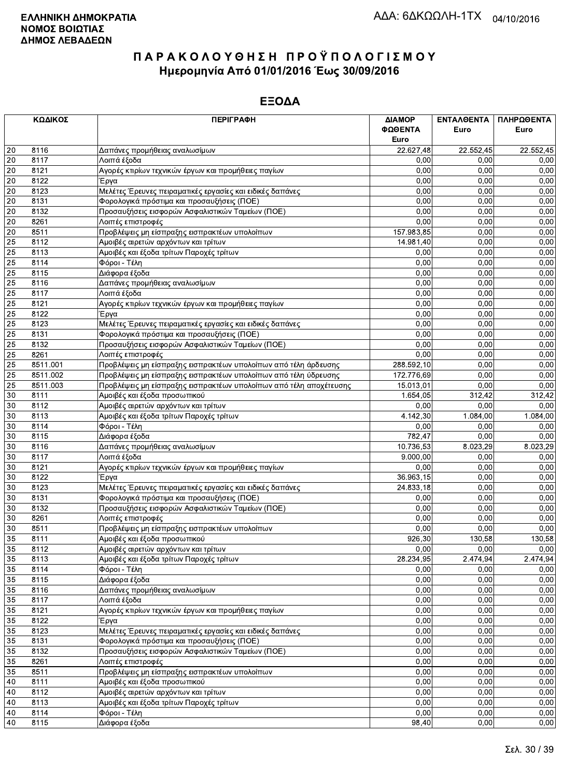|    | ΚΩΔΙΚΟΣ      | <b>ПЕРІГРАФН</b>                                                   | ΔΙΑΜΟΡ     | ΕΝΤΑΛΘΕΝΤΑ       | ΠΛΗΡΩΘΕΝΤΑ     |
|----|--------------|--------------------------------------------------------------------|------------|------------------|----------------|
|    |              |                                                                    | ΦΩΘΕΝΤΑ    | Euro             | Euro           |
|    |              |                                                                    | Euro       |                  |                |
| 20 | 8116         | Δαπάνες προμήθειας αναλωσίμων                                      | 22.627,48  | 22.552,45        | 22.552,45      |
| 20 | 8117         | Λοιπά έξοδα                                                        | 0,00       | 0,00             | 0,00           |
| 20 | 8121         | Αγορές κτιρίων τεχνικών έργων και προμήθειες παγίων                | 0,00       | 0.00             | 0,00           |
| 20 | 8122         | Έργα                                                               | 0,00       | 0,00             | 0,00           |
| 20 | 8123         | Μελέτες Έρευνες πειραματικές εργασίες και ειδικές δαπάνες          | 0,00       | 0,00             | 0,00           |
| 20 | 8131         | Φορολογικά πρόστιμα και προσαυξήσεις (ΠΟΕ)                         | 0.00       | 0.00             | 0,00           |
| 20 | 8132         | Προσαυξήσεις εισφορών Ασφαλιστικών Ταμείων (ΠΟΕ)                   | 0,00       | 0,00             | 0,00           |
| 20 | 8261         | Λοιπές επιστροφές                                                  | 0,00       | 0,00             | 0,00           |
| 20 | 8511         | Προβλέψεις μη είσπραξης εισπρακτέων υπολοίπων                      | 157.983,85 | 0,00             | 0,00           |
| 25 | 8112         | Αμοιβές αιρετών αρχόντων και τρίτων                                | 14.981,40  | 0,00             | 0,00           |
| 25 | 8113         | Αμοιβές και έξοδα τρίτων Παροχές τρίτων                            | 0,00       | 0,00             | 0,00           |
| 25 | 8114         | Φόροι - Τέλη                                                       | 0,00       | 0,00             | 0,00           |
| 25 | 8115         | Διάφορα έξοδα                                                      | 0,00       | 0,00             | 0,00           |
| 25 | 8116         | Δαπάνες προμήθειας αναλωσίμων                                      | 0.00       | 0,00             | 0,00           |
| 25 | 8117         | Λοιπά έξοδα                                                        | 0,00       | 0,00             | 0,00           |
| 25 | 8121         | Αγορές κτιρίων τεχνικών έργων και προμήθειες παγίων                | 0,00       | 0.00             | 0,00           |
| 25 | 8122         | Έργα                                                               | 0,00       | 0,00             | 0,00           |
| 25 | 8123         | Μελέτες Έρευνες πειραματικές εργασίες και ειδικές δαπάνες          | 0,00       | 0,00             | 0,00           |
| 25 | 8131         | Φορολογικά πρόστιμα και προσαυξήσεις (ΠΟΕ)                         | 0.00       | 0,00             | 0,00           |
| 25 | 8132         | Προσαυξήσεις εισφορών Ασφαλιστικών Ταμείων (ΠΟΕ)                   | 0,00       | 0,00             | 0,00           |
| 25 | 8261         | Λοιπές επιστροφές                                                  | 0,00       | 0,00             | 0,00           |
| 25 | 8511.001     | Προβλέψεις μη είσπραξης εισπρακτέων υπολοίπων από τέλη άρδευσης    | 288.592,10 | 0,00             | 0,00           |
| 25 | 8511.002     | Προβλέψεις μη είσπραξης εισπρακτέων υπολοίπων από τέλη ύδρευσης    | 172.776,69 | 0,00             | 0,00           |
| 25 | 8511.003     | Προβλέψεις μη είσπραξης εισπρακτέων υπολοίπων από τέλη αποχέτευσης | 15.013,01  | 0,00             | 0,00           |
| 30 | 8111         | Αμοιβές και έξοδα προσωπικού                                       | 1.654,05   | 312,42           | 312,42         |
| 30 | 8112         | Αμοιβές αιρετών αρχόντων και τρίτων                                | 0,00       | 0,00             | 0,00           |
| 30 | 8113         | Αμοιβές και έξοδα τρίτων Παροχές τρίτων                            | 4.142,30   | 1.084,00         | 1.084,00       |
| 30 | 8114         | Φόροι - Τέλη                                                       | 0,00       | 0,00             | 0,00           |
| 30 | 8115         | Διάφορα έξοδα                                                      | 782,47     | 0,00             | 0,00           |
| 30 | 8116         | Δαπάνες προμήθειας αναλωσίμων                                      | 10.736,53  | 8.023,29         | 8.023,29       |
| 30 | 8117         | Λοιπά έξοδα                                                        | 9.000,00   | 0,00             | 0,00           |
| 30 | 8121         | Αγορές κτιρίων τεχνικών έργων και προμήθειες παγίων                | 0,00       | 0,00             | 0,00           |
| 30 | 8122         | Έργα                                                               | 36.963,15  | 0,00             | 0,00           |
| 30 | 8123         | Μελέτες Έρευνες πειραματικές εργασίες και ειδικές δαπάνες          | 24.833,18  | 0.00             | 0,00           |
| 30 | 8131         | Φορολογικά πρόστιμα και προσαυξήσεις (ΠΟΕ)                         | 0,00       | 0,00             | 0,00           |
| 30 | 8132         | Προσαυξήσεις εισφορών Ασφαλιστικών Ταμείων (ΠΟΕ)                   | 0,00       | 0,00             | 0,00           |
| 30 |              |                                                                    | 0,00       | 0.00             |                |
| 30 | 8261<br>8511 | Λοιπές επιστροφές                                                  | 0,00       | 0,00             | 0,00           |
| 35 | 8111         | Προβλέψεις μη είσπραξης εισπρακτέων υπολοίπων                      | 926,30     | 130,58           | 0,00<br>130,58 |
|    |              | Αμοιβές και έξοδα προσωπικού                                       |            |                  |                |
| 35 | 8112         | Αμοιβές αιρετών αρχόντων και τρίτων                                | 0,00       | 0,00<br>2.474,94 | 0,00           |
| 35 | 8113         | Αμοιβές και έξοδα τρίτων Παροχές τρίτων                            | 28.234,95  |                  | 2.474,94       |
| 35 | 8114         | Φόροι - Τέλη                                                       | 0,00       | 0,00             | 0,00           |
| 35 | 8115         | Διάφορα έξοδα                                                      | 0,00       | 0,00             | 0,00           |
| 35 | 8116         | Δαπάνες προμήθειας αναλωσίμων                                      | 0,00       | 0,00             | 0,00           |
| 35 | 8117         | Λοιπά έξοδα                                                        | 0,00       | 0,00             | 0,00           |
| 35 | 8121         | Αγορές κτιρίων τεχνικών έργων και προμήθειες παγίων                | 0,00       | 0,00             | 0,00           |
| 35 | 8122         | Έργα                                                               | 0,00       | 0,00             | 0,00           |
| 35 | 8123         | Μελέτες Έρευνες πειραματικές εργασίες και ειδικές δαπάνες          | 0,00       | 0,00             | 0,00           |
| 35 | 8131         | Φορολογικά πρόστιμα και προσαυξήσεις (ΠΟΕ)                         | 0,00       | 0,00             | 0,00           |
| 35 | 8132         | Προσαυξήσεις εισφορών Ασφαλιστικών Ταμείων (ΠΟΕ)                   | 0,00       | 0,00             | 0,00           |
| 35 | 8261         | Λοιπές επιστροφές                                                  | 0,00       | 0,00             | 0,00           |
| 35 | 8511         | Προβλέψεις μη είσπραξης εισπρακτέων υπολοίπων                      | 0,00       | 0,00             | 0,00           |
| 40 | 8111         | Αμοιβές και έξοδα προσωπικού                                       | 0,00       | 0,00             | 0,00           |
| 40 | 8112         | Αμοιβές αιρετών αρχόντων και τρίτων                                | 0,00       | 0,00             | 0,00           |
| 40 | 8113         | Αμοιβές και έξοδα τρίτων Παροχές τρίτων                            | 0,00       | 0,00             | 0,00           |
| 40 | 8114         | Φόροι - Τέλη                                                       | 0,00       | 0,00             | 0,00           |
| 40 | 8115         | Διάφορα έξοδα                                                      | 98,40      | 0,00             | 0,00           |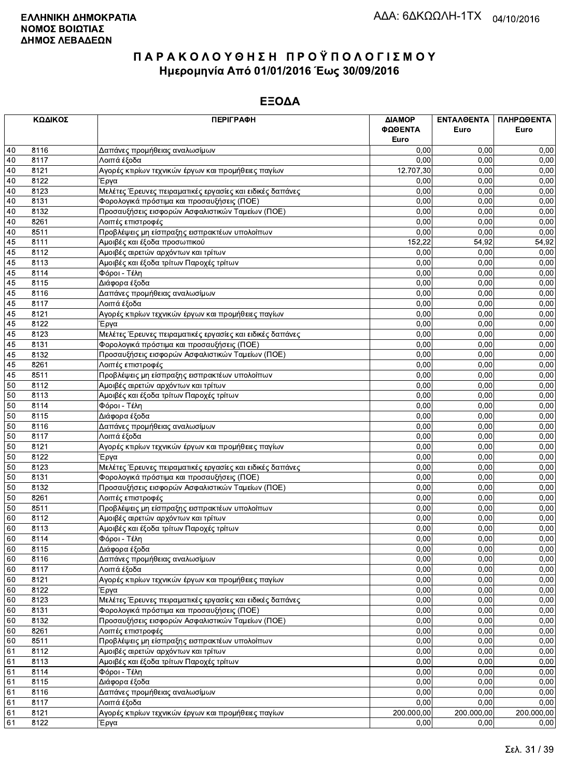|    | ΚΩΔΙΚΟΣ | <b>ПЕРІГРАФН</b>                                          | ΔΙΑΜΟΡ       | ΕΝΤΑΛΘΕΝΤΑ | ΠΛΗΡΩΘΕΝΤΑ |
|----|---------|-----------------------------------------------------------|--------------|------------|------------|
|    |         |                                                           | ΦΩΘΕΝΤΑ      | Euro       | Euro       |
|    |         |                                                           | Euro         |            |            |
| 40 | 8116    | Δαπάνες προμήθειας αναλωσίμων                             | 0.00         | 0.00       | 0,00       |
| 40 | 8117    | Λοιπά έξοδα                                               | 0.00         | 0,00       | 0,00       |
| 40 | 8121    | Αγορές κτιρίων τεχνικών έργων και προμήθειες παγίων       | 12.707,30    | 0.00       | 0,00       |
| 40 | 8122    | Έργα                                                      | 0,00         | 0,00       | 0,00       |
| 40 | 8123    | Μελέτες Έρευνες πειραματικές εργασίες και ειδικές δαπάνες | 0,00         | 0,00       | 0,00       |
| 40 | 8131    | Φορολογικά πρόστιμα και προσαυξήσεις (ΠΟΕ)                | 0.00         | 0,00       | 0,00       |
| 40 | 8132    | Προσαυξήσεις εισφορών Ασφαλιστικών Ταμείων (ΠΟΕ)          | 0,00         | 0,00       | 0,00       |
| 40 | 8261    | Λοιπές επιστροφές                                         | 0,00         | 0,00       | 0,00       |
| 40 | 8511    | Προβλέψεις μη είσπραξης εισπρακτέων υπολοίπων             | 0,00         | 0,00       | 0,00       |
| 45 | 8111    | Αμοιβές και έξοδα προσωπικού                              | 152,22       | 54,92      | 54,92      |
| 45 | 8112    | Αμοιβές αιρετών αρχόντων και τρίτων                       | 0,00         | 0,00       | 0,00       |
| 45 | 8113    | Αμοιβές και έξοδα τρίτων Παροχές τρίτων                   | 0,00         | 0,00       | 0,00       |
| 45 | 8114    | Φόροι - Τέλη                                              | 0,00         | 0,00       | 0,00       |
| 45 | 8115    | Διάφορα έξοδα                                             | 0,00         | 0,00       | 0,00       |
| 45 | 8116    | Δαπάνες προμήθειας αναλωσίμων                             | 0,00         | 0,00       | 0,00       |
| 45 | 8117    | Λοιπά έξοδα                                               | 0,00         | 0.00       | 0,00       |
| 45 | 8121    | Αγορές κτιρίων τεχνικών έργων και προμήθειες παγίων       | 0,00         | 0,00       | 0,00       |
| 45 | 8122    | Έργα                                                      | 0,00         | 0,00       | 0,00       |
| 45 | 8123    | Μελέτες Έρευνες πειραματικές εργασίες και ειδικές δαπάνες | 0,00         | 0,00       | 0,00       |
| 45 | 8131    | Φορολογικά πρόστιμα και προσαυξήσεις (ΠΟΕ)                | 0,00         | 0,00       | 0,00       |
| 45 | 8132    | Προσαυξήσεις εισφορών Ασφαλιστικών Ταμείων (ΠΟΕ)          | 0.00         | 0,00       | 0,00       |
| 45 | 8261    | Λοιπές επιστροφές                                         | 0,00         | 0,00       | 0,00       |
| 45 | 8511    | Προβλέψεις μη είσπραξης εισπρακτέων υπολοίπων             | 0,00         | 0,00       | 0,00       |
| 50 | 8112    | Αμοιβές αιρετών αρχόντων και τρίτων                       | 0,00         | 0,00       | 0,00       |
| 50 | 8113    | Αμοιβές και έξοδα τρίτων Παροχές τρίτων                   | 0,00         | 0,00       | 0,00       |
| 50 | 8114    | Φόροι - Τέλη                                              | 0,00         | 0,00       | 0,00       |
| 50 | 8115    | Διάφορα έξοδα                                             | 0,00         | 0,00       | 0,00       |
| 50 | 8116    | Δαπάνες προμήθειας αναλωσίμων                             | 0,00         | 0,00       | 0,00       |
| 50 | 8117    | Λοιπά έξοδα                                               | 0,00         | 0,00       | 0,00       |
| 50 | 8121    | Αγορές κτιρίων τεχνικών έργων και προμήθειες παγίων       | 0,00         | 0,00       | 0,00       |
| 50 | 8122    | Έργα                                                      | 0,00         | 0,00       | 0,00       |
| 50 | 8123    | Μελέτες Έρευνες πειραματικές εργασίες και ειδικές δαπάνες | 0,00         | 0,00       | 0,00       |
| 50 | 8131    | Φορολογικά πρόστιμα και προσαυξήσεις (ΠΟΕ)                | 0,00         | 0,00       | 0,00       |
| 50 | 8132    | Προσαυξήσεις εισφορών Ασφαλιστικών Ταμείων (ΠΟΕ)          | 0,00         | 0.00       | 0,00       |
| 50 | 8261    | Λοιπές επιστροφές                                         | 0,00         | 0,00       | 0,00       |
| 50 | 8511    | Προβλέψεις μη είσπραξης εισπρακτέων υπολοίπων             | 0,00         | 0,00       | 0,00       |
| 60 | 8112    | Αμοιβές αιρετών αρχόντων και τρίτων                       | 0,00         | 0.00       | 0,00       |
| 60 | 8113    | Αμοιβές και έξοδα τρίτων Παροχές τρίτων                   | 0,00         | 0,00       | 0,00       |
| 60 | 8114    | Φόροι - Τέλη                                              | 0,00         | 0,00       | 0,00       |
| 60 | 8115    | Διάφορα έξοδα                                             | 0,00         | 0,00       | 0,00       |
| 60 | 8116    | Δαπάνες προμήθειας αναλωσίμων                             | 0,00         | 0,00       | 0,00       |
| 60 | 8117    | Λοιπά έξοδα                                               | 0,00         | 0,00       | 0,00       |
| 60 | 8121    | Αγορές κτιρίων τεχνικών έργων και προμήθειες παγίων       | 0,00         | 0,00       | 0,00       |
| 60 | 8122    | Έργα                                                      | 0,00         | 0,00       | 0,00       |
| 60 | 8123    | Μελέτες Έρευνες πειραματικές εργασίες και ειδικές δαπάνες | 0,00         | 0,00       | 0,00       |
| 60 | 8131    | Φορολογικά πρόστιμα και προσαυξήσεις (ΠΟΕ)                | 0,00         | 0,00       | 0,00       |
| 60 | 8132    | Προσαυξήσεις εισφορών Ασφαλιστικών Ταμείων (ΠΟΕ)          | 0,00         | 0,00       | 0,00       |
| 60 | 8261    | Λοιπές επιστροφές                                         | 0,00         | 0,00       | 0,00       |
| 60 | 8511    | Προβλέψεις μη είσπραξης εισπρακτέων υπολοίπων             | 0,00         | 0,00       | 0,00       |
|    |         | Αμοιβές αιρετών αρχόντων και τρίτων                       | 0,00         | 0,00       |            |
| 61 | 8112    |                                                           | 0,00         | 0,00       | 0,00       |
| 61 | 8113    | Αμοιβές και έξοδα τρίτων Παροχές τρίτων                   |              |            | 0,00       |
| 61 | 8114    | Φόροι - Τέλη                                              | 0,00         | 0,00       | 0,00       |
| 61 | 8115    | Διάφορα έξοδα                                             | 0,00<br>0,00 | 0,00       | 0,00       |
| 61 | 8116    | Δαπάνες προμήθειας αναλωσίμων                             |              | 0,00       | 0,00       |
| 61 | 8117    | Λοιπά έξοδα                                               | 0,00         | 0,00       | 0,00       |
| 61 | 8121    | Αγορές κτιρίων τεχνικών έργων και προμήθειες παγίων       | 200.000,00   | 200.000,00 | 200.000,00 |
| 61 | 8122    | Έργα                                                      | 0,00         | 0.00       | 0,00       |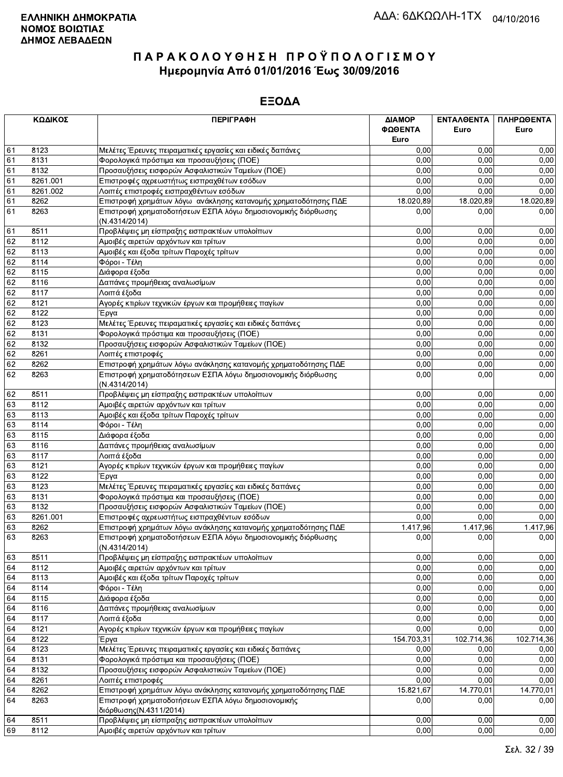|    | ΚΩΔΙΚΟΣ  | <b>ПЕРІГРАФН</b>                                                              | ΔΙΑΜΟΡ<br>ΦΩΘΕΝΤΑ<br>Euro | ΕΝΤΑΛΘΕΝΤΑ<br>Euro | ΠΛΗΡΩΘΕΝΤΑ<br>Euro |
|----|----------|-------------------------------------------------------------------------------|---------------------------|--------------------|--------------------|
| 61 | 8123     | Μελέτες Έρευνες πειραματικές εργασίες και ειδικές δαπάνες                     | 0,00                      | 0.00               | 0,00               |
| 61 | 8131     | Φορολογικά πρόστιμα και προσαυξήσεις (ΠΟΕ)                                    | 0,00                      | 0.00               | 0,00               |
| 61 | 8132     | Προσαυξήσεις εισφορών Ασφαλιστικών Ταμείων (ΠΟΕ)                              | 0,00                      | 0,00               | 0,00               |
| 61 | 8261.001 | Επιστροφές αχρεωστήτως εισπραχθέτων εσόδων                                    | 0,00                      | 0,00               | 0,00               |
| 61 | 8261.002 | Λοιπές επιστροφές εισπραχθέντων εσόδων                                        | 0,00                      | 0,00               | 0,00               |
| 61 | 8262     | Επιστροφή χρημάτων λόγω ανάκλησης κατανομής χρηματοδότησης ΠΔΕ                | 18.020,89                 | 18.020,89          | 18.020,89          |
| 61 | 8263     | Επιστροφή χρηματοδοτήσεων ΕΣΠΑ λόγω δημοσιονομικής διόρθωσης<br>(N.4314/2014) | 0,00                      | 0,00               | 0,00               |
| 61 | 8511     | Προβλέψεις μη είσπραξης εισπρακτέων υπολοίπων                                 | 0,00                      | 0,00               | 0,00               |
| 62 | 8112     | Αμοιβές αιρετών αρχόντων και τρίτων                                           | 0,00                      | 0.00               | 0,00               |
| 62 | 8113     | Αμοιβές και έξοδα τρίτων Παροχές τρίτων                                       | 0,00                      | 0.00               | 0,00               |
| 62 | 8114     | Φόροι - Τέλη                                                                  | 0,00                      | 0,00               | 0,00               |
| 62 | 8115     | Διάφορα έξοδα                                                                 | 0,00                      | 0,00               | 0,00               |
| 62 | 8116     | Δαπάνες προμήθειας αναλωσίμων                                                 | 0,00                      | 0,00               | 0,00               |
| 62 | 8117     | Λοιπά έξοδα                                                                   | 0,00                      | 0,00               | 0,00               |
| 62 | 8121     | Αγορές κτιρίων τεχνικών έργων και προμήθειες παγίων                           | 0,00                      | 0,00               | 0,00               |
| 62 | 8122     | Έργα                                                                          | 0,00                      | 0,00               | 0,00               |
| 62 | 8123     | Μελέτες Έρευνες πειραματικές εργασίες και ειδικές δαπάνες                     | 0,00                      | 0,00               | 0,00               |
| 62 | 8131     | Φορολογικά πρόστιμα και προσαυξήσεις (ΠΟΕ)                                    | 0,00                      | 0,00               | 0,00               |
| 62 | 8132     | Προσαυξήσεις εισφορών Ασφαλιστικών Ταμείων (ΠΟΕ)                              | 0,00                      | 0,00               | 0,00               |
| 62 | 8261     | Λοιπές επιστροφές                                                             | 0,00                      | 0,00               | 0,00               |
| 62 | 8262     | Επιστροφή χρημάτων λόγω ανάκλησης κατανομής χρηματοδότησης ΠΔΕ                | 0,00                      | 0,00               | 0,00               |
| 62 | 8263     | Επιστροφή χρηματοδότησεων ΕΣΠΑ λόγω δημοσιονομικής διόρθωσης<br>(N.4314/2014) | 0,00                      | 0,00               | 0,00               |
| 62 | 8511     | Προβλέψεις μη είσπραξης εισπρακτέων υπολοίπων                                 | 0,00                      | 0,00               | 0,00               |
| 63 | 8112     | Αμοιβές αιρετών αρχόντων και τρίτων                                           | 0,00                      | 0.00               | 0,00               |
| 63 | 8113     | Αμοιβές και έξοδα τρίτων Παροχές τρίτων                                       | 0,00                      | 0.00               | 0,00               |
| 63 | 8114     | Φόροι - Τέλη                                                                  | 0,00                      | 0,00               | 0,00               |
| 63 | 8115     | Διάφορα έξοδα                                                                 | 0,00                      | 0,00               | 0,00               |
| 63 | 8116     | Δαπάνες προμήθειας αναλωσίμων                                                 | 0,00                      | 0,00               | 0,00               |
| 63 | 8117     | Λοιπά έξοδα                                                                   | 0,00                      | 0,00               | 0,00               |
| 63 | 8121     | Αγορές κτιρίων τεχνικών έργων και προμήθειες παγίων                           | 0,00                      | 0,00               | 0,00               |
| 63 | 8122     | Έργα                                                                          | 0,00                      | 0.00               | 0,00               |
| 63 | 8123     | Μελέτες Έρευνες πειραματικές εργασίες και ειδικές δαπάνες                     | 0,00                      | 0,00               | 0,00               |
| 63 | 8131     | Φορολογικά πρόστιμα και προσαυξήσεις (ΠΟΕ)                                    | 0,00                      | 0,00               | 0,00               |
| 63 | 8132     | Προσαυξήσεις εισφορών Ασφαλιστικών Ταμείων (ΠΟΕ)                              | 0,00                      | 0.00               | 0,00               |
| 63 | 8261.001 | Επιστροφές αχρεωστήτως εισπραχθέντων εσόδων                                   | 0,00                      | 0,00               | 0,00               |
| 63 | 8262     | Επιστροφή χρημάτων λόγω ανάκλησης κατανομής χρηματοδότησης ΠΔΕ                | 1.417,96                  | 1.417,96           | 1.417,96           |
| 63 | 8263     | Επιστροφή χρηματοδοτήσεων ΕΣΠΑ λόγω δημοσιονομικής διόρθωσης<br>(N.4314/2014) | 0,00                      | 0,00               | 0,00               |
| 63 | 8511     | Προβλέψεις μη είσπραξης εισπρακτέων υπολοίπων                                 | 0,00                      | 0,00               | 0,00               |
| 64 | 8112     | Αμοιβές αιρετών αρχόντων και τρίτων                                           | 0,00                      | 0,00               | 0,00               |
| 64 | 8113     | Αμοιβές και έξοδα τρίτων Παροχές τρίτων                                       | 0,00                      | 0,00               | 0,00               |
| 64 | 8114     | Φόροι - Τέλη                                                                  | 0,00                      | 0,00               | 0,00               |
| 64 | 8115     | Διάφορα έξοδα                                                                 | 0,00                      | 0,00               | 0,00               |
| 64 | 8116     | Δαπάνες προμήθειας αναλωσίμων                                                 | 0,00                      | 0,00               | 0,00               |
| 64 | 8117     | Λοιπά έξοδα                                                                   | 0,00                      | 0,00               | 0,00               |
| 64 | 8121     | Αγορές κτιρίων τεχνικών έργων και προμήθειες παγίων                           | 0,00                      | 0,00               | 0,00               |
| 64 | 8122     | Έργα                                                                          | 154.703,31                | 102.714,36         | 102.714,36         |
| 64 | 8123     | Μελέτες Έρευνες πειραματικές εργασίες και ειδικές δαπάνες                     | 0,00                      | 0,00               | 0,00               |
| 64 | 8131     | Φορολογικά πρόστιμα και προσαυξήσεις (ΠΟΕ)                                    | 0,00                      | 0,00               | 0,00               |
| 64 | 8132     | Προσαυξήσεις εισφορών Ασφαλιστικών Ταμείων (ΠΟΕ)                              | 0,00                      | 0,00               | 0,00               |
| 64 | 8261     | Λοιπές επιστροφές                                                             | 0,00                      | 0,00               | 0,00               |
| 64 | 8262     | Επιστροφή χρημάτων λόγω ανάκλησης κατανομής χρηματοδότησης ΠΔΕ                | 15.821,67                 | 14.770,01          | 14.770,01          |
| 64 | 8263     | Επιστροφή χρηματοδοτήσεων ΕΣΠΑ λόγω δημοσιονομικής<br>διόρθωσης (Ν.4311/2014) | 0.00                      | 0.00               | 0,00               |
| 64 | 8511     | Προβλέψεις μη είσπραξης εισπρακτέων υπολοίπων                                 | 0,00                      | 0,00               | 0,00               |
| 69 | 8112     | Αμοιβές αιρετών αρχόντων και τρίτων                                           | 0,00                      | 0,00               | 0,00               |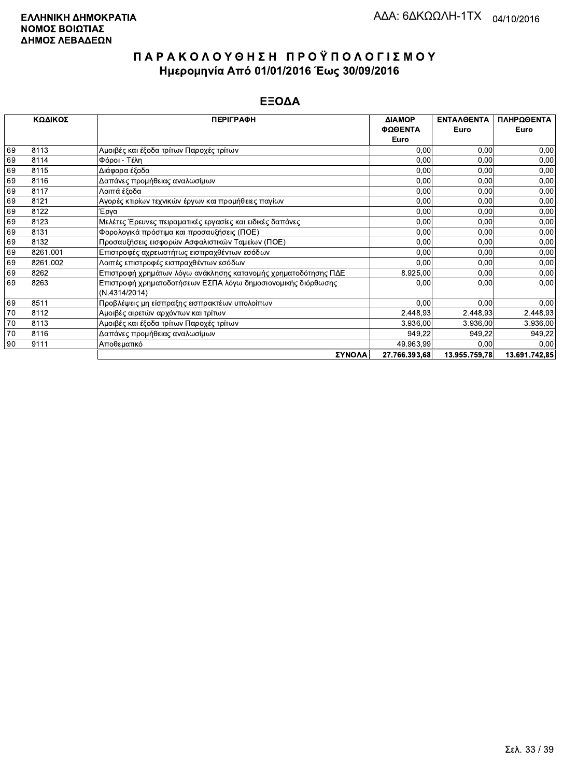|    | ΚΩΔΙΚΟΣ  | <b>ПЕРІГРАФН</b>                                                              | ΔΙΑΜΟΡ        | <b>ENTAAOENTA</b> | ΠΛΗΡΩΘΕΝΤΑ    |
|----|----------|-------------------------------------------------------------------------------|---------------|-------------------|---------------|
|    |          |                                                                               | ΦΩΘΕΝΤΑ       | Euro              | Euro          |
|    |          |                                                                               | Euro          |                   |               |
| 69 | 8113     | Αμοιβές και έξοδα τρίτων Παροχές τρίτων                                       | 0.00          | 0,00              | 0,00          |
| 69 | 8114     | Φόροι - Τέλη                                                                  | 0,00          | 0,00              | 0,00          |
| 69 | 8115     | Διάφορα έξοδα                                                                 | 0,00          | 0,00              | 0,00          |
| 69 | 8116     | Δαπάνες προμήθειας αναλωσίμων                                                 | 0,00          | 0,00              | 0,00          |
| 69 | 8117     | Λοιπά έξοδα                                                                   | 0,00          | 0,00              | 0,00          |
| 69 | 8121     | Αγορές κτιρίων τεχνικών έργων και προμήθειες παγίων                           | 0,00          | 0,00              | 0,00          |
| 69 | 8122     | Έργα                                                                          | 0,00          | 0,00              | 0,00          |
| 69 | 8123     | Μελέτες Έρευνες πειραματικές εργασίες και ειδικές δαπάνες                     | 0,00          | 0,00              | 0,00          |
| 69 | 8131     | Φορολογικά πρόστιμα και προσαυξήσεις (ΠΟΕ)                                    | 0,00          | 0,00              | 0,00          |
| 69 | 8132     | Προσαυξήσεις εισφορών Ασφαλιστικών Ταμείων (ΠΟΕ)                              | 0,00          | 0,00              | 0,00          |
| 69 | 8261.001 | Επιστροφές αχρεωστήτως εισπραχθέντων εσόδων                                   | 0,00          | 0,00              | 0,00          |
| 69 | 8261.002 | Λοιπές επιστροφές εισπραχθέντων εσόδων                                        | 0,00          | 0,00              | 0,00          |
| 69 | 8262     | Επιστροφή χρημάτων λόγω ανάκλησης κατανομής χρηματοδότησης ΠΔΕ                | 8.925,00      | 0,00              | 0,00          |
| 69 | 8263     | Επιστροφή χρηματοδοτήσεων ΕΣΠΑ λόγω δημοσιονομικής διόρθωσης<br>(N.4314/2014) | 0,00          | 0,00              | 0,00          |
| 69 | 8511     | Προβλέψεις μη είσπραξης εισπρακτέων υπολοίπων                                 | 0,00          | 0,00              | 0,00          |
| 70 | 8112     | Αμοιβές αιρετών αρχόντων και τρίτων                                           | 2.448,93      | 2.448,93          | 2.448,93      |
| 70 | 8113     | Αμοιβές και έξοδα τρίτων Παροχές τρίτων                                       | 3 936,00      | 3.936,00          | 3.936,00      |
| 70 | 8116     | Δαπάνες προμήθειας αναλωσίμων                                                 | 949,22        | 949,22            | 949,22        |
| 90 | 9111     | Αποθεματικό                                                                   | 49.963,99     | 0,00              | 0.00          |
|    |          | ΣΥΝΟΛΑ                                                                        | 27.766.393,68 | 13.955.759,78     | 13.691.742.85 |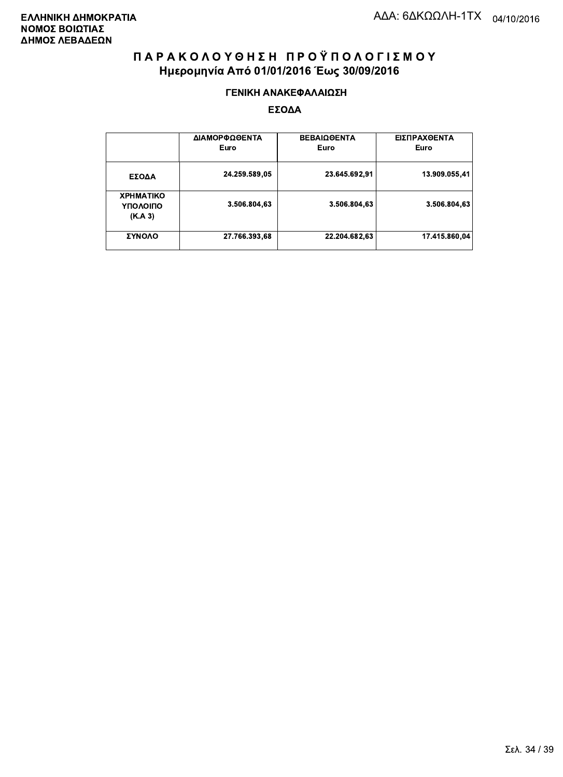#### ΓΕΝΙΚΗ ΑΝΑΚΕΦΑΛΑΙΩΣΗ

|                                         | ΔΙΑΜΟΡΦΩΘΕΝΤΑ<br>Euro | <b>ΒΕΒΑΙΩΘΕΝΤΑ</b><br>Euro | ΕΙΣΠΡΑΧΘΕΝΤΑ<br>Euro |
|-----------------------------------------|-----------------------|----------------------------|----------------------|
| ΕΣΟΔΑ                                   | 24.259.589,05         | 23.645.692,91              | 13.909.055.41        |
| <b>XPHMATIKO</b><br>ΥΠΟΛΟΙΠΟ<br>(K.A.3) | 3.506.804,63          | 3.506.804.63               | 3.506.804.63         |
| ΣΥΝΟΛΟ                                  | 27.766.393,68         | 22.204.682,63              | 17.415.860,04        |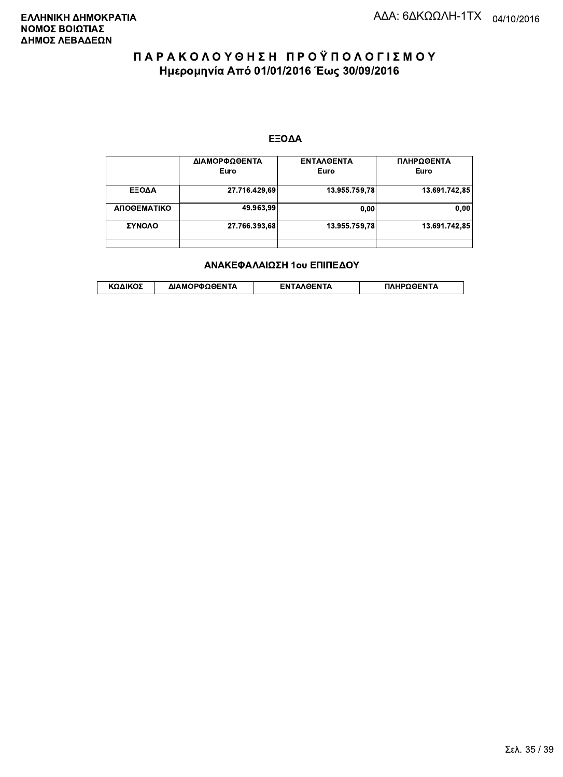#### ΕΞΟΔΑ

|             | ΔΙΑΜΟΡΦΩΘΕΝΤΑ<br>Euro | <b>ENTAAGENTA</b><br>Euro | ΠΛΗΡΩΘΕΝΤΑ<br>Euro |
|-------------|-----------------------|---------------------------|--------------------|
| ΕΞΟΔΑ       | 27.716.429,69         | 13.955.759.78             | 13.691.742,85      |
| ΑΠΟΘΕΜΑΤΙΚΟ | 49.963.99             | 0.00                      | 0.00               |
| ΣΥΝΟΛΟ      | 27.766.393,68         | 13.955.759.78             | 13.691.742,85      |
|             |                       |                           |                    |

#### ΑΝΑΚΕΦΑΛΑΙΩΣΗ 1ου ΕΠΙΠΕΔΟΥ

|  | ΚΩΔΙΚΟΣ | ΔΙΑΜΟΡΦΩΘΕΝΤΑ | <b>AOENTA</b><br>FΝ | ≀OΘFNTA |
|--|---------|---------------|---------------------|---------|
|--|---------|---------------|---------------------|---------|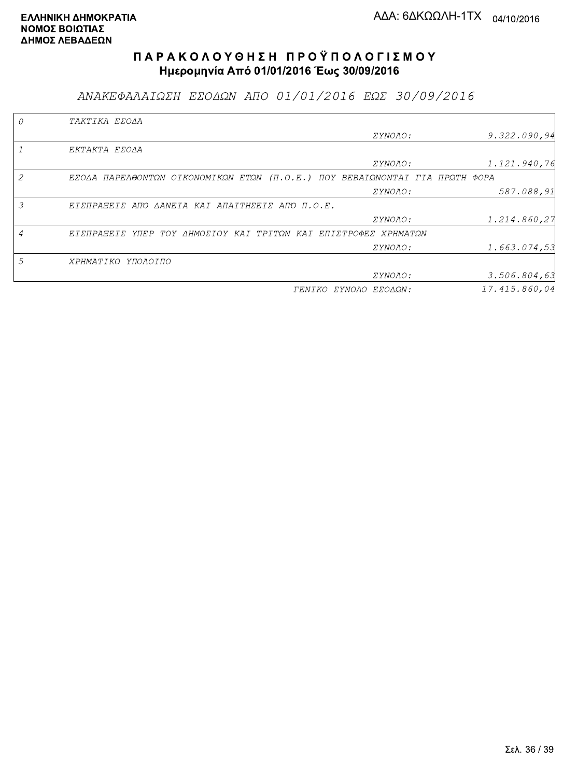ΑΝΑΚΕΦΑΛΑΙΩΣΗ ΕΣΟΔΩΝ ΑΠΟ 01/01/2016 ΕΩΣ 30/09/2016

|   | TAKTIKA EZOAA                                                               |                       |               |
|---|-----------------------------------------------------------------------------|-----------------------|---------------|
|   |                                                                             | <i>EYNOAO:</i>        | 9.322.090,94  |
|   | EKTAKTA EZOAA                                                               |                       |               |
|   |                                                                             | ΣΥΝΟΛΟ:               | 1.121.940,76  |
|   | EZOAA ΠΑΡΕΛΘΟΝΤΩΝ ΟΙΚΟΝΟΜΙΚΩΝ ΕΤΩΝ (Π.Ο.Ε.) ΠΟΥ ΒΕΒΑΙΩΝΟΝΤΑΙ ΓΙΑ ΠΡΩΤΗ ΦΟΡΑ |                       |               |
|   |                                                                             | ΣΥΝΟΛΟ:               | 587.088,91    |
| 3 | ΕΙΣΠΡΑΞΕΙΣ ΑΠΌ ΔΑΝΕΙΑ ΚΑΙ ΑΠΑΙΤΗΣΕΙΣ ΑΠΌ Π.Ο.Ε.                             |                       |               |
|   |                                                                             | ΣΥΝΟΛΟ:               | 1.214.860,27  |
|   | ΕΙΣΠΡΑΞΕΙΣ ΥΠΕΡ ΤΟΥ ΔΗΜΟΣΙΟΥ ΚΑΙ ΤΡΙΤΩΝ ΚΑΙ ΕΠΙΣΤΡΟΦΕΣ ΧΡΗΜΑΤΩΝ             |                       |               |
|   |                                                                             | ΣΥΝΟΛΟ:               | 1.663.074,53  |
| 5 | ΧΡΗΜΑΤΙΚΟ ΥΠΟΛΟΙΠΟ                                                          |                       |               |
|   |                                                                             | <i>EYNOAO:</i>        | 3.506.804, 63 |
|   |                                                                             | ΓΕΝΙΚΟ ΣΥΝΟΛΟ ΕΣΟΔΩΝ: | 17.415.860.04 |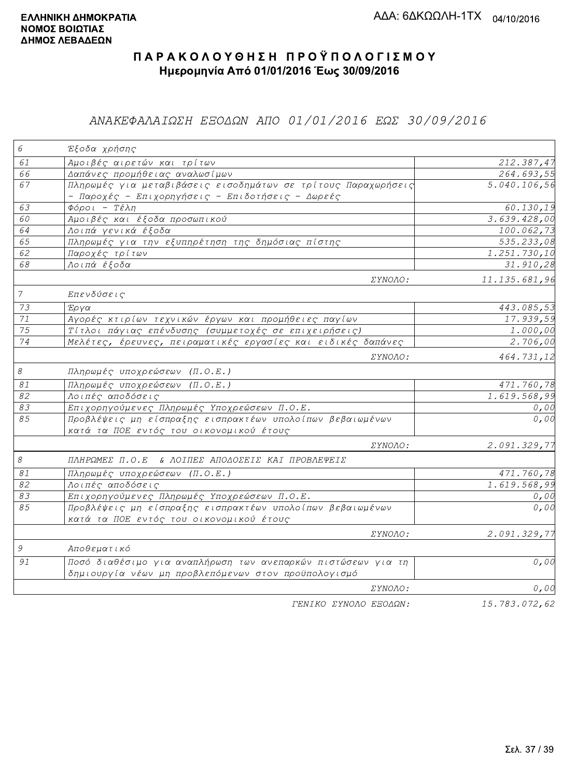### ΑΝΑΚΕΦΑΛΑΙΩΣΗ ΕΞΟΔΩΝ ΑΠΟ 01/01/2016 ΕΩΣ 30/09/2016

| $\epsilon$                | Έξοδα χρήσης                                                                                                      |                           |
|---------------------------|-------------------------------------------------------------------------------------------------------------------|---------------------------|
| 61                        | Αμοιβές αιρετών και τρίτων                                                                                        | 212.387,47                |
| 66                        | Δαπάνες προμήθειας αναλωσίμων                                                                                     | $\overline{264.693}$ , 55 |
| 67                        | Πληρωμές για μεταβιβάσεις εισοδημάτων σε τρίτους Παραχωρήσεις<br>- Παροχές - Επιχορηγήσεις - Επιδοτήσεις - Δωρεές | 5.040.106,56              |
| 63                        | $Φ$ όροι - Τέλη                                                                                                   | 60.130,19                 |
| 60                        | Αμοιβές και έξοδα προσωπικού                                                                                      | 3.639.428,00              |
| 64                        | Λοιπά γενικά έξοδα                                                                                                | 100.062,73                |
| 65                        | Πληρωμές για την εξυπηρέτηση της δημόσιας πίστης                                                                  | 535.233,08                |
| 62                        | Παροχές τρίτων                                                                                                    | 1.251.730,10              |
| 68                        | Λοιπά έξοδα                                                                                                       | 31.910, 28                |
|                           | ΣΥΝΟΛΟ:                                                                                                           | 11.135.681,96             |
| $\overline{7}$            | Επενδύσεις                                                                                                        |                           |
| 73                        | Έργα                                                                                                              | 443.085,53                |
| $71\,$                    | Αγορές κτιρίων τεχνικών έργων και προμήθειες παγίων                                                               | 17.939,59                 |
| $\overline{75}$           | Τίτλοι πάγιας επένδυσης (συμμετοχές σε επιχειρήσεις)                                                              | 1.000,00                  |
| 74                        | Μελέτες, έρευνες, πειραματικές εργασίες και ειδικές δαπάνες                                                       | 2.706,00                  |
|                           | <i>EYNOAO:</i>                                                                                                    | 464.731,12                |
| $\mathcal S$              | Πληρωμές υποχρεώσεων (Π.Ο.Ε.)                                                                                     |                           |
| $\mathcal{S} \mathcal{I}$ | Πληρωμές υποχρεώσεων (Π.Ο.Ε.)                                                                                     | 471.760,78                |
| $\overline{82}$           | Λοιπές αποδόσεις                                                                                                  | 1.619.568,99              |
| 83                        | Επιχορηγούμενες Πληρωμές Υποχρεώσεων Π.Ο.Ε.                                                                       | 0,00                      |
| 85                        | Προβλέψεις μη είσπραξης εισπρακτέων υπολοίπων βεβαιωμένων<br>κατά τα ΠΟΕ εντός του οικονομικού έτους              | 0,00                      |
|                           | ΣΥΝΟΛΟ:                                                                                                           | 2.091.329,77              |
| $\mathcal S$              | ΠΛΗΡΩΜΕΣ Π.Ο.Ε & ΛΟΙΠΕΣ ΑΠΟΔΟΣΕΙΣ ΚΑΙ ΠΡΟΒΛΕΨΕΙΣ                                                                  |                           |
| $\mathcal{S}1$            | Πληρωμές υποχρεώσεων (Π.Ο.Ε.)                                                                                     | 471.760,78                |
| 82                        | Λοιπές αποδόσεις                                                                                                  | 1.619.568,99              |
| 83                        | Επιχορηγούμενες Πληρωμές Υποχρεώσεων Π.Ο.Ε.                                                                       | 0,00                      |
| 85                        | Προβλέψεις μη είσπραξης εισπρακτέων υπολοίπων βεβαιωμένων                                                         | 0,00                      |
|                           | κατά τα ΠΟΕ εντός του οικονομικού έτους                                                                           |                           |
|                           | ΣΥΝΟΛΟ:                                                                                                           | 2.091.329,77              |
| 9                         | Αποθεματικό                                                                                                       |                           |
| 91                        | Ποσό διαθέσιμο για αναπλήρωση των ανεπαρκών πιστώσεων για τη                                                      | 0,00                      |
|                           | δημιουργία νέων μη προβλεπόμενων στον προϋπολογισμό                                                               |                           |
|                           | ΣΥΝΟΛΟ:                                                                                                           | 0,00                      |
|                           | FENIKO XYNOAO EFOAQN:                                                                                             | 15.783.072.62             |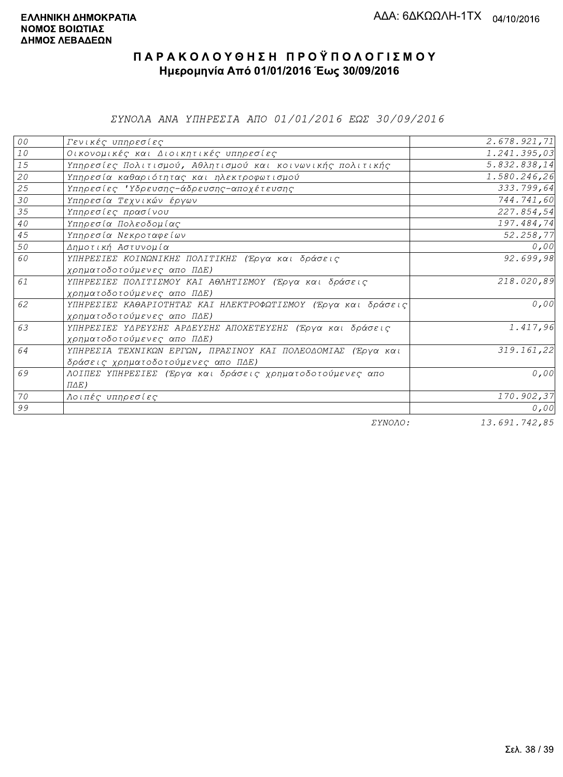ΣΥΝΟΛΑ ΑΝΑ ΥΠΗΡΕΣΙΑ ΑΠΟ 01/01/2016 ΕΩΣ 30/09/2016

| ${\cal O} \, {\cal O}$       | Γενικές υπηρεσίες                                             | 2.678.921,71 |
|------------------------------|---------------------------------------------------------------|--------------|
| ${\it 10}$                   | Οικονομικές και Διοικητικές υπηρεσίες                         | 1.241.395,03 |
| 15                           | Υπηρεσίες Πολιτισμού, Αθλητισμού και κοινωνικής πολιτικής     | 5.832.838,14 |
| ${\mathcal{Z}}{\mathcal{O}}$ | Υπηρεσία καθαριότητας και ηλεκτροφωτισμού                     | 1.580.246,26 |
| 25                           | Υπηρεσίες 'Υδρευσης-άδρευσης-αποχέτευσης                      | 333.799,64   |
| 30                           | Υπηρεσία Τεχνικών έργων                                       | 744.741,60   |
| 35                           | Υπηρεσίες πρασίνου                                            | 227.854,54   |
| $4\,0$                       | Υπηρεσία Πολεοδομίας                                          | 197.484,74   |
| 45                           | Υπηρεσία Νεκροταφείων                                         | 52.258,77    |
| 50                           | Δημοτική Αστυνομία                                            | 0,00         |
| 60                           | ΥΠΗΡΕΣΙΕΣ ΚΟΙΝΩΝΙΚΗΣ ΠΟΛΙΤΙΚΗΣ (Έργα και δράσεις              | 92.699,98    |
|                              | χρηματοδοτούμενες απο ΠΔΕ)                                    |              |
| 61                           | ΥΠΗΡΕΣΙΕΣ ΠΟΛΙΤΙΣΜΟΥ ΚΑΙ ΑΘΛΗΤΙΣΜΟΥ (Έργα και δράσεις         | 218.020,89   |
|                              | χρηματοδοτούμενες απο ΠΔΕ)                                    |              |
| 62                           | ΥΠΗΡΕΣΙΕΣ ΚΑΘΑΡΙΟΤΗΤΑΣ ΚΑΙ ΗΛΕΚΤΡΟΦΩΤΙΣΜΟΥ (Έργα και δράσεις) | 0,00         |
|                              | χρηματοδοτούμενες απο ΠΔΕ)                                    |              |
| 63                           | ΥΠΗΡΕΣΙΕΣ ΥΔΡΕΥΣΗΣ ΑΡΔΕΥΣΗΣ ΑΠΟΧΕΤΕΥΣΗΣ (Έργα και δράσεις     | 1.417,96     |
|                              | χρηματοδοτούμενες απο ΠΔΕ)                                    |              |
| 64                           | ΥΠΗΡΕΣΙΑ ΤΕΧΝΙΚΩΝ ΕΡΓΩΝ, ΠΡΑΣΙΝΟΥ ΚΑΙ ΠΟΛΕΟΔΟΜΙΑΣ (Έργα και   | 319.161,22   |
|                              | δράσεις χρηματοδοτούμενες απο ΠΔΕ)                            |              |
| 69                           | ΛΟΙΠΕΣ ΥΠΗΡΕΣΙΕΣ (Έργα και δράσεις χρηματοδοτούμενες απο      | 0,00         |
|                              | $\Pi \Delta E$ )                                              |              |
| 70                           | Λοιπές υπηρεσίες                                              | 170.902,37   |
| 99                           |                                                               | 0,00         |
|                              | $\Box$                                                        | 12.017712007 |

ΣΥΝΟΛΟ:

13.691.742,85